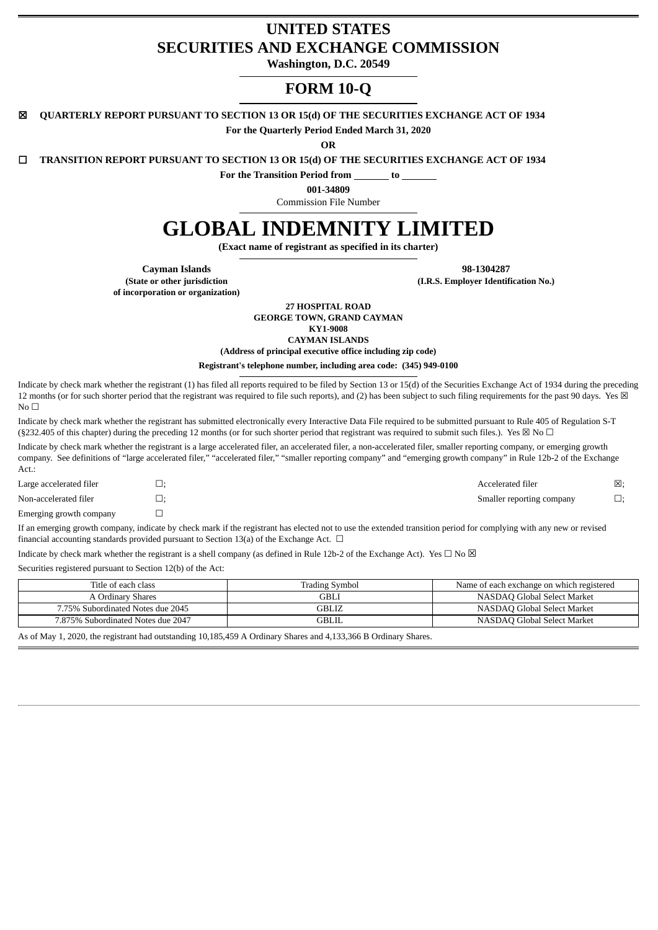# **UNITED STATES SECURITIES AND EXCHANGE COMMISSION**

**Washington, D.C. 20549**

# **FORM 10-Q**

## ☒ **QUARTERLY REPORT PURSUANT TO SECTION 13 OR 15(d) OF THE SECURITIES EXCHANGE ACT OF 1934**

**For the Quarterly Period Ended March 31, 2020**

**OR**

☐ **TRANSITION REPORT PURSUANT TO SECTION 13 OR 15(d) OF THE SECURITIES EXCHANGE ACT OF 1934**

**For the Transition Period from to**

**001-34809**

Commission File Number

# **GLOBAL INDEMNITY LIMITED**

**(Exact name of registrant as specified in its charter)**

**Cayman Islands 98-1304287 (State or other jurisdiction of incorporation or organization)**

**(I.R.S. Employer Identification No.)**

**27 HOSPITAL ROAD**

**GEORGE TOWN, GRAND CAYMAN**

**KY1-9008**

**CAYMAN ISLANDS (Address of principal executive office including zip code)**

**Registrant's telephone number, including area code: (345) 949-0100**

Indicate by check mark whether the registrant (1) has filed all reports required to be filed by Section 13 or 15(d) of the Securities Exchange Act of 1934 during the preceding 12 months (or for such shorter period that the registrant was required to file such reports), and (2) has been subject to such filing requirements for the past 90 days. Yes  $\boxtimes$  $N_0$  $\Box$ 

Indicate by check mark whether the registrant has submitted electronically every Interactive Data File required to be submitted pursuant to Rule 405 of Regulation S-T (§232.405 of this chapter) during the preceding 12 months (or for such shorter period that registrant was required to submit such files.). Yes  $\boxtimes$  No  $\Box$ 

Indicate by check mark whether the registrant is a large accelerated filer, an accelerated filer, a non-accelerated filer, smaller reporting company, or emerging growth company. See definitions of "large accelerated filer," "accelerated filer," "smaller reporting company" and "emerging growth company" in Rule 12b-2 of the Exchange  $Art$ .

| Large accelerated filer | Accelerated filer         | ⊠: |
|-------------------------|---------------------------|----|
| Non-accelerated filer   | Smaller reporting company |    |
| Emerging growth company |                           |    |

If an emerging growth company, indicate by check mark if the registrant has elected not to use the extended transition period for complying with any new or revised financial accounting standards provided pursuant to Section 13(a) of the Exchange Act.  $\Box$ 

Indicate by check mark whether the registrant is a shell company (as defined in Rule 12b-2 of the Exchange Act). Yes  $\Box$  No  $\boxtimes$ 

Securities registered pursuant to Section 12(b) of the Act:

| Title of each class                | <b>Trading Symbol</b> | Name of each exchange on which registered |
|------------------------------------|-----------------------|-------------------------------------------|
| A Ordinary Shares                  | GBLI                  | NASDAQ Global Select Market               |
| 7.75% Subordinated Notes due 2045  | GBLIZ                 | NASDAQ Global Select Market               |
| 7.875% Subordinated Notes due 2047 | <b>GBLIL</b>          | NASDAQ Global Select Market               |

As of May 1, 2020, the registrant had outstanding 10,185,459 A Ordinary Shares and 4,133,366 B Ordinary Shares.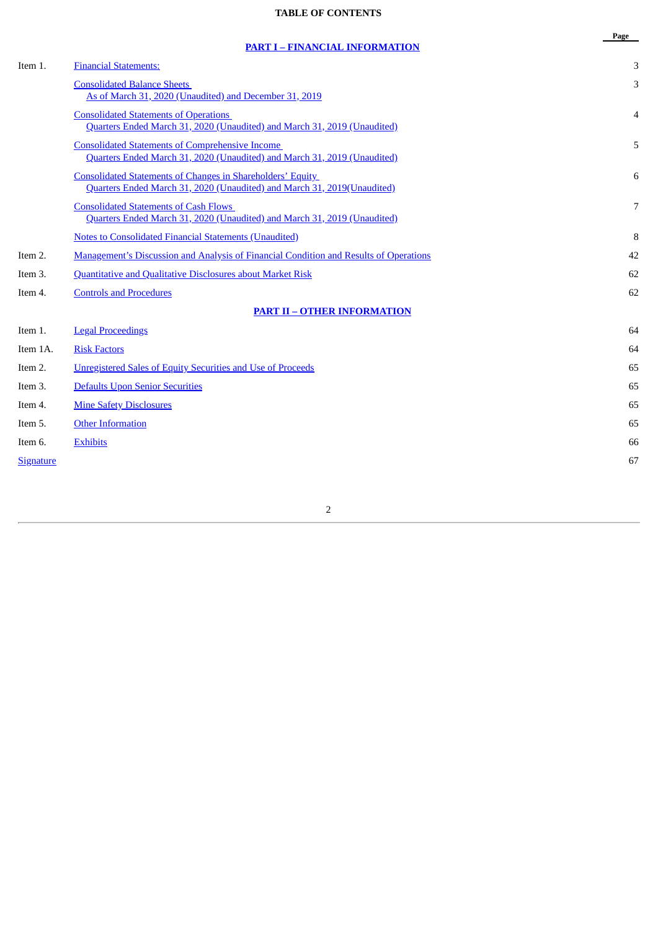### **TABLE OF CONTENTS**

|                  |                                                                                                                                               | Page |
|------------------|-----------------------------------------------------------------------------------------------------------------------------------------------|------|
|                  | <b>PART I - FINANCIAL INFORMATION</b>                                                                                                         |      |
| Item 1.          | <b>Financial Statements:</b>                                                                                                                  | 3    |
|                  | <b>Consolidated Balance Sheets</b>                                                                                                            | 3    |
|                  | As of March 31, 2020 (Unaudited) and December 31, 2019                                                                                        |      |
|                  | <b>Consolidated Statements of Operations</b><br>Quarters Ended March 31, 2020 (Unaudited) and March 31, 2019 (Unaudited)                      | 4    |
|                  | <b>Consolidated Statements of Comprehensive Income</b><br>Quarters Ended March 31, 2020 (Unaudited) and March 31, 2019 (Unaudited)            | 5    |
|                  | <b>Consolidated Statements of Changes in Shareholders' Equity</b><br>Quarters Ended March 31, 2020 (Unaudited) and March 31, 2019 (Unaudited) | 6    |
|                  | <b>Consolidated Statements of Cash Flows</b><br>Quarters Ended March 31, 2020 (Unaudited) and March 31, 2019 (Unaudited)                      | 7    |
|                  | <b>Notes to Consolidated Financial Statements (Unaudited)</b>                                                                                 | 8    |
| Item 2.          | <b>Management's Discussion and Analysis of Financial Condition and Results of Operations</b>                                                  | 42   |
| Item 3.          | <b>Quantitative and Qualitative Disclosures about Market Risk</b>                                                                             | 62   |
| Item 4.          | <b>Controls and Procedures</b>                                                                                                                | 62   |
|                  | <b>PART II - OTHER INFORMATION</b>                                                                                                            |      |
| Item 1.          | <b>Legal Proceedings</b>                                                                                                                      | 64   |
| Item 1A.         | <b>Risk Factors</b>                                                                                                                           | 64   |
| Item 2.          | <b>Unregistered Sales of Equity Securities and Use of Proceeds</b>                                                                            | 65   |
| Item 3.          | <b>Defaults Upon Senior Securities</b>                                                                                                        | 65   |
| Item 4.          | <b>Mine Safety Disclosures</b>                                                                                                                | 65   |
| Item 5.          | <b>Other Information</b>                                                                                                                      | 65   |
| Item 6.          | <b>Exhibits</b>                                                                                                                               | 66   |
| <b>Signature</b> |                                                                                                                                               | 67   |
|                  |                                                                                                                                               |      |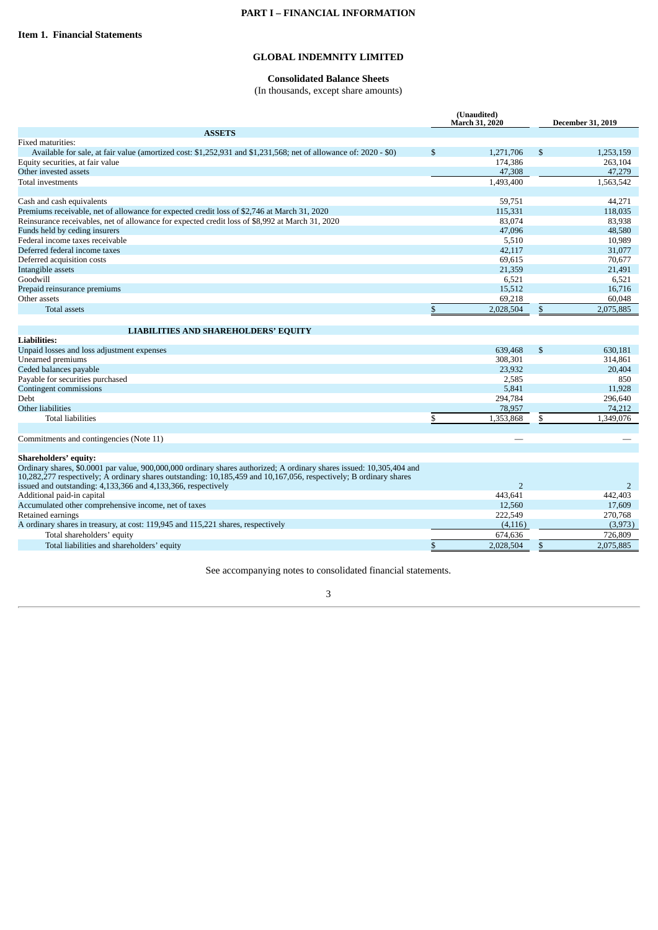### **Consolidated Balance Sheets**

(In thousands, except share amounts)

<span id="page-2-2"></span><span id="page-2-1"></span><span id="page-2-0"></span>

|                                                                                                                                                                                                                                                                                                              |    | (Unaudited)<br>March 31, 2020 | <b>December 31, 2019</b> |           |  |
|--------------------------------------------------------------------------------------------------------------------------------------------------------------------------------------------------------------------------------------------------------------------------------------------------------------|----|-------------------------------|--------------------------|-----------|--|
| <b>ASSETS</b>                                                                                                                                                                                                                                                                                                |    |                               |                          |           |  |
| <b>Fixed maturities:</b>                                                                                                                                                                                                                                                                                     |    |                               |                          |           |  |
| Available for sale, at fair value (amortized cost: \$1,252,931 and \$1,231,568; net of allowance of: 2020 - \$0)                                                                                                                                                                                             | \$ | 1,271,706                     | $\mathbf{s}$             | 1,253,159 |  |
| Equity securities, at fair value                                                                                                                                                                                                                                                                             |    | 174,386                       |                          | 263,104   |  |
| Other invested assets                                                                                                                                                                                                                                                                                        |    | 47,308                        |                          | 47,279    |  |
| Total investments                                                                                                                                                                                                                                                                                            |    | 1,493,400                     |                          | 1,563,542 |  |
| Cash and cash equivalents                                                                                                                                                                                                                                                                                    |    | 59,751                        |                          | 44,271    |  |
| Premiums receivable, net of allowance for expected credit loss of \$2,746 at March 31, 2020                                                                                                                                                                                                                  |    | 115,331                       |                          | 118,035   |  |
| Reinsurance receivables, net of allowance for expected credit loss of \$8,992 at March 31, 2020                                                                                                                                                                                                              |    | 83,074                        |                          | 83,938    |  |
| Funds held by ceding insurers                                                                                                                                                                                                                                                                                |    | 47,096                        |                          | 48,580    |  |
| Federal income taxes receivable                                                                                                                                                                                                                                                                              |    | 5,510                         |                          | 10,989    |  |
| Deferred federal income taxes                                                                                                                                                                                                                                                                                |    | 42,117                        |                          | 31,077    |  |
| Deferred acquisition costs                                                                                                                                                                                                                                                                                   |    | 69,615                        |                          | 70,677    |  |
| Intangible assets                                                                                                                                                                                                                                                                                            |    | 21,359                        |                          | 21,491    |  |
| Goodwill                                                                                                                                                                                                                                                                                                     |    | 6,521                         |                          | 6,521     |  |
| Prepaid reinsurance premiums                                                                                                                                                                                                                                                                                 |    | 15,512                        |                          | 16,716    |  |
| Other assets                                                                                                                                                                                                                                                                                                 |    | 69,218                        |                          | 60,048    |  |
| <b>Total assets</b>                                                                                                                                                                                                                                                                                          | \$ | 2,028,504                     | \$                       | 2,075,885 |  |
| <b>LIABILITIES AND SHAREHOLDERS' EQUITY</b>                                                                                                                                                                                                                                                                  |    |                               |                          |           |  |
| <b>Liabilities:</b>                                                                                                                                                                                                                                                                                          |    |                               |                          |           |  |
| Unpaid losses and loss adjustment expenses                                                                                                                                                                                                                                                                   |    | 639,468                       | \$                       | 630,181   |  |
| Unearned premiums                                                                                                                                                                                                                                                                                            |    | 308,301                       |                          | 314,861   |  |
| Ceded balances payable                                                                                                                                                                                                                                                                                       |    | 23,932                        |                          | 20,404    |  |
| Payable for securities purchased                                                                                                                                                                                                                                                                             |    | 2,585                         |                          | 850       |  |
| Contingent commissions                                                                                                                                                                                                                                                                                       |    | 5,841                         |                          | 11,928    |  |
| Debt                                                                                                                                                                                                                                                                                                         |    | 294,784                       |                          | 296,640   |  |
| <b>Other liabilities</b>                                                                                                                                                                                                                                                                                     |    | 78,957                        |                          | 74.212    |  |
| <b>Total liabilities</b>                                                                                                                                                                                                                                                                                     | \$ | 1,353,868                     | \$                       | 1.349.076 |  |
| Commitments and contingencies (Note 11)                                                                                                                                                                                                                                                                      |    |                               |                          |           |  |
|                                                                                                                                                                                                                                                                                                              |    |                               |                          |           |  |
| Shareholders' equity:                                                                                                                                                                                                                                                                                        |    |                               |                          |           |  |
| Ordinary shares, \$0,0001 par value, 900,000,000 ordinary shares authorized; A ordinary shares issued: 10,305,404 and<br>10,282,277 respectively; A ordinary shares outstanding: 10,185,459 and 10,167,056, respectively; B ordinary shares<br>issued and outstanding: 4,133,366 and 4,133,366, respectively |    | $\overline{2}$                |                          | 2         |  |
| Additional paid-in capital                                                                                                                                                                                                                                                                                   |    | 443,641                       |                          | 442,403   |  |
| Accumulated other comprehensive income, net of taxes                                                                                                                                                                                                                                                         |    | 12,560                        |                          | 17,609    |  |
| Retained earnings                                                                                                                                                                                                                                                                                            |    | 222,549                       |                          | 270,768   |  |
| A ordinary shares in treasury, at cost: 119,945 and 115,221 shares, respectively                                                                                                                                                                                                                             |    | (4, 116)                      |                          | (3,973)   |  |
| Total shareholders' equity                                                                                                                                                                                                                                                                                   |    | 674,636                       |                          | 726,809   |  |
| Total liabilities and shareholders' equity                                                                                                                                                                                                                                                                   | \$ | 2,028,504                     | \$                       | 2,075,885 |  |

See accompanying notes to consolidated financial statements.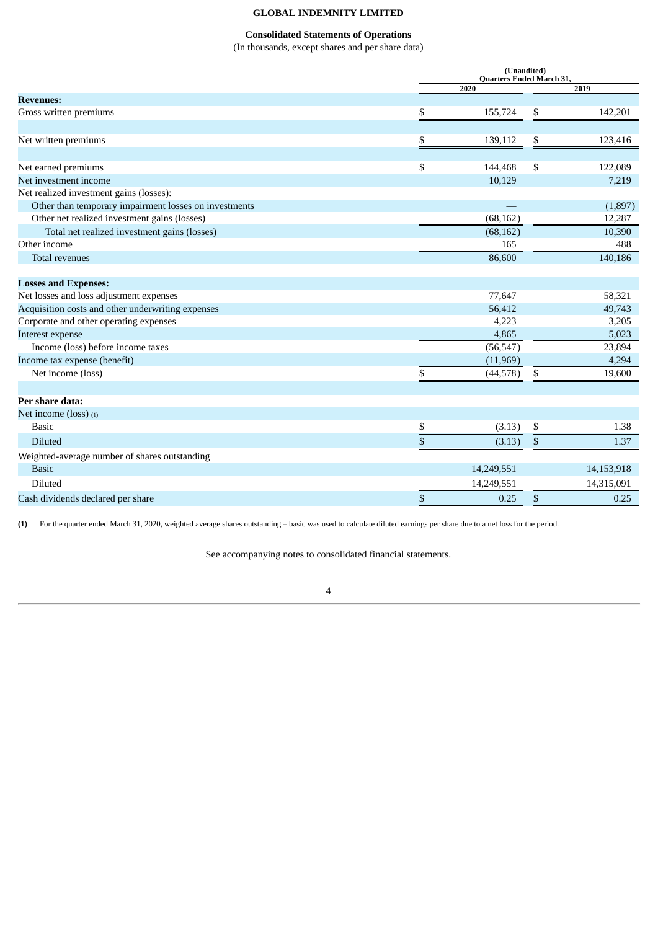### **Consolidated Statements of Operations**

(In thousands, except shares and per share data)

<span id="page-3-0"></span>

|                                                       | (Unaudited)<br>Quarters Ended March 31, |    |            |  |
|-------------------------------------------------------|-----------------------------------------|----|------------|--|
|                                                       | 2020                                    |    | 2019       |  |
| <b>Revenues:</b>                                      |                                         |    |            |  |
| Gross written premiums                                | \$<br>155,724                           | \$ | 142,201    |  |
| Net written premiums                                  | \$<br>139,112                           | \$ | 123,416    |  |
| Net earned premiums                                   | \$<br>144,468                           | \$ | 122,089    |  |
| Net investment income                                 | 10,129                                  |    | 7,219      |  |
| Net realized investment gains (losses):               |                                         |    |            |  |
| Other than temporary impairment losses on investments |                                         |    | (1,897)    |  |
| Other net realized investment gains (losses)          | (68, 162)                               |    | 12,287     |  |
| Total net realized investment gains (losses)          | (68, 162)                               |    | 10,390     |  |
| Other income                                          | 165                                     |    | 488        |  |
| <b>Total revenues</b>                                 | 86,600                                  |    | 140,186    |  |
| <b>Losses and Expenses:</b>                           |                                         |    |            |  |
| Net losses and loss adjustment expenses               | 77,647                                  |    | 58,321     |  |
| Acquisition costs and other underwriting expenses     | 56,412                                  |    | 49,743     |  |
| Corporate and other operating expenses                | 4,223                                   |    | 3,205      |  |
| Interest expense                                      | 4,865                                   |    | 5,023      |  |
| Income (loss) before income taxes                     | (56, 547)                               |    | 23,894     |  |
| Income tax expense (benefit)                          | (11,969)                                |    | 4,294      |  |
| Net income (loss)                                     | \$<br>(44,578)                          | \$ | 19,600     |  |
| Per share data:                                       |                                         |    |            |  |
| Net income (loss) (1)                                 |                                         |    |            |  |
| <b>Basic</b>                                          | \$<br>(3.13)                            | \$ | 1.38       |  |
| <b>Diluted</b>                                        | \$<br>(3.13)                            | \$ | 1.37       |  |
| Weighted-average number of shares outstanding         |                                         |    |            |  |
| <b>Basic</b>                                          | 14,249,551                              |    | 14,153,918 |  |
| Diluted                                               | 14,249,551                              |    | 14,315,091 |  |
| Cash dividends declared per share                     | \$<br>0.25                              | \$ | 0.25       |  |

**(1)** For the quarter ended March 31, 2020, weighted average shares outstanding – basic was used to calculate diluted earnings per share due to a net loss for the period.

See accompanying notes to consolidated financial statements.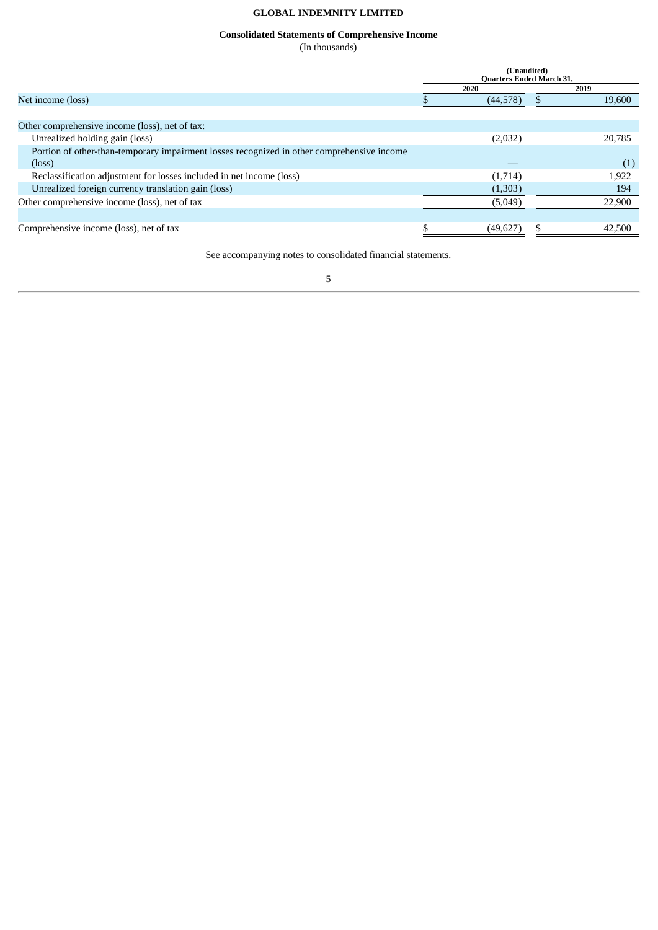### **Consolidated Statements of Comprehensive Income**

(In thousands)

<span id="page-4-0"></span>

|                                                                                            | (Unaudited)<br><b>Quarters Ended March 31,</b> |          |  |        |
|--------------------------------------------------------------------------------------------|------------------------------------------------|----------|--|--------|
|                                                                                            |                                                | 2020     |  | 2019   |
| Net income (loss)                                                                          |                                                | (44,578) |  | 19,600 |
|                                                                                            |                                                |          |  |        |
| Other comprehensive income (loss), net of tax:                                             |                                                |          |  |        |
| Unrealized holding gain (loss)                                                             |                                                | (2,032)  |  | 20,785 |
| Portion of other-than-temporary impairment losses recognized in other comprehensive income |                                                |          |  |        |
| $(\text{loss})$                                                                            |                                                |          |  | (1)    |
| Reclassification adjustment for losses included in net income (loss)                       |                                                | (1,714)  |  | 1,922  |
| Unrealized foreign currency translation gain (loss)                                        |                                                | (1,303)  |  | 194    |
| Other comprehensive income (loss), net of tax                                              |                                                | (5,049)  |  | 22,900 |
|                                                                                            |                                                |          |  |        |
| Comprehensive income (loss), net of tax                                                    |                                                | (49,627  |  | 42,500 |

See accompanying notes to consolidated financial statements.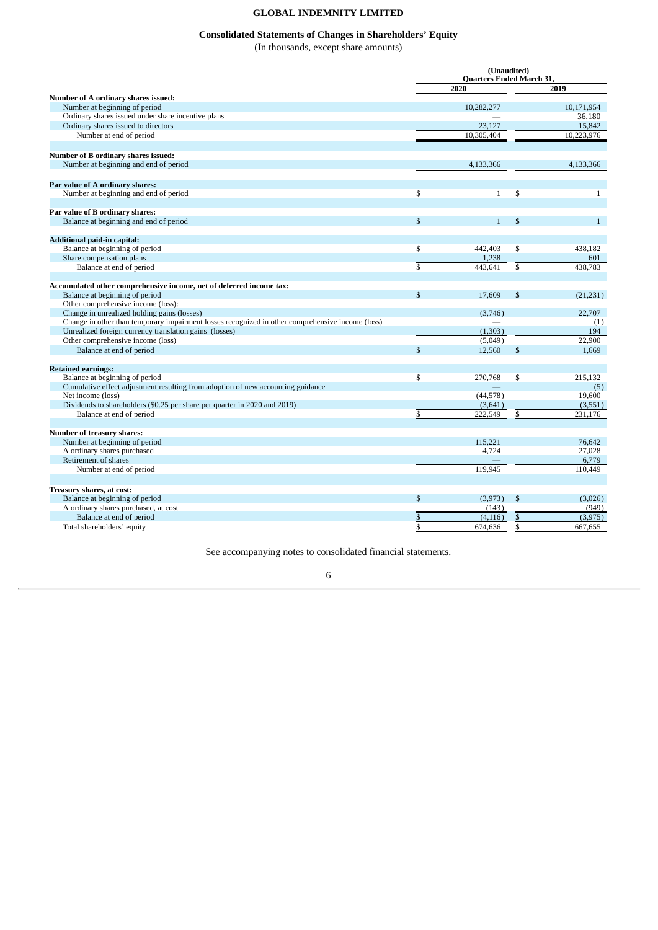### **Consolidated Statements of Changes in Shareholders' Equity**

(In thousands, except share amounts)

<span id="page-5-0"></span>

|                                                                                                  | (Unaudited)<br>Quarters Ended March 31, |              |    |              |
|--------------------------------------------------------------------------------------------------|-----------------------------------------|--------------|----|--------------|
|                                                                                                  |                                         | 2020         |    | 2019         |
| Number of A ordinary shares issued:                                                              |                                         |              |    |              |
| Number at beginning of period                                                                    |                                         | 10,282,277   |    | 10,171,954   |
| Ordinary shares issued under share incentive plans                                               |                                         |              |    | 36,180       |
| Ordinary shares issued to directors                                                              |                                         | 23,127       |    | 15,842       |
| Number at end of period                                                                          |                                         | 10,305,404   |    | 10,223,976   |
|                                                                                                  |                                         |              |    |              |
| Number of B ordinary shares issued:                                                              |                                         |              |    |              |
| Number at beginning and end of period                                                            |                                         | 4,133,366    |    | 4,133,366    |
|                                                                                                  |                                         |              |    |              |
| Par value of A ordinary shares:                                                                  |                                         |              |    |              |
| Number at beginning and end of period                                                            | \$                                      | $\mathbf{1}$ | \$ | $\mathbf{1}$ |
|                                                                                                  |                                         |              |    |              |
| Par value of B ordinary shares:                                                                  |                                         |              |    |              |
| Balance at beginning and end of period                                                           | \$                                      | $\mathbf{1}$ | \$ |              |
|                                                                                                  |                                         |              |    |              |
| <b>Additional paid-in capital:</b>                                                               |                                         |              |    |              |
| Balance at beginning of period                                                                   | \$                                      | 442,403      | \$ | 438,182      |
| Share compensation plans                                                                         |                                         | 1,238        |    | 601          |
| Balance at end of period                                                                         | \$                                      | 443,641      | \$ | 438,783      |
|                                                                                                  |                                         |              |    |              |
| Accumulated other comprehensive income, net of deferred income tax:                              |                                         |              |    |              |
| Balance at beginning of period                                                                   | \$                                      | 17,609       | \$ | (21, 231)    |
| Other comprehensive income (loss):                                                               |                                         |              |    |              |
| Change in unrealized holding gains (losses)                                                      |                                         | (3,746)      |    | 22,707       |
| Change in other than temporary impairment losses recognized in other comprehensive income (loss) |                                         |              |    | (1)          |
| Unrealized foreign currency translation gains (losses)                                           |                                         | (1,303)      |    | 194          |
| Other comprehensive income (loss)                                                                |                                         | (5,049)      |    | 22,900       |
| Balance at end of period                                                                         |                                         | 12,560       | \$ | 1,669        |
|                                                                                                  |                                         |              |    |              |
| <b>Retained earnings:</b>                                                                        |                                         |              |    |              |
| Balance at beginning of period                                                                   | \$                                      | 270,768      | \$ | 215,132      |
| Cumulative effect adjustment resulting from adoption of new accounting guidance                  |                                         |              |    | (5)          |
| Net income (loss)                                                                                |                                         | (44,578)     |    | 19,600       |
| Dividends to shareholders (\$0.25 per share per quarter in 2020 and 2019)                        |                                         | (3,641)      |    | (3,551)      |
| Balance at end of period                                                                         | \$                                      | 222,549      | \$ | 231,176      |
|                                                                                                  |                                         |              |    |              |
| Number of treasury shares:                                                                       |                                         |              |    |              |
| Number at beginning of period                                                                    |                                         | 115,221      |    | 76,642       |
| A ordinary shares purchased                                                                      |                                         | 4,724        |    | 27,028       |
| Retirement of shares                                                                             |                                         |              |    | 6,779        |
| Number at end of period                                                                          |                                         | 119,945      |    | 110,449      |
|                                                                                                  |                                         |              |    |              |
| Treasury shares, at cost:                                                                        |                                         |              |    |              |
| Balance at beginning of period                                                                   | \$                                      | (3,973)      | \$ | (3,026)      |
| A ordinary shares purchased, at cost                                                             |                                         | (143)        |    | (949)        |
| Balance at end of period                                                                         | \$                                      | (4, 116)     | \$ | (3,975)      |
| Total shareholders' equity                                                                       | \$                                      | 674,636      | \$ | 667,655      |

See accompanying notes to consolidated financial statements.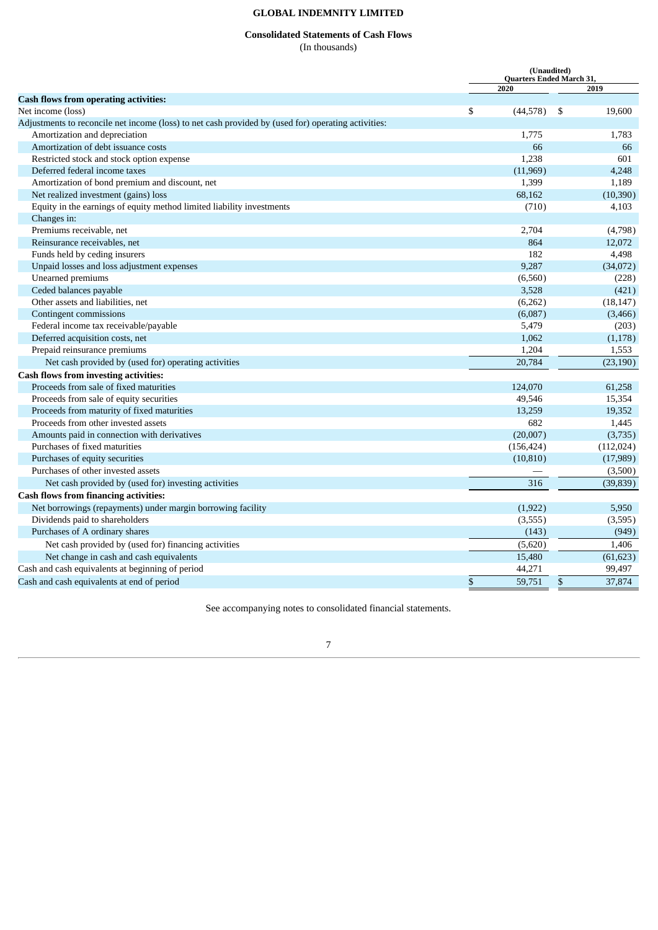### **Consolidated Statements of Cash Flows**

(In thousands)

<span id="page-6-0"></span>

|                                                                                                     | (Unaudited)<br>Quarters Ended March 31, |            |     |            |
|-----------------------------------------------------------------------------------------------------|-----------------------------------------|------------|-----|------------|
|                                                                                                     |                                         | 2020       |     | 2019       |
| <b>Cash flows from operating activities:</b>                                                        |                                         |            |     |            |
| Net income (loss)                                                                                   | \$                                      | (44, 578)  | -\$ | 19,600     |
| Adjustments to reconcile net income (loss) to net cash provided by (used for) operating activities: |                                         |            |     |            |
| Amortization and depreciation                                                                       |                                         | 1,775      |     | 1,783      |
| Amortization of debt issuance costs                                                                 |                                         | 66         |     | 66         |
| Restricted stock and stock option expense                                                           |                                         | 1,238      |     | 601        |
| Deferred federal income taxes                                                                       |                                         | (11,969)   |     | 4,248      |
| Amortization of bond premium and discount, net                                                      |                                         | 1,399      |     | 1,189      |
| Net realized investment (gains) loss                                                                |                                         | 68,162     |     | (10, 390)  |
| Equity in the earnings of equity method limited liability investments                               |                                         | (710)      |     | 4,103      |
| Changes in:                                                                                         |                                         |            |     |            |
| Premiums receivable, net                                                                            |                                         | 2,704      |     | (4,798)    |
| Reinsurance receivables, net                                                                        |                                         | 864        |     | 12,072     |
| Funds held by ceding insurers                                                                       |                                         | 182        |     | 4,498      |
| Unpaid losses and loss adjustment expenses                                                          |                                         | 9,287      |     | (34,072)   |
| Unearned premiums                                                                                   |                                         | (6,560)    |     | (228)      |
| Ceded balances payable                                                                              |                                         | 3,528      |     | (421)      |
| Other assets and liabilities, net                                                                   |                                         | (6,262)    |     | (18, 147)  |
| Contingent commissions                                                                              |                                         | (6,087)    |     | (3,466)    |
| Federal income tax receivable/payable                                                               |                                         | 5,479      |     | (203)      |
| Deferred acquisition costs, net                                                                     |                                         | 1,062      |     | (1, 178)   |
| Prepaid reinsurance premiums                                                                        |                                         | 1,204      |     | 1,553      |
| Net cash provided by (used for) operating activities                                                |                                         | 20.784     |     | (23, 190)  |
| <b>Cash flows from investing activities:</b>                                                        |                                         |            |     |            |
| Proceeds from sale of fixed maturities                                                              |                                         | 124,070    |     | 61,258     |
| Proceeds from sale of equity securities                                                             |                                         | 49,546     |     | 15,354     |
| Proceeds from maturity of fixed maturities                                                          |                                         | 13,259     |     | 19,352     |
| Proceeds from other invested assets                                                                 |                                         | 682        |     | 1,445      |
| Amounts paid in connection with derivatives                                                         |                                         | (20,007)   |     | (3,735)    |
| Purchases of fixed maturities                                                                       |                                         | (156, 424) |     | (112, 024) |
| Purchases of equity securities                                                                      |                                         | (10, 810)  |     | (17,989)   |
| Purchases of other invested assets                                                                  |                                         |            |     | (3,500)    |
| Net cash provided by (used for) investing activities                                                |                                         | 316        |     | (39, 839)  |
| <b>Cash flows from financing activities:</b>                                                        |                                         |            |     |            |
| Net borrowings (repayments) under margin borrowing facility                                         |                                         | (1,922)    |     | 5,950      |
| Dividends paid to shareholders                                                                      |                                         | (3,555)    |     | (3,595)    |
| Purchases of A ordinary shares                                                                      |                                         | (143)      |     | (949)      |
| Net cash provided by (used for) financing activities                                                |                                         | (5,620)    |     | 1,406      |
| Net change in cash and cash equivalents                                                             |                                         | 15,480     |     | (61, 623)  |
| Cash and cash equivalents at beginning of period                                                    |                                         | 44,271     |     | 99,497     |
| Cash and cash equivalents at end of period                                                          | $\mathbb{S}$                            | 59,751     | \$  | 37,874     |

See accompanying notes to consolidated financial statements.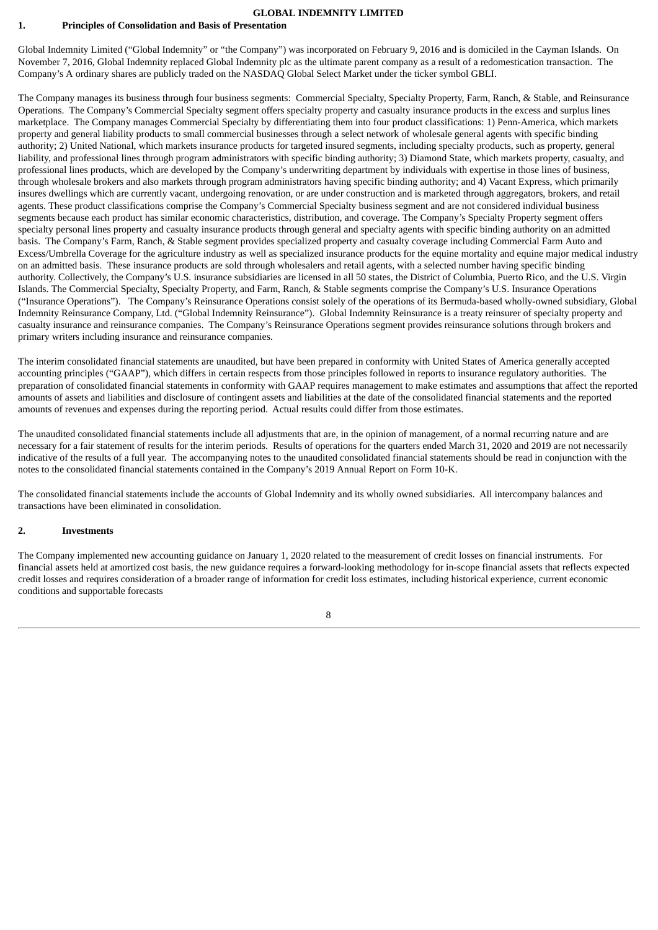#### <span id="page-7-0"></span>**1. Principles of Consolidation and Basis of Presentation**

Global Indemnity Limited ("Global Indemnity" or "the Company") was incorporated on February 9, 2016 and is domiciled in the Cayman Islands. On November 7, 2016, Global Indemnity replaced Global Indemnity plc as the ultimate parent company as a result of a redomestication transaction. The Company's A ordinary shares are publicly traded on the NASDAQ Global Select Market under the ticker symbol GBLI.

The Company manages its business through four business segments: Commercial Specialty, Specialty Property, Farm, Ranch, & Stable, and Reinsurance Operations. The Company's Commercial Specialty segment offers specialty property and casualty insurance products in the excess and surplus lines marketplace. The Company manages Commercial Specialty by differentiating them into four product classifications: 1) Penn-America, which markets property and general liability products to small commercial businesses through a select network of wholesale general agents with specific binding authority; 2) United National, which markets insurance products for targeted insured segments, including specialty products, such as property, general liability, and professional lines through program administrators with specific binding authority; 3) Diamond State, which markets property, casualty, and professional lines products, which are developed by the Company's underwriting department by individuals with expertise in those lines of business, through wholesale brokers and also markets through program administrators having specific binding authority; and 4) Vacant Express, which primarily insures dwellings which are currently vacant, undergoing renovation, or are under construction and is marketed through aggregators, brokers, and retail agents. These product classifications comprise the Company's Commercial Specialty business segment and are not considered individual business segments because each product has similar economic characteristics, distribution, and coverage. The Company's Specialty Property segment offers specialty personal lines property and casualty insurance products through general and specialty agents with specific binding authority on an admitted basis. The Company's Farm, Ranch, & Stable segment provides specialized property and casualty coverage including Commercial Farm Auto and Excess/Umbrella Coverage for the agriculture industry as well as specialized insurance products for the equine mortality and equine major medical industry on an admitted basis. These insurance products are sold through wholesalers and retail agents, with a selected number having specific binding authority. Collectively, the Company's U.S. insurance subsidiaries are licensed in all 50 states, the District of Columbia, Puerto Rico, and the U.S. Virgin Islands. The Commercial Specialty, Specialty Property, and Farm, Ranch, & Stable segments comprise the Company's U.S. Insurance Operations ("Insurance Operations"). The Company's Reinsurance Operations consist solely of the operations of its Bermuda-based wholly-owned subsidiary, Global Indemnity Reinsurance Company, Ltd. ("Global Indemnity Reinsurance"). Global Indemnity Reinsurance is a treaty reinsurer of specialty property and casualty insurance and reinsurance companies. The Company's Reinsurance Operations segment provides reinsurance solutions through brokers and primary writers including insurance and reinsurance companies.

The interim consolidated financial statements are unaudited, but have been prepared in conformity with United States of America generally accepted accounting principles ("GAAP"), which differs in certain respects from those principles followed in reports to insurance regulatory authorities. The preparation of consolidated financial statements in conformity with GAAP requires management to make estimates and assumptions that affect the reported amounts of assets and liabilities and disclosure of contingent assets and liabilities at the date of the consolidated financial statements and the reported amounts of revenues and expenses during the reporting period. Actual results could differ from those estimates.

The unaudited consolidated financial statements include all adjustments that are, in the opinion of management, of a normal recurring nature and are necessary for a fair statement of results for the interim periods. Results of operations for the quarters ended March 31, 2020 and 2019 are not necessarily indicative of the results of a full year. The accompanying notes to the unaudited consolidated financial statements should be read in conjunction with the notes to the consolidated financial statements contained in the Company's 2019 Annual Report on Form 10-K.

The consolidated financial statements include the accounts of Global Indemnity and its wholly owned subsidiaries. All intercompany balances and transactions have been eliminated in consolidation.

#### **2. Investments**

The Company implemented new accounting guidance on January 1, 2020 related to the measurement of credit losses on financial instruments. For financial assets held at amortized cost basis, the new guidance requires a forward-looking methodology for in-scope financial assets that reflects expected credit losses and requires consideration of a broader range of information for credit loss estimates, including historical experience, current economic conditions and supportable forecasts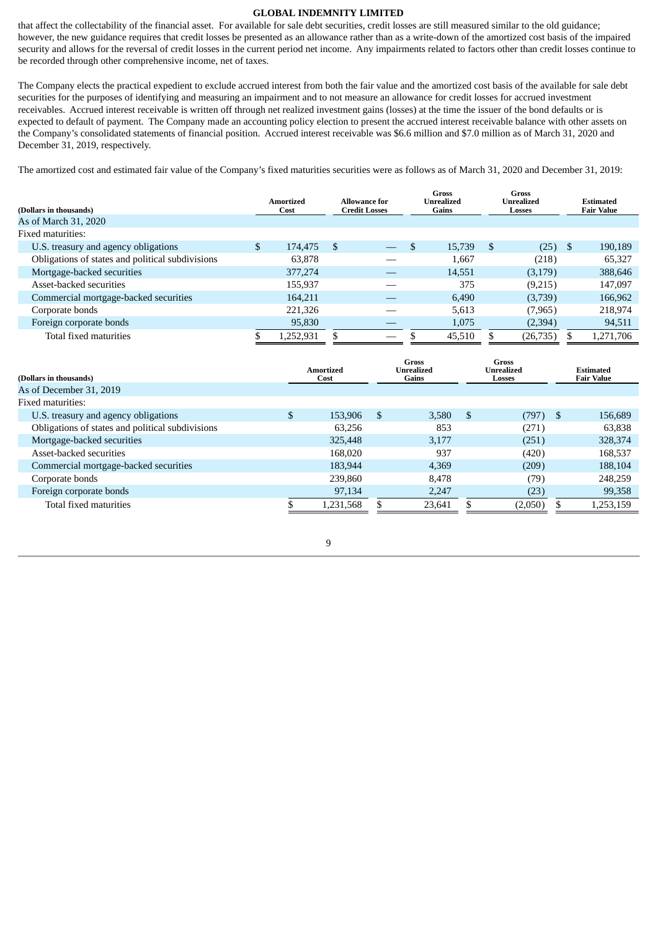that affect the collectability of the financial asset. For available for sale debt securities, credit losses are still measured similar to the old guidance; however, the new guidance requires that credit losses be presented as an allowance rather than as a write-down of the amortized cost basis of the impaired security and allows for the reversal of credit losses in the current period net income. Any impairments related to factors other than credit losses continue to be recorded through other comprehensive income, net of taxes.

The Company elects the practical expedient to exclude accrued interest from both the fair value and the amortized cost basis of the available for sale debt securities for the purposes of identifying and measuring an impairment and to not measure an allowance for credit losses for accrued investment receivables. Accrued interest receivable is written off through net realized investment gains (losses) at the time the issuer of the bond defaults or is expected to default of payment. The Company made an accounting policy election to present the accrued interest receivable balance with other assets on the Company's consolidated statements of financial position. Accrued interest receivable was \$6.6 million and \$7.0 million as of March 31, 2020 and December 31, 2019, respectively.

The amortized cost and estimated fair value of the Company's fixed maturities securities were as follows as of March 31, 2020 and December 31, 2019:

| (Dollars in thousands)                           |     | Amortized<br>Cost |     | Allowance for<br><b>Credit Losses</b> |    | <b>Gross</b><br>Unrealized<br>Gains |    | Gross<br><b>Unrealized</b><br>Losses |     | <b>Estimated</b><br><b>Fair Value</b> |
|--------------------------------------------------|-----|-------------------|-----|---------------------------------------|----|-------------------------------------|----|--------------------------------------|-----|---------------------------------------|
| As of March 31, 2020                             |     |                   |     |                                       |    |                                     |    |                                      |     |                                       |
| Fixed maturities:                                |     |                   |     |                                       |    |                                     |    |                                      |     |                                       |
| U.S. treasury and agency obligations             | \$. | 174,475           | \$  |                                       | \$ | 15,739                              | -S | (25)                                 | -\$ | 190,189                               |
| Obligations of states and political subdivisions |     | 63.878            |     |                                       |    | 1.667                               |    | (218)                                |     | 65,327                                |
| Mortgage-backed securities                       |     | 377,274           |     |                                       |    | 14,551                              |    | (3,179)                              |     | 388,646                               |
| Asset-backed securities                          |     | 155,937           |     |                                       |    | 375                                 |    | (9,215)                              |     | 147,097                               |
| Commercial mortgage-backed securities            |     | 164,211           |     |                                       |    | 6,490                               |    | (3,739)                              |     | 166,962                               |
| Corporate bonds                                  |     | 221,326           |     |                                       |    | 5.613                               |    | (7,965)                              |     | 218,974                               |
| Foreign corporate bonds                          |     | 95,830            |     |                                       |    | 1,075                               |    | (2,394)                              |     | 94,511                                |
| Total fixed maturities                           |     | 1,252,931         | \$. |                                       |    | 45,510                              |    | (26, 735)                            |     | 1,271,706                             |

| (Dollars in thousands)                           |     | Amortized<br>Cost |    | Gross<br>Unrealized<br>Gains | <b>Gross</b><br>Unrealized<br>Losses |            |  | <b>Estimated</b><br><b>Fair Value</b> |  |
|--------------------------------------------------|-----|-------------------|----|------------------------------|--------------------------------------|------------|--|---------------------------------------|--|
| As of December 31, 2019                          |     |                   |    |                              |                                      |            |  |                                       |  |
| Fixed maturities:                                |     |                   |    |                              |                                      |            |  |                                       |  |
| U.S. treasury and agency obligations             | \$. | 153,906           | -S | 3,580                        | -S                                   | $(797)$ \$ |  | 156,689                               |  |
| Obligations of states and political subdivisions |     | 63,256            |    | 853                          |                                      | (271)      |  | 63,838                                |  |
| Mortgage-backed securities                       |     | 325,448           |    | 3.177                        |                                      | (251)      |  | 328,374                               |  |
| Asset-backed securities                          |     | 168,020           |    | 937                          |                                      | (420)      |  | 168,537                               |  |
| Commercial mortgage-backed securities            |     | 183,944           |    | 4,369                        |                                      | (209)      |  | 188,104                               |  |
| Corporate bonds                                  |     | 239,860           |    | 8.478                        |                                      | (79)       |  | 248,259                               |  |
| Foreign corporate bonds                          |     | 97,134            |    | 2,247                        |                                      | (23)       |  | 99,358                                |  |
| Total fixed maturities                           |     | 1,231,568         |    | 23,641                       |                                      | (2,050)    |  | 1,253,159                             |  |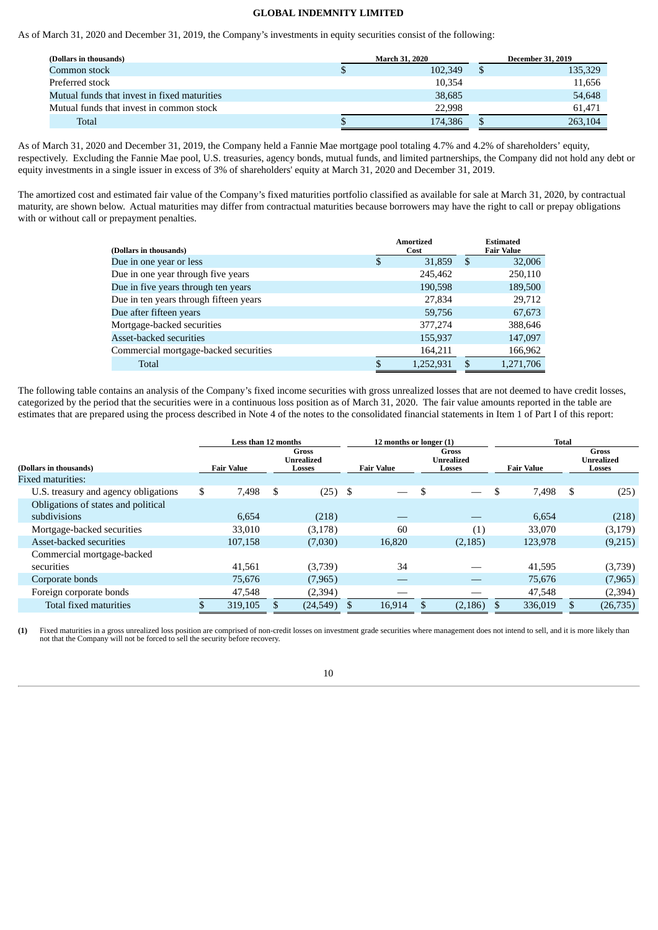As of March 31, 2020 and December 31, 2019, the Company's investments in equity securities consist of the following:

| (Dollars in thousands)                       | <b>March 31, 2020</b> |         | <b>December 31, 2019</b> |         |  |  |
|----------------------------------------------|-----------------------|---------|--------------------------|---------|--|--|
| Common stock                                 |                       | 102,349 |                          | 135,329 |  |  |
| Preferred stock                              |                       | 10.354  |                          | 11,656  |  |  |
| Mutual funds that invest in fixed maturities |                       | 38,685  |                          | 54,648  |  |  |
| Mutual funds that invest in common stock     |                       | 22,998  |                          | 61.471  |  |  |
| Total                                        |                       | 174,386 |                          | 263.104 |  |  |

As of March 31, 2020 and December 31, 2019, the Company held a Fannie Mae mortgage pool totaling 4.7% and 4.2% of shareholders' equity, respectively. Excluding the Fannie Mae pool, U.S. treasuries, agency bonds, mutual funds, and limited partnerships, the Company did not hold any debt or equity investments in a single issuer in excess of 3% of shareholders' equity at March 31, 2020 and December 31, 2019.

The amortized cost and estimated fair value of the Company's fixed maturities portfolio classified as available for sale at March 31, 2020, by contractual maturity, are shown below. Actual maturities may differ from contractual maturities because borrowers may have the right to call or prepay obligations with or without call or prepayment penalties.

|                                        | <b>Amortized</b> |           |                   | <b>Estimated</b> |  |
|----------------------------------------|------------------|-----------|-------------------|------------------|--|
| (Dollars in thousands)                 |                  | Cost      | <b>Fair Value</b> |                  |  |
| Due in one year or less                | \$               | 31,859    | S                 | 32,006           |  |
| Due in one year through five years     |                  | 245,462   |                   | 250,110          |  |
| Due in five years through ten years    |                  | 190,598   |                   | 189,500          |  |
| Due in ten years through fifteen years |                  | 27,834    |                   | 29,712           |  |
| Due after fifteen years                |                  | 59,756    |                   | 67,673           |  |
| Mortgage-backed securities             |                  | 377,274   |                   | 388,646          |  |
| Asset-backed securities                |                  | 155,937   |                   | 147,097          |  |
| Commercial mortgage-backed securities  |                  | 164,211   |                   | 166,962          |  |
| Total                                  | \$               | 1,252,931 |                   | 1,271,706        |  |

The following table contains an analysis of the Company's fixed income securities with gross unrealized losses that are not deemed to have credit losses, categorized by the period that the securities were in a continuous loss position as of March 31, 2020. The fair value amounts reported in the table are estimates that are prepared using the process described in Note 4 of the notes to the consolidated financial statements in Item 1 of Part I of this report:

|                                      | Less than 12 months |                               | 12 months or longer (1) |                   |  | <b>Total</b>                         |    |                   |   |                               |
|--------------------------------------|---------------------|-------------------------------|-------------------------|-------------------|--|--------------------------------------|----|-------------------|---|-------------------------------|
| (Dollars in thousands)               | <b>Fair Value</b>   | Gross<br>Unrealized<br>Losses |                         | <b>Fair Value</b> |  | Gross<br><b>Unrealized</b><br>Losses |    | <b>Fair Value</b> |   | Gross<br>Unrealized<br>Losses |
| <b>Fixed maturities:</b>             |                     |                               |                         |                   |  |                                      |    |                   |   |                               |
| U.S. treasury and agency obligations | \$<br>7,498         | \$<br>$(25)$ \$               |                         |                   |  |                                      | \$ | 7,498             | S | (25)                          |
| Obligations of states and political  |                     |                               |                         |                   |  |                                      |    |                   |   |                               |
| subdivisions                         | 6,654               | (218)                         |                         |                   |  |                                      |    | 6,654             |   | (218)                         |
| Mortgage-backed securities           | 33,010              | (3, 178)                      |                         | 60                |  | (1)                                  |    | 33,070            |   | (3,179)                       |
| Asset-backed securities              | 107,158             | (7,030)                       |                         | 16,820            |  | (2, 185)                             |    | 123,978           |   | (9,215)                       |
| Commercial mortgage-backed           |                     |                               |                         |                   |  |                                      |    |                   |   |                               |
| securities                           | 41.561              | (3,739)                       |                         | 34                |  |                                      |    | 41,595            |   | (3,739)                       |
| Corporate bonds                      | 75.676              | (7,965)                       |                         |                   |  |                                      |    | 75,676            |   | (7,965)                       |
| Foreign corporate bonds              | 47,548              | (2,394)                       |                         |                   |  |                                      |    | 47,548            |   | (2,394)                       |
| Total fixed maturities               | 319,105             | (24, 549)                     | Ъ                       | 16,914            |  | (2, 186)                             |    | 336,019           |   | (26, 735)                     |

**(1)** Fixed maturities in a gross unrealized loss position are comprised of non-credit losses on investment grade securities where management does not intend to sell, and it is more likely than not that the Company will not be forced to sell the security before recovery.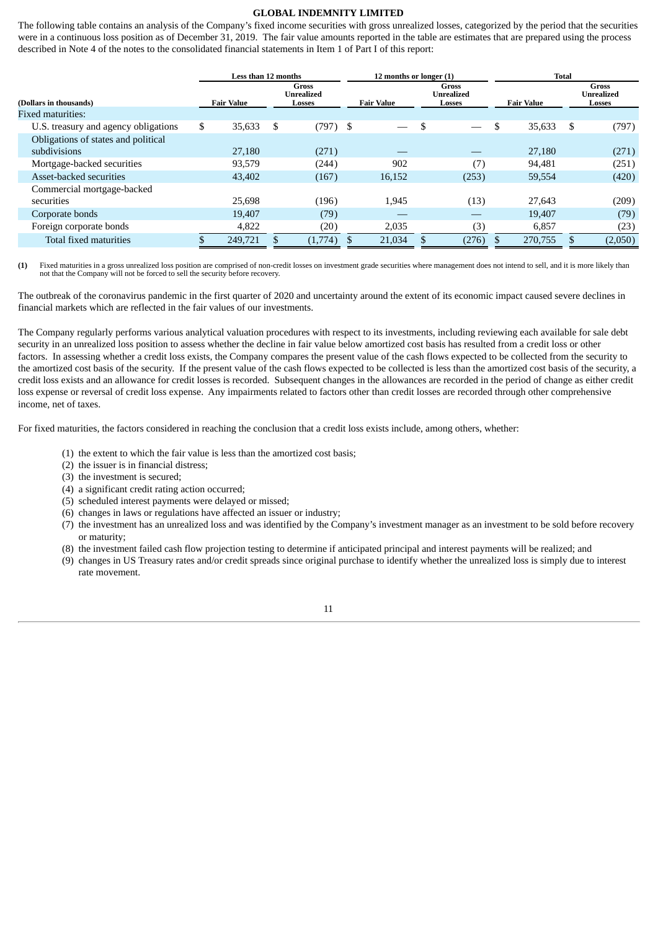The following table contains an analysis of the Company's fixed income securities with gross unrealized losses, categorized by the period that the securities were in a continuous loss position as of December 31, 2019. The fair value amounts reported in the table are estimates that are prepared using the process described in Note 4 of the notes to the consolidated financial statements in Item 1 of Part I of this report:

|                                      | Less than 12 months |   |                               | 12 months or longer (1)  |                                      |                   | Total |                                             |
|--------------------------------------|---------------------|---|-------------------------------|--------------------------|--------------------------------------|-------------------|-------|---------------------------------------------|
| (Dollars in thousands)               | Fair Value          |   | Gross<br>Unrealized<br>Losses | <b>Fair Value</b>        | Gross<br><b>Unrealized</b><br>Losses | <b>Fair Value</b> |       | <b>Gross</b><br><b>Unrealized</b><br>Losses |
| <b>Fixed maturities:</b>             |                     |   |                               |                          |                                      |                   |       |                                             |
| U.S. treasury and agency obligations | \$<br>35,633        | S | $(797)$ \$                    | $\overline{\phantom{0}}$ |                                      | \$<br>35,633      |       | (797)                                       |
| Obligations of states and political  |                     |   |                               |                          |                                      |                   |       |                                             |
| subdivisions                         | 27,180              |   | (271)                         |                          |                                      | 27,180            |       | (271)                                       |
| Mortgage-backed securities           | 93,579              |   | (244)                         | 902                      | (7)                                  | 94,481            |       | (251)                                       |
| Asset-backed securities              | 43,402              |   | (167)                         | 16,152                   | (253)                                | 59,554            |       | (420)                                       |
| Commercial mortgage-backed           |                     |   |                               |                          |                                      |                   |       |                                             |
| securities                           | 25.698              |   | (196)                         | 1,945                    | (13)                                 | 27,643            |       | (209)                                       |
| Corporate bonds                      | 19.407              |   | (79)                          | __                       |                                      | 19,407            |       | (79)                                        |
| Foreign corporate bonds              | 4,822               |   | (20)                          | 2,035                    | (3)                                  | 6,857             |       | (23)                                        |
| Total fixed maturities               | 249,721             |   | (1,774)                       | 21,034                   | (276)                                | 270,755           |       | (2,050)                                     |

(1) Fixed maturities in a gross unrealized loss position are comprised of non-credit losses on investment grade securities where management does not intend to sell, and it is more likely than not that the Company will not

The outbreak of the coronavirus pandemic in the first quarter of 2020 and uncertainty around the extent of its economic impact caused severe declines in financial markets which are reflected in the fair values of our investments.

The Company regularly performs various analytical valuation procedures with respect to its investments, including reviewing each available for sale debt security in an unrealized loss position to assess whether the decline in fair value below amortized cost basis has resulted from a credit loss or other factors. In assessing whether a credit loss exists, the Company compares the present value of the cash flows expected to be collected from the security to the amortized cost basis of the security. If the present value of the cash flows expected to be collected is less than the amortized cost basis of the security, a credit loss exists and an allowance for credit losses is recorded. Subsequent changes in the allowances are recorded in the period of change as either credit loss expense or reversal of credit loss expense. Any impairments related to factors other than credit losses are recorded through other comprehensive income, net of taxes.

For fixed maturities, the factors considered in reaching the conclusion that a credit loss exists include, among others, whether:

- (1) the extent to which the fair value is less than the amortized cost basis;
- (2) the issuer is in financial distress;
- (3) the investment is secured;
- (4) a significant credit rating action occurred;
- (5) scheduled interest payments were delayed or missed;
- (6) changes in laws or regulations have affected an issuer or industry;
- (7) the investment has an unrealized loss and was identified by the Company's investment manager as an investment to be sold before recovery or maturity;
- (8) the investment failed cash flow projection testing to determine if anticipated principal and interest payments will be realized; and
- (9) changes in US Treasury rates and/or credit spreads since original purchase to identify whether the unrealized loss is simply due to interest rate movement.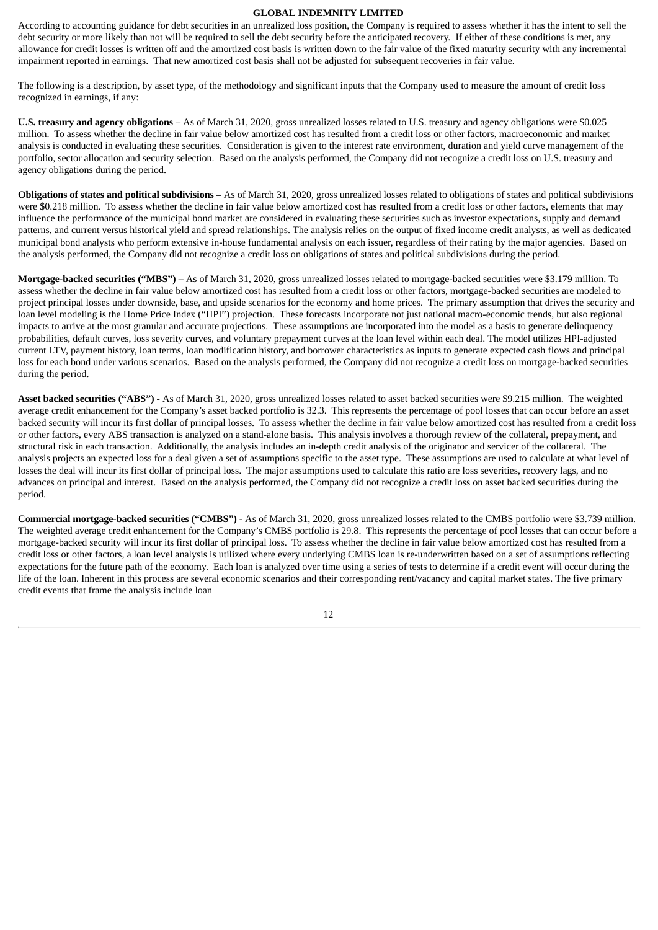According to accounting guidance for debt securities in an unrealized loss position, the Company is required to assess whether it has the intent to sell the debt security or more likely than not will be required to sell the debt security before the anticipated recovery. If either of these conditions is met, any allowance for credit losses is written off and the amortized cost basis is written down to the fair value of the fixed maturity security with any incremental impairment reported in earnings. That new amortized cost basis shall not be adjusted for subsequent recoveries in fair value.

The following is a description, by asset type, of the methodology and significant inputs that the Company used to measure the amount of credit loss recognized in earnings, if any:

**U.S. treasury and agency obligations** – As of March 31, 2020, gross unrealized losses related to U.S. treasury and agency obligations were \$0.025 million. To assess whether the decline in fair value below amortized cost has resulted from a credit loss or other factors, macroeconomic and market analysis is conducted in evaluating these securities. Consideration is given to the interest rate environment, duration and yield curve management of the portfolio, sector allocation and security selection. Based on the analysis performed, the Company did not recognize a credit loss on U.S. treasury and agency obligations during the period.

**Obligations of states and political subdivisions –** As of March 31, 2020, gross unrealized losses related to obligations of states and political subdivisions were \$0.218 million. To assess whether the decline in fair value below amortized cost has resulted from a credit loss or other factors, elements that may influence the performance of the municipal bond market are considered in evaluating these securities such as investor expectations, supply and demand patterns, and current versus historical yield and spread relationships. The analysis relies on the output of fixed income credit analysts, as well as dedicated municipal bond analysts who perform extensive in-house fundamental analysis on each issuer, regardless of their rating by the major agencies. Based on the analysis performed, the Company did not recognize a credit loss on obligations of states and political subdivisions during the period.

**Mortgage-backed securities ("MBS") –** As of March 31, 2020, gross unrealized losses related to mortgage-backed securities were \$3.179 million. To assess whether the decline in fair value below amortized cost has resulted from a credit loss or other factors, mortgage-backed securities are modeled to project principal losses under downside, base, and upside scenarios for the economy and home prices. The primary assumption that drives the security and loan level modeling is the Home Price Index ("HPI") projection. These forecasts incorporate not just national macro-economic trends, but also regional impacts to arrive at the most granular and accurate projections. These assumptions are incorporated into the model as a basis to generate delinquency probabilities, default curves, loss severity curves, and voluntary prepayment curves at the loan level within each deal. The model utilizes HPI-adjusted current LTV, payment history, loan terms, loan modification history, and borrower characteristics as inputs to generate expected cash flows and principal loss for each bond under various scenarios. Based on the analysis performed, the Company did not recognize a credit loss on mortgage-backed securities during the period.

**Asset backed securities ("ABS") -** As of March 31, 2020, gross unrealized losses related to asset backed securities were \$9.215 million. The weighted average credit enhancement for the Company's asset backed portfolio is 32.3. This represents the percentage of pool losses that can occur before an asset backed security will incur its first dollar of principal losses. To assess whether the decline in fair value below amortized cost has resulted from a credit loss or other factors, every ABS transaction is analyzed on a stand-alone basis. This analysis involves a thorough review of the collateral, prepayment, and structural risk in each transaction. Additionally, the analysis includes an in-depth credit analysis of the originator and servicer of the collateral. The analysis projects an expected loss for a deal given a set of assumptions specific to the asset type. These assumptions are used to calculate at what level of losses the deal will incur its first dollar of principal loss. The major assumptions used to calculate this ratio are loss severities, recovery lags, and no advances on principal and interest. Based on the analysis performed, the Company did not recognize a credit loss on asset backed securities during the period.

**Commercial mortgage-backed securities ("CMBS") -** As of March 31, 2020, gross unrealized losses related to the CMBS portfolio were \$3.739 million. The weighted average credit enhancement for the Company's CMBS portfolio is 29.8. This represents the percentage of pool losses that can occur before a mortgage-backed security will incur its first dollar of principal loss. To assess whether the decline in fair value below amortized cost has resulted from a credit loss or other factors, a loan level analysis is utilized where every underlying CMBS loan is re-underwritten based on a set of assumptions reflecting expectations for the future path of the economy. Each loan is analyzed over time using a series of tests to determine if a credit event will occur during the life of the loan. Inherent in this process are several economic scenarios and their corresponding rent/vacancy and capital market states. The five primary credit events that frame the analysis include loan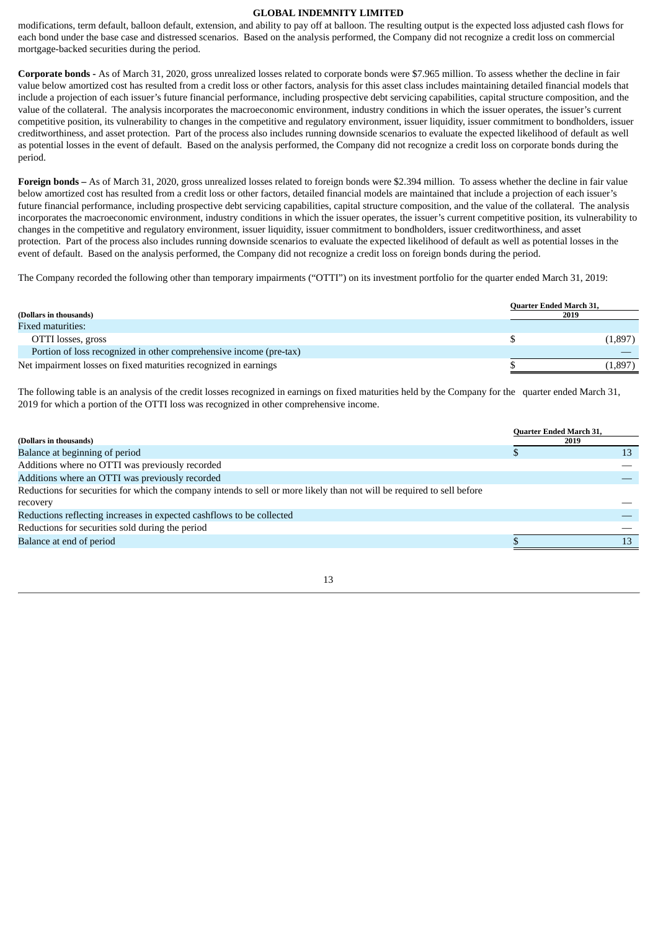modifications, term default, balloon default, extension, and ability to pay off at balloon. The resulting output is the expected loss adjusted cash flows for each bond under the base case and distressed scenarios. Based on the analysis performed, the Company did not recognize a credit loss on commercial mortgage-backed securities during the period.

**Corporate bonds -** As of March 31, 2020, gross unrealized losses related to corporate bonds were \$7.965 million. To assess whether the decline in fair value below amortized cost has resulted from a credit loss or other factors, analysis for this asset class includes maintaining detailed financial models that include a projection of each issuer's future financial performance, including prospective debt servicing capabilities, capital structure composition, and the value of the collateral. The analysis incorporates the macroeconomic environment, industry conditions in which the issuer operates, the issuer's current competitive position, its vulnerability to changes in the competitive and regulatory environment, issuer liquidity, issuer commitment to bondholders, issuer creditworthiness, and asset protection. Part of the process also includes running downside scenarios to evaluate the expected likelihood of default as well as potential losses in the event of default. Based on the analysis performed, the Company did not recognize a credit loss on corporate bonds during the period.

**Foreign bonds –** As of March 31, 2020, gross unrealized losses related to foreign bonds were \$2.394 million. To assess whether the decline in fair value below amortized cost has resulted from a credit loss or other factors, detailed financial models are maintained that include a projection of each issuer's future financial performance, including prospective debt servicing capabilities, capital structure composition, and the value of the collateral. The analysis incorporates the macroeconomic environment, industry conditions in which the issuer operates, the issuer's current competitive position, its vulnerability to changes in the competitive and regulatory environment, issuer liquidity, issuer commitment to bondholders, issuer creditworthiness, and asset protection. Part of the process also includes running downside scenarios to evaluate the expected likelihood of default as well as potential losses in the event of default. Based on the analysis performed, the Company did not recognize a credit loss on foreign bonds during the period.

The Company recorded the following other than temporary impairments ("OTTI") on its investment portfolio for the quarter ended March 31, 2019:

| (Dollars in thousands)                                             | Quarter Ended March 31,<br>2019 |             |
|--------------------------------------------------------------------|---------------------------------|-------------|
| Fixed maturities:                                                  |                                 |             |
| OTTI losses, gross                                                 |                                 | $(1,\!897)$ |
| Portion of loss recognized in other comprehensive income (pre-tax) |                                 |             |
| Net impairment losses on fixed maturities recognized in earnings   |                                 | 1,897       |

The following table is an analysis of the credit losses recognized in earnings on fixed maturities held by the Company for the quarter ended March 31, 2019 for which a portion of the OTTI loss was recognized in other comprehensive income.

|                                                                                                                         | <b>Quarter Ended March 31,</b> |      |
|-------------------------------------------------------------------------------------------------------------------------|--------------------------------|------|
| (Dollars in thousands)                                                                                                  |                                | 2019 |
| Balance at beginning of period                                                                                          |                                |      |
| Additions where no OTTI was previously recorded                                                                         |                                |      |
| Additions where an OTTI was previously recorded                                                                         |                                |      |
| Reductions for securities for which the company intends to sell or more likely than not will be required to sell before |                                |      |
| recovery                                                                                                                |                                |      |
| Reductions reflecting increases in expected cashflows to be collected                                                   |                                |      |
| Reductions for securities sold during the period                                                                        |                                |      |
| Balance at end of period                                                                                                |                                |      |
|                                                                                                                         |                                |      |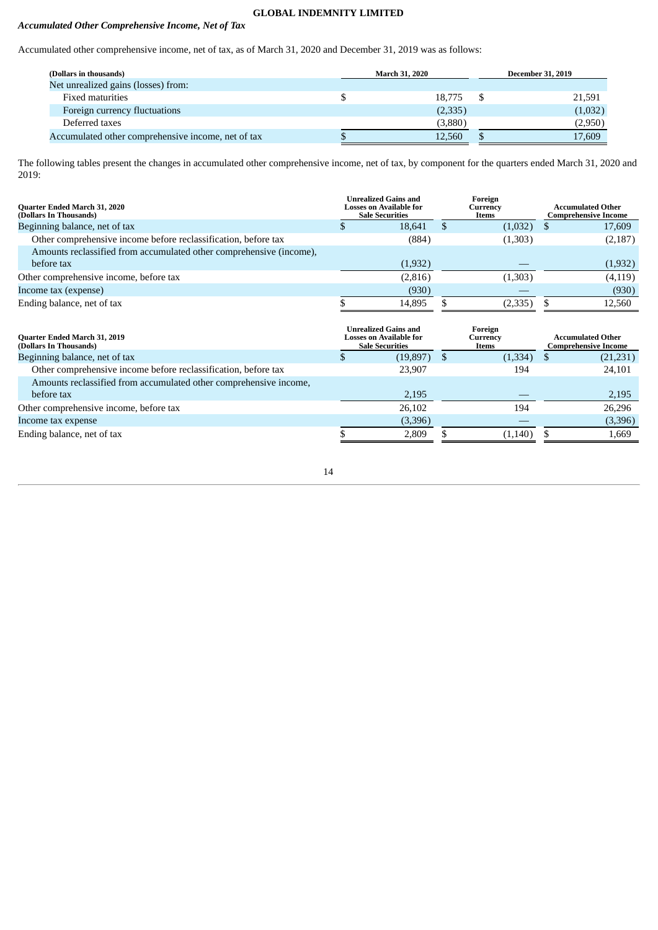#### *Accumulated Other Comprehensive Income, Net of Tax*

Accumulated other comprehensive income, net of tax, as of March 31, 2020 and December 31, 2019 was as follows:

| (Dollars in thousands)                             | <b>March 31, 2020</b> |          |   | <b>December 31, 2019</b> |
|----------------------------------------------------|-----------------------|----------|---|--------------------------|
| Net unrealized gains (losses) from:                |                       |          |   |                          |
| <b>Fixed maturities</b>                            |                       | 18.775   | S | 21,591                   |
| Foreign currency fluctuations                      |                       | (2, 335) |   | (1,032)                  |
| Deferred taxes                                     |                       | (3,880)  |   | (2,950)                  |
| Accumulated other comprehensive income, net of tax |                       | 12,560   |   | 17,609                   |

The following tables present the changes in accumulated other comprehensive income, net of tax, by component for the quarters ended March 31, 2020 and 2019:

| Quarter Ended March 31, 2020<br>(Dollars In Thousands)              | <b>Unrealized Gains and</b><br><b>Losses on Available for</b><br><b>Sale Securities</b> |               | Foreign<br>Currency<br>Items |     | <b>Accumulated Other</b><br><b>Comprehensive Income</b> |
|---------------------------------------------------------------------|-----------------------------------------------------------------------------------------|---------------|------------------------------|-----|---------------------------------------------------------|
| Beginning balance, net of tax                                       | \$<br>18,641                                                                            | <sup>\$</sup> | (1,032)                      | S.  | 17,609                                                  |
| Other comprehensive income before reclassification, before tax      | (884)                                                                                   |               | (1,303)                      |     | (2,187)                                                 |
| Amounts reclassified from accumulated other comprehensive (income), |                                                                                         |               |                              |     |                                                         |
| before tax                                                          | (1,932)                                                                                 |               |                              |     | (1,932)                                                 |
| Other comprehensive income, before tax                              | (2,816)                                                                                 |               | (1, 303)                     |     | (4, 119)                                                |
| Income tax (expense)                                                | (930)                                                                                   |               |                              |     | (930)                                                   |
| Ending balance, net of tax                                          | 14,895                                                                                  | \$.           | (2, 335)                     | \$  | 12,560                                                  |
|                                                                     | <b>Unrealized Gains and</b>                                                             |               | Foreign                      |     |                                                         |
| Quarter Ended March 31, 2019<br>(Dollars In Thousands)              | <b>Losses on Available for</b><br><b>Sale Securities</b>                                |               | Currency<br>Items            |     | <b>Accumulated Other</b><br>Comprehensive Income        |
| Beginning balance, net of tax                                       | (19, 897)                                                                               | <sup>\$</sup> | (1, 334)                     | \$. | (21, 231)                                               |
| Other comprehensive income before reclassification, before tax      | 23,907                                                                                  |               | 194                          |     | 24,101                                                  |
| Amounts reclassified from accumulated other comprehensive income,   |                                                                                         |               |                              |     |                                                         |
| before tax                                                          | 2,195                                                                                   |               |                              |     | 2,195                                                   |
| Other comprehensive income, before tax                              | 26,102                                                                                  |               | 194                          |     | 26,296                                                  |
| Income tax expense                                                  | (3,396)                                                                                 |               |                              |     | (3,396)                                                 |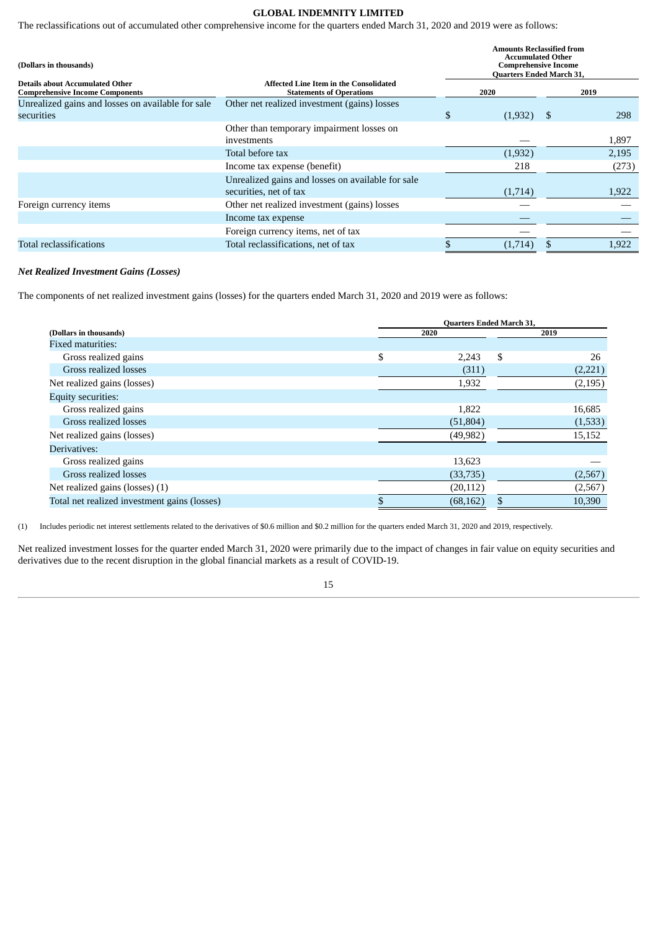The reclassifications out of accumulated other comprehensive income for the quarters ended March 31, 2020 and 2019 were as follows:

| (Dollars in thousands)                                                           | <b>Amounts Reclassified from</b><br><b>Accumulated Other</b><br><b>Comprehensive Income</b><br><b>Quarters Ended March 31,</b> |    |         |      |       |  |
|----------------------------------------------------------------------------------|--------------------------------------------------------------------------------------------------------------------------------|----|---------|------|-------|--|
| <b>Details about Accumulated Other</b><br><b>Comprehensive Income Components</b> | <b>Affected Line Item in the Consolidated</b><br><b>Statements of Operations</b>                                               |    | 2020    |      | 2019  |  |
| Unrealized gains and losses on available for sale                                | Other net realized investment (gains) losses                                                                                   |    |         |      |       |  |
| securities                                                                       |                                                                                                                                | \$ | (1,932) | - \$ | 298   |  |
|                                                                                  | Other than temporary impairment losses on<br>investments                                                                       |    |         |      | 1,897 |  |
|                                                                                  | Total before tax                                                                                                               |    | (1,932) |      | 2,195 |  |
|                                                                                  | Income tax expense (benefit)                                                                                                   |    | 218     |      | (273) |  |
|                                                                                  | Unrealized gains and losses on available for sale<br>securities, net of tax                                                    |    | (1,714) |      | 1,922 |  |
| Foreign currency items                                                           | Other net realized investment (gains) losses                                                                                   |    |         |      |       |  |
|                                                                                  | Income tax expense                                                                                                             |    |         |      |       |  |
|                                                                                  | Foreign currency items, net of tax                                                                                             |    |         |      |       |  |
| Total reclassifications                                                          | Total reclassifications, net of tax                                                                                            |    | (1,714) |      | 1,922 |  |

### *Net Realized Investment Gains (Losses)*

The components of net realized investment gains (losses) for the quarters ended March 31, 2020 and 2019 were as follows:

|                                              | Quarters Ended March 31, |           |    |          |  |
|----------------------------------------------|--------------------------|-----------|----|----------|--|
| (Dollars in thousands)                       |                          | 2020      |    | 2019     |  |
| <b>Fixed maturities:</b>                     |                          |           |    |          |  |
| Gross realized gains                         | \$                       | 2,243     | \$ | 26       |  |
| Gross realized losses                        |                          | (311)     |    | (2,221)  |  |
| Net realized gains (losses)                  |                          | 1,932     |    | (2, 195) |  |
| <b>Equity securities:</b>                    |                          |           |    |          |  |
| Gross realized gains                         |                          | 1,822     |    | 16,685   |  |
| Gross realized losses                        |                          | (51, 804) |    | (1,533)  |  |
| Net realized gains (losses)                  |                          | (49, 982) |    | 15,152   |  |
| Derivatives:                                 |                          |           |    |          |  |
| Gross realized gains                         |                          | 13,623    |    |          |  |
| Gross realized losses                        |                          | (33,735)  |    | (2,567)  |  |
| Net realized gains (losses) (1)              |                          | (20, 112) |    | (2,567)  |  |
| Total net realized investment gains (losses) |                          | (68, 162) | \$ | 10,390   |  |

(1) Includes periodic net interest settlements related to the derivatives of \$0.6 million and \$0.2 million for the quarters ended March 31, 2020 and 2019, respectively.

Net realized investment losses for the quarter ended March 31, 2020 were primarily due to the impact of changes in fair value on equity securities and derivatives due to the recent disruption in the global financial markets as a result of COVID-19.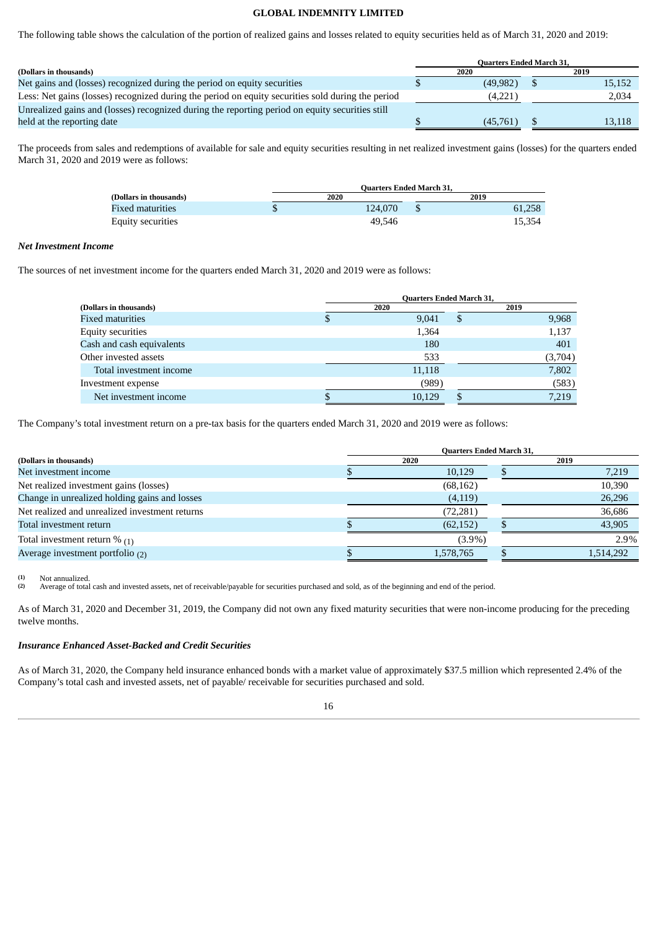The following table shows the calculation of the portion of realized gains and losses related to equity securities held as of March 31, 2020 and 2019:

|                                                                                                   | <b>Quarters Ended March 31,</b> |          |  |        |
|---------------------------------------------------------------------------------------------------|---------------------------------|----------|--|--------|
| (Dollars in thousands)                                                                            |                                 | 2020     |  | 2019   |
| Net gains and (losses) recognized during the period on equity securities                          |                                 | (49.982) |  | 15,152 |
| Less: Net gains (losses) recognized during the period on equity securities sold during the period |                                 | (4,221)  |  | 2,034  |
| Unrealized gains and (losses) recognized during the reporting period on equity securities still   |                                 |          |  |        |
| held at the reporting date                                                                        |                                 | (45,761) |  | 13,118 |

The proceeds from sales and redemptions of available for sale and equity securities resulting in net realized investment gains (losses) for the quarters ended March 31, 2020 and 2019 were as follows:

|                          |    | <b>Ouarters Ended March 31.</b> |  |      |        |  |  |  |
|--------------------------|----|---------------------------------|--|------|--------|--|--|--|
| (Dollars in thousands)   |    | 2020                            |  | 2019 |        |  |  |  |
| Fixed maturities         | ۰υ | 124,070                         |  |      | 61.258 |  |  |  |
| <b>Equity securities</b> |    | 49.546                          |  |      | 15.354 |  |  |  |

#### *Net Investment Income*

The sources of net investment income for the quarters ended March 31, 2020 and 2019 were as follows:

|                           | <b>Quarters Ended March 31,</b> |        |   |         |  |  |  |
|---------------------------|---------------------------------|--------|---|---------|--|--|--|
| (Dollars in thousands)    |                                 | 2020   |   | 2019    |  |  |  |
| <b>Fixed maturities</b>   | Φ                               | 9.041  | S | 9,968   |  |  |  |
| <b>Equity securities</b>  |                                 | 1,364  |   | 1,137   |  |  |  |
| Cash and cash equivalents |                                 | 180    |   | 401     |  |  |  |
| Other invested assets     |                                 | 533    |   | (3,704) |  |  |  |
| Total investment income   |                                 | 11,118 |   | 7,802   |  |  |  |
| Investment expense        |                                 | (989)  |   | (583)   |  |  |  |
| Net investment income     |                                 | 10,129 |   | 7,219   |  |  |  |

The Company's total investment return on a pre-tax basis for the quarters ended March 31, 2020 and 2019 were as follows:

|                                                |      | <b>Quarters Ended March 31,</b> |  |           |
|------------------------------------------------|------|---------------------------------|--|-----------|
| (Dollars in thousands)                         | 2020 |                                 |  | 2019      |
| Net investment income                          |      | 10,129                          |  | 7,219     |
| Net realized investment gains (losses)         |      | (68, 162)                       |  | 10,390    |
| Change in unrealized holding gains and losses  |      | (4,119)                         |  | 26,296    |
| Net realized and unrealized investment returns |      | (72, 281)                       |  | 36,686    |
| Total investment return                        |      | (62, 152)                       |  | 43,905    |
| Total investment return $\%$ (1)               |      | $(3.9\%)$                       |  | 2.9%      |
| Average investment portfolio $(2)$             |      | 1,578,765                       |  | 1,514,292 |

**(1)** Not annualized.

**(2)** Average of total cash and invested assets, net of receivable/payable for securities purchased and sold, as of the beginning and end of the period.

As of March 31, 2020 and December 31, 2019, the Company did not own any fixed maturity securities that were non-income producing for the preceding twelve months.

#### *Insurance Enhanced Asset-Backed and Credit Securities*

As of March 31, 2020, the Company held insurance enhanced bonds with a market value of approximately \$37.5 million which represented 2.4% of the Company's total cash and invested assets, net of payable/ receivable for securities purchased and sold.

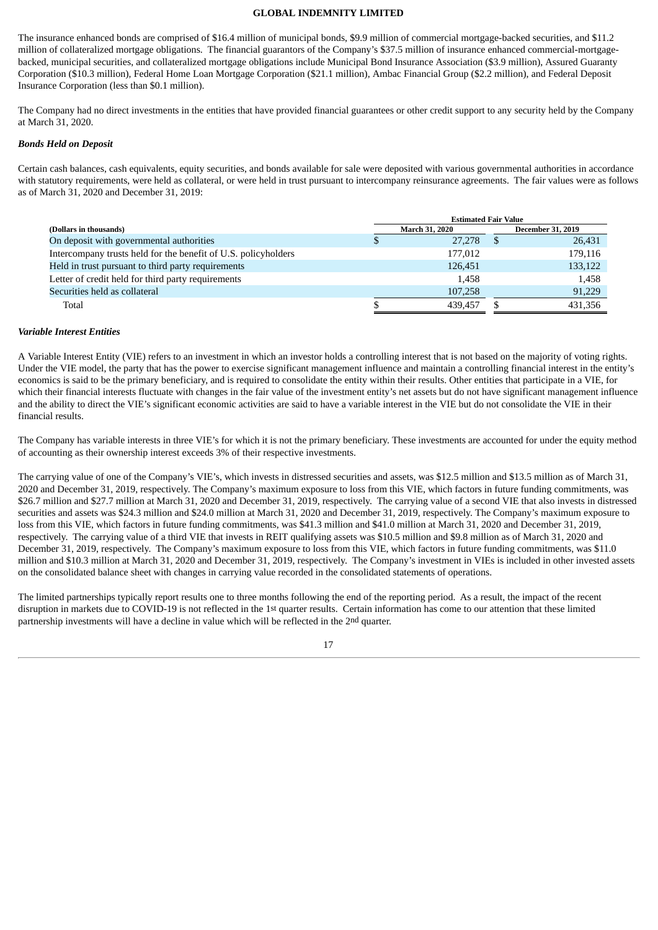The insurance enhanced bonds are comprised of \$16.4 million of municipal bonds, \$9.9 million of commercial mortgage-backed securities, and \$11.2 million of collateralized mortgage obligations. The financial guarantors of the Company's \$37.5 million of insurance enhanced commercial-mortgagebacked, municipal securities, and collateralized mortgage obligations include Municipal Bond Insurance Association (\$3.9 million), Assured Guaranty Corporation (\$10.3 million), Federal Home Loan Mortgage Corporation (\$21.1 million), Ambac Financial Group (\$2.2 million), and Federal Deposit Insurance Corporation (less than \$0.1 million).

The Company had no direct investments in the entities that have provided financial guarantees or other credit support to any security held by the Company at March 31, 2020.

#### *Bonds Held on Deposit*

Certain cash balances, cash equivalents, equity securities, and bonds available for sale were deposited with various governmental authorities in accordance with statutory requirements, were held as collateral, or were held in trust pursuant to intercompany reinsurance agreements. The fair values were as follows as of March 31, 2020 and December 31, 2019:

|                                                                | <b>Estimated Fair Value</b> |                       |  |                          |  |  |  |  |  |
|----------------------------------------------------------------|-----------------------------|-----------------------|--|--------------------------|--|--|--|--|--|
| (Dollars in thousands)                                         |                             | <b>March 31, 2020</b> |  | <b>December 31, 2019</b> |  |  |  |  |  |
| On deposit with governmental authorities                       |                             | 27,278                |  | 26,431                   |  |  |  |  |  |
| Intercompany trusts held for the benefit of U.S. policyholders |                             | 177,012               |  | 179,116                  |  |  |  |  |  |
| Held in trust pursuant to third party requirements             |                             | 126,451               |  | 133,122                  |  |  |  |  |  |
| Letter of credit held for third party requirements             |                             | 1.458                 |  | 1,458                    |  |  |  |  |  |
| Securities held as collateral                                  |                             | 107,258               |  | 91,229                   |  |  |  |  |  |
| Total                                                          |                             | 439.457               |  | 431,356                  |  |  |  |  |  |

#### *Variable Interest Entities*

A Variable Interest Entity (VIE) refers to an investment in which an investor holds a controlling interest that is not based on the majority of voting rights. Under the VIE model, the party that has the power to exercise significant management influence and maintain a controlling financial interest in the entity's economics is said to be the primary beneficiary, and is required to consolidate the entity within their results. Other entities that participate in a VIE, for which their financial interests fluctuate with changes in the fair value of the investment entity's net assets but do not have significant management influence and the ability to direct the VIE's significant economic activities are said to have a variable interest in the VIE but do not consolidate the VIE in their financial results.

The Company has variable interests in three VIE's for which it is not the primary beneficiary. These investments are accounted for under the equity method of accounting as their ownership interest exceeds 3% of their respective investments.

The carrying value of one of the Company's VIE's, which invests in distressed securities and assets, was \$12.5 million and \$13.5 million as of March 31, 2020 and December 31, 2019, respectively. The Company's maximum exposure to loss from this VIE, which factors in future funding commitments, was \$26.7 million and \$27.7 million at March 31, 2020 and December 31, 2019, respectively. The carrying value of a second VIE that also invests in distressed securities and assets was \$24.3 million and \$24.0 million at March 31, 2020 and December 31, 2019, respectively. The Company's maximum exposure to loss from this VIE, which factors in future funding commitments, was \$41.3 million and \$41.0 million at March 31, 2020 and December 31, 2019. respectively. The carrying value of a third VIE that invests in REIT qualifying assets was \$10.5 million and \$9.8 million as of March 31, 2020 and December 31, 2019, respectively. The Company's maximum exposure to loss from this VIE, which factors in future funding commitments, was \$11.0 million and \$10.3 million at March 31, 2020 and December 31, 2019, respectively. The Company's investment in VIEs is included in other invested assets on the consolidated balance sheet with changes in carrying value recorded in the consolidated statements of operations.

The limited partnerships typically report results one to three months following the end of the reporting period. As a result, the impact of the recent disruption in markets due to COVID-19 is not reflected in the 1st quarter results. Certain information has come to our attention that these limited partnership investments will have a decline in value which will be reflected in the 2nd quarter.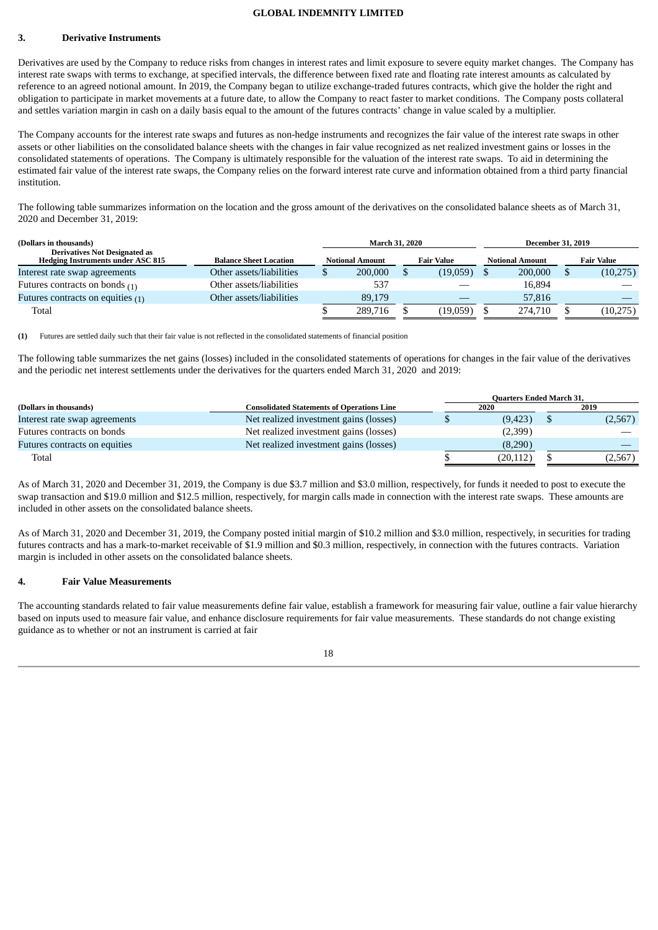#### **3. Derivative Instruments**

Derivatives are used by the Company to reduce risks from changes in interest rates and limit exposure to severe equity market changes. The Company has interest rate swaps with terms to exchange, at specified intervals, the difference between fixed rate and floating rate interest amounts as calculated by reference to an agreed notional amount. In 2019, the Company began to utilize exchange-traded futures contracts, which give the holder the right and obligation to participate in market movements at a future date, to allow the Company to react faster to market conditions. The Company posts collateral and settles variation margin in cash on a daily basis equal to the amount of the futures contracts' change in value scaled by a multiplier.

The Company accounts for the interest rate swaps and futures as non-hedge instruments and recognizes the fair value of the interest rate swaps in other assets or other liabilities on the consolidated balance sheets with the changes in fair value recognized as net realized investment gains or losses in the consolidated statements of operations. The Company is ultimately responsible for the valuation of the interest rate swaps. To aid in determining the estimated fair value of the interest rate swaps, the Company relies on the forward interest rate curve and information obtained from a third party financial institution.

The following table summarizes information on the location and the gross amount of the derivatives on the consolidated balance sheets as of March 31, 2020 and December 31, 2019:

| (Dollars in thousands)                                                           | <b>March 31, 2020</b>         |                        | <b>December 31, 2019</b> |  |                        |  |                   |
|----------------------------------------------------------------------------------|-------------------------------|------------------------|--------------------------|--|------------------------|--|-------------------|
| <b>Derivatives Not Designated as</b><br><b>Hedging Instruments under ASC 815</b> | <b>Balance Sheet Location</b> | <b>Notional Amount</b> | <b>Fair Value</b>        |  | <b>Notional Amount</b> |  | <b>Fair Value</b> |
| Interest rate swap agreements                                                    | Other assets/liabilities      | 200,000                | (19,059)                 |  | 200,000                |  | (10, 275)         |
| Futures contracts on bonds $(1)$                                                 | Other assets/liabilities      | 537                    |                          |  | 16.894                 |  |                   |
| Futures contracts on equities $(1)$                                              | Other assets/liabilities      | 89.179                 |                          |  | 57,816                 |  |                   |
| Total                                                                            |                               | 289,716                | (19,059)                 |  | 274.710                |  | (10,275)          |

**(1)** Futures are settled daily such that their fair value is not reflected in the consolidated statements of financial position

The following table summarizes the net gains (losses) included in the consolidated statements of operations for changes in the fair value of the derivatives and the periodic net interest settlements under the derivatives for the quarters ended March 31, 2020 and 2019:

|                               |                                                   |      | <b>Quarters Ended March 31,</b><br>2019 |  |         |  |  |  |
|-------------------------------|---------------------------------------------------|------|-----------------------------------------|--|---------|--|--|--|
| (Dollars in thousands)        | <b>Consolidated Statements of Operations Line</b> | 2020 |                                         |  |         |  |  |  |
| Interest rate swap agreements | Net realized investment gains (losses)            |      | (9, 423)                                |  | (2,567) |  |  |  |
| Futures contracts on bonds    | Net realized investment gains (losses)            |      | (2,399)                                 |  |         |  |  |  |
| Futures contracts on equities | Net realized investment gains (losses)            |      | (8,290)                                 |  |         |  |  |  |
| Total                         |                                                   |      | (20, 112)                               |  | (2,567) |  |  |  |

As of March 31, 2020 and December 31, 2019, the Company is due \$3.7 million and \$3.0 million, respectively, for funds it needed to post to execute the swap transaction and \$19.0 million and \$12.5 million, respectively, for margin calls made in connection with the interest rate swaps. These amounts are included in other assets on the consolidated balance sheets.

As of March 31, 2020 and December 31, 2019, the Company posted initial margin of \$10.2 million and \$3.0 million, respectively, in securities for trading futures contracts and has a mark-to-market receivable of \$1.9 million and \$0.3 million, respectively, in connection with the futures contracts. Variation margin is included in other assets on the consolidated balance sheets.

#### **4. Fair Value Measurements**

The accounting standards related to fair value measurements define fair value, establish a framework for measuring fair value, outline a fair value hierarchy based on inputs used to measure fair value, and enhance disclosure requirements for fair value measurements. These standards do not change existing guidance as to whether or not an instrument is carried at fair

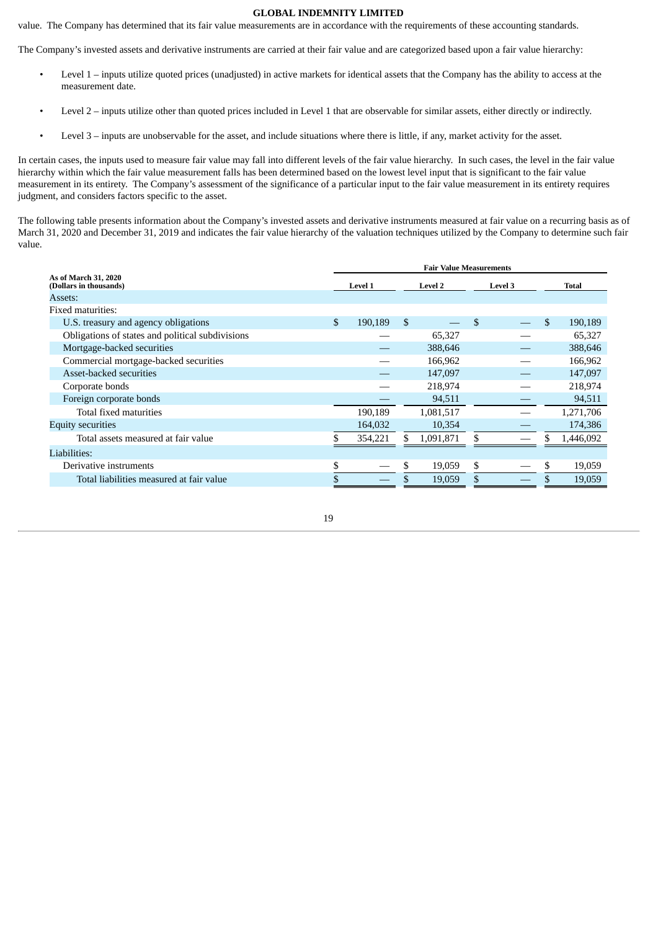value. The Company has determined that its fair value measurements are in accordance with the requirements of these accounting standards.

The Company's invested assets and derivative instruments are carried at their fair value and are categorized based upon a fair value hierarchy:

- Level 1 inputs utilize quoted prices (unadjusted) in active markets for identical assets that the Company has the ability to access at the measurement date.
- Level 2 inputs utilize other than quoted prices included in Level 1 that are observable for similar assets, either directly or indirectly.
- Level 3 inputs are unobservable for the asset, and include situations where there is little, if any, market activity for the asset.

In certain cases, the inputs used to measure fair value may fall into different levels of the fair value hierarchy. In such cases, the level in the fair value hierarchy within which the fair value measurement falls has been determined based on the lowest level input that is significant to the fair value measurement in its entirety. The Company's assessment of the significance of a particular input to the fair value measurement in its entirety requires judgment, and considers factors specific to the asset.

The following table presents information about the Company's invested assets and derivative instruments measured at fair value on a recurring basis as of March 31, 2020 and December 31, 2019 and indicates the fair value hierarchy of the valuation techniques utilized by the Company to determine such fair value.

|                                                  | <b>Fair Value Measurements</b> |                |                |           |                |  |    |           |  |  |
|--------------------------------------------------|--------------------------------|----------------|----------------|-----------|----------------|--|----|-----------|--|--|
| As of March 31, 2020<br>(Dollars in thousands)   |                                | <b>Level 1</b> | <b>Level 2</b> |           | <b>Level 3</b> |  |    | Total     |  |  |
| Assets:                                          |                                |                |                |           |                |  |    |           |  |  |
| <b>Fixed maturities:</b>                         |                                |                |                |           |                |  |    |           |  |  |
| U.S. treasury and agency obligations             | \$                             | 190,189        | \$             |           | \$             |  | \$ | 190,189   |  |  |
| Obligations of states and political subdivisions |                                |                |                | 65,327    |                |  |    | 65,327    |  |  |
| Mortgage-backed securities                       |                                |                |                | 388,646   |                |  |    | 388,646   |  |  |
| Commercial mortgage-backed securities            |                                |                |                | 166,962   |                |  |    | 166,962   |  |  |
| Asset-backed securities                          |                                |                |                | 147,097   |                |  |    | 147,097   |  |  |
| Corporate bonds                                  |                                |                |                | 218,974   |                |  |    | 218,974   |  |  |
| Foreign corporate bonds                          |                                |                |                | 94,511    |                |  |    | 94,511    |  |  |
| Total fixed maturities                           |                                | 190,189        |                | 1,081,517 |                |  |    | 1,271,706 |  |  |
| <b>Equity securities</b>                         |                                | 164,032        |                | 10,354    |                |  |    | 174,386   |  |  |
| Total assets measured at fair value              |                                | 354,221        |                | 1,091,871 | \$             |  |    | 1,446,092 |  |  |
| Liabilities:                                     |                                |                |                |           |                |  |    |           |  |  |
| Derivative instruments                           | \$                             |                | \$             | 19,059    | \$.            |  |    | 19,059    |  |  |
| Total liabilities measured at fair value         |                                |                |                | 19,059    | \$             |  |    | 19,059    |  |  |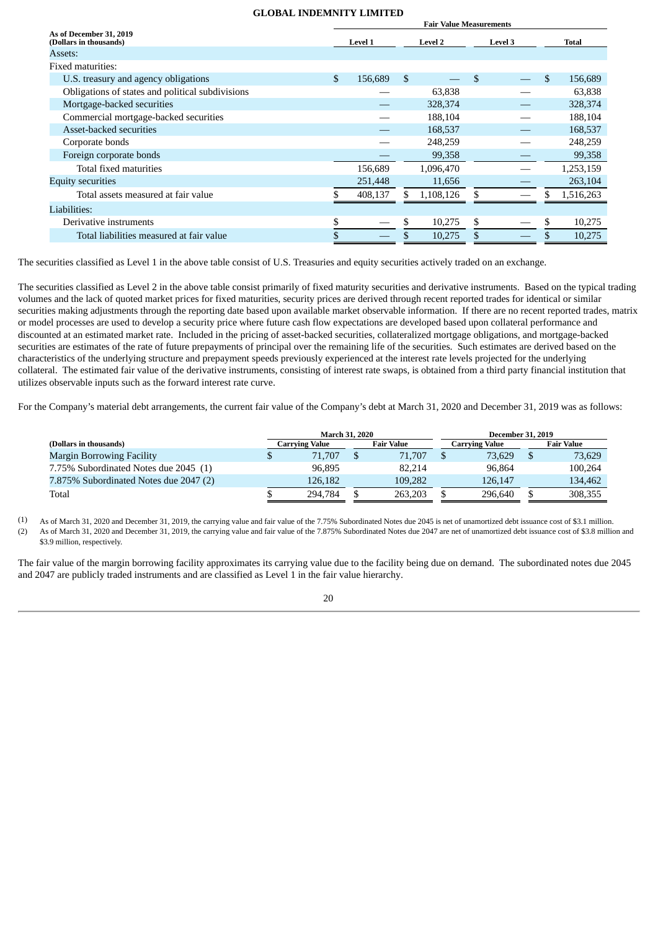| <b>Fair Value Measurements</b> |         |                |           |         |  |     |              |  |
|--------------------------------|---------|----------------|-----------|---------|--|-----|--------------|--|
| <b>Level 1</b>                 |         | <b>Level 2</b> |           | Level 3 |  |     | <b>Total</b> |  |
|                                |         |                |           |         |  |     |              |  |
|                                |         |                |           |         |  |     |              |  |
| \$                             | 156,689 | \$             |           | \$      |  | \$. | 156,689      |  |
|                                |         |                | 63,838    |         |  |     | 63,838       |  |
|                                |         |                | 328,374   |         |  |     | 328,374      |  |
|                                |         |                | 188,104   |         |  |     | 188,104      |  |
|                                |         |                | 168,537   |         |  |     | 168,537      |  |
|                                |         |                | 248,259   |         |  |     | 248,259      |  |
|                                |         |                | 99,358    |         |  |     | 99,358       |  |
|                                | 156,689 |                | 1,096,470 |         |  |     | 1,253,159    |  |
|                                | 251,448 |                | 11,656    |         |  |     | 263,104      |  |
|                                | 408,137 |                | 1,108,126 |         |  |     | 1,516,263    |  |
|                                |         |                |           |         |  |     |              |  |
| \$                             |         | \$             | 10,275    | \$      |  |     | 10,275       |  |
|                                |         |                | 10,275    |         |  |     | 10,275       |  |
|                                |         |                |           |         |  |     |              |  |

The securities classified as Level 1 in the above table consist of U.S. Treasuries and equity securities actively traded on an exchange.

The securities classified as Level 2 in the above table consist primarily of fixed maturity securities and derivative instruments. Based on the typical trading volumes and the lack of quoted market prices for fixed maturities, security prices are derived through recent reported trades for identical or similar securities making adjustments through the reporting date based upon available market observable information. If there are no recent reported trades, matrix or model processes are used to develop a security price where future cash flow expectations are developed based upon collateral performance and discounted at an estimated market rate. Included in the pricing of asset-backed securities, collateralized mortgage obligations, and mortgage-backed securities are estimates of the rate of future prepayments of principal over the remaining life of the securities. Such estimates are derived based on the characteristics of the underlying structure and prepayment speeds previously experienced at the interest rate levels projected for the underlying collateral. The estimated fair value of the derivative instruments, consisting of interest rate swaps, is obtained from a third party financial institution that utilizes observable inputs such as the forward interest rate curve.

For the Company's material debt arrangements, the current fair value of the Company's debt at March 31, 2020 and December 31, 2019 was as follows:

|                                        | <b>March 31, 2020</b> |                   | <b>December 31, 2019</b> |                   |  |  |  |
|----------------------------------------|-----------------------|-------------------|--------------------------|-------------------|--|--|--|
| (Dollars in thousands)                 | <b>Carrying Value</b> | <b>Fair Value</b> | <b>Carrying Value</b>    | <b>Fair Value</b> |  |  |  |
| <b>Margin Borrowing Facility</b>       | 71,707                | 71,707            | 73,629                   | 73,629            |  |  |  |
| 7.75% Subordinated Notes due 2045 (1)  | 96.895                | 82.214            | 96.864                   | 100,264           |  |  |  |
| 7.875% Subordinated Notes due 2047 (2) | 126,182               | 109,282           | 126,147                  | 134,462           |  |  |  |
| Total                                  | 294.784               | 263,203           | 296.640                  | 308,355           |  |  |  |

(1) As of March 31, 2020 and December 31, 2019, the carrying value and fair value of the 7.75% Subordinated Notes due 2045 is net of unamortized debt issuance cost of \$3.1 million. (2) As of March 31, 2020 and December 31, 2019, the carrying value and fair value of the 7.875% Subordinated Notes due 2047 are net of unamortized debt issuance cost of \$3.8 million and

\$3.9 million, respectively.

The fair value of the margin borrowing facility approximates its carrying value due to the facility being due on demand. The subordinated notes due 2045 and 2047 are publicly traded instruments and are classified as Level 1 in the fair value hierarchy.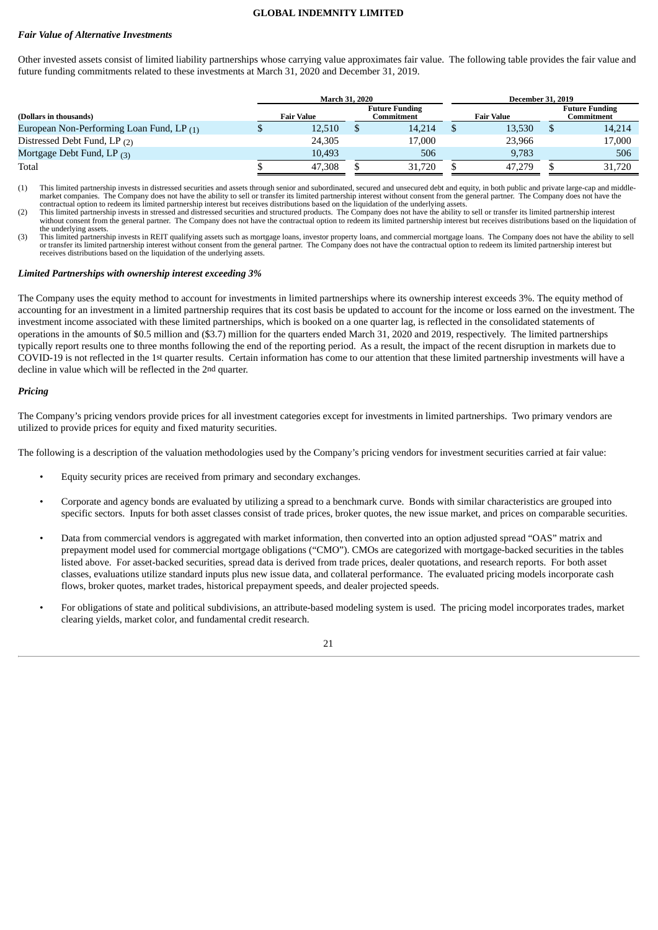#### *Fair Value of Alternative Investments*

Other invested assets consist of limited liability partnerships whose carrying value approximates fair value. The following table provides the fair value and future funding commitments related to these investments at March 31, 2020 and December 31, 2019.

|                                           | <b>December 31, 2019</b> |                                     |  |                   |  |                                     |  |
|-------------------------------------------|--------------------------|-------------------------------------|--|-------------------|--|-------------------------------------|--|
| (Dollars in thousands)                    | <b>Fair Value</b>        | <b>Future Funding</b><br>Commitment |  | <b>Fair Value</b> |  | <b>Future Funding</b><br>Commitment |  |
| European Non-Performing Loan Fund, LP (1) | 12,510                   | 14.214                              |  | 13,530            |  | 14,214                              |  |
| Distressed Debt Fund, LP $(2)$            | 24,305                   | 17,000                              |  | 23.966            |  | 17,000                              |  |
| Mortgage Debt Fund, LP $(3)$              | 10.493                   | 506                                 |  | 9.783             |  | 506                                 |  |
| Total                                     | 47,308                   | 31,720                              |  | 47.279            |  | 31,720                              |  |

(1) This limited partnership invests in distressed securities and assets through senior and subordinated, secured and unsecured debt and equity, in both public and private large-cap and middlemarket companies. The Company does not have the ability to sell or transfer its limited partnership interest without consent from the general partner. The Company does not have the<br>contractual option to redeem its limited

(2) This limited partnership invests in stressed and distressed securities and structured products. The Company does not have the ability to sell or transfer its limited partnership interest without consent from the general partner. The Company does not have the contractual option to redeem its limited partnership interest but receives distributions based on the liquidation of the underlying assets.

(3) This limited partnership invests in REIT qualifying assets such as mortgage loans, investor property loans, and commercial mortgage loans. The Company does not have the ability to sell or transfer its limited partnership interest without consent from the general partner. The Company does not have the contractual option to redeem its limited partnership interest but receives distributions based on the liquidation of the underlying assets.

#### *Limited Partnerships with ownership interest exceeding 3%*

The Company uses the equity method to account for investments in limited partnerships where its ownership interest exceeds 3%. The equity method of accounting for an investment in a limited partnership requires that its cost basis be updated to account for the income or loss earned on the investment. The investment income associated with these limited partnerships, which is booked on a one quarter lag, is reflected in the consolidated statements of operations in the amounts of \$0.5 million and (\$3.7) million for the quarters ended March 31, 2020 and 2019, respectively. The limited partnerships typically report results one to three months following the end of the reporting period. As a result, the impact of the recent disruption in markets due to COVID-19 is not reflected in the 1st quarter results. Certain information has come to our attention that these limited partnership investments will have a decline in value which will be reflected in the 2nd quarter.

#### *Pricing*

The Company's pricing vendors provide prices for all investment categories except for investments in limited partnerships. Two primary vendors are utilized to provide prices for equity and fixed maturity securities.

The following is a description of the valuation methodologies used by the Company's pricing vendors for investment securities carried at fair value:

- Equity security prices are received from primary and secondary exchanges.
- Corporate and agency bonds are evaluated by utilizing a spread to a benchmark curve. Bonds with similar characteristics are grouped into specific sectors. Inputs for both asset classes consist of trade prices, broker quotes, the new issue market, and prices on comparable securities.
- Data from commercial vendors is aggregated with market information, then converted into an option adjusted spread "OAS" matrix and prepayment model used for commercial mortgage obligations ("CMO"). CMOs are categorized with mortgage-backed securities in the tables listed above. For asset-backed securities, spread data is derived from trade prices, dealer quotations, and research reports. For both asset classes, evaluations utilize standard inputs plus new issue data, and collateral performance. The evaluated pricing models incorporate cash flows, broker quotes, market trades, historical prepayment speeds, and dealer projected speeds.
- For obligations of state and political subdivisions, an attribute-based modeling system is used. The pricing model incorporates trades, market clearing yields, market color, and fundamental credit research.

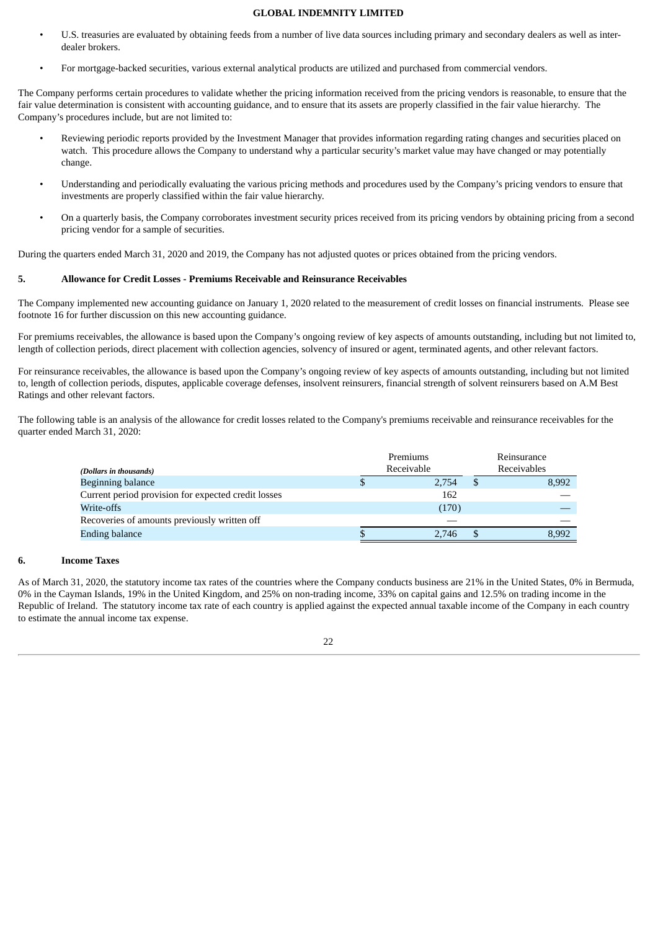- U.S. treasuries are evaluated by obtaining feeds from a number of live data sources including primary and secondary dealers as well as interdealer brokers.
- For mortgage-backed securities, various external analytical products are utilized and purchased from commercial vendors.

The Company performs certain procedures to validate whether the pricing information received from the pricing vendors is reasonable, to ensure that the fair value determination is consistent with accounting guidance, and to ensure that its assets are properly classified in the fair value hierarchy. The Company's procedures include, but are not limited to:

- Reviewing periodic reports provided by the Investment Manager that provides information regarding rating changes and securities placed on watch. This procedure allows the Company to understand why a particular security's market value may have changed or may potentially change.
- Understanding and periodically evaluating the various pricing methods and procedures used by the Company's pricing vendors to ensure that investments are properly classified within the fair value hierarchy.
- On a quarterly basis, the Company corroborates investment security prices received from its pricing vendors by obtaining pricing from a second pricing vendor for a sample of securities.

During the quarters ended March 31, 2020 and 2019, the Company has not adjusted quotes or prices obtained from the pricing vendors.

#### **5. Allowance for Credit Losses - Premiums Receivable and Reinsurance Receivables**

The Company implemented new accounting guidance on January 1, 2020 related to the measurement of credit losses on financial instruments. Please see footnote 16 for further discussion on this new accounting guidance.

For premiums receivables, the allowance is based upon the Company's ongoing review of key aspects of amounts outstanding, including but not limited to, length of collection periods, direct placement with collection agencies, solvency of insured or agent, terminated agents, and other relevant factors.

For reinsurance receivables, the allowance is based upon the Company's ongoing review of key aspects of amounts outstanding, including but not limited to, length of collection periods, disputes, applicable coverage defenses, insolvent reinsurers, financial strength of solvent reinsurers based on A.M Best Ratings and other relevant factors.

The following table is an analysis of the allowance for credit losses related to the Company's premiums receivable and reinsurance receivables for the quarter ended March 31, 2020:

|                                                     |   | Premiums   |             | Reinsurance |  |
|-----------------------------------------------------|---|------------|-------------|-------------|--|
| (Dollars in thousands)                              |   | Receivable | Receivables |             |  |
| Beginning balance                                   | Φ | 2,754      |             | 8,992       |  |
| Current period provision for expected credit losses |   | 162        |             |             |  |
| Write-offs                                          |   | (170)      |             |             |  |
| Recoveries of amounts previously written off        |   |            |             |             |  |
| <b>Ending balance</b>                               | S | 2.746      |             | 8,992       |  |

#### **6. Income Taxes**

As of March 31, 2020, the statutory income tax rates of the countries where the Company conducts business are 21% in the United States, 0% in Bermuda, 0% in the Cayman Islands, 19% in the United Kingdom, and 25% on non-trading income, 33% on capital gains and 12.5% on trading income in the Republic of Ireland. The statutory income tax rate of each country is applied against the expected annual taxable income of the Company in each country to estimate the annual income tax expense.

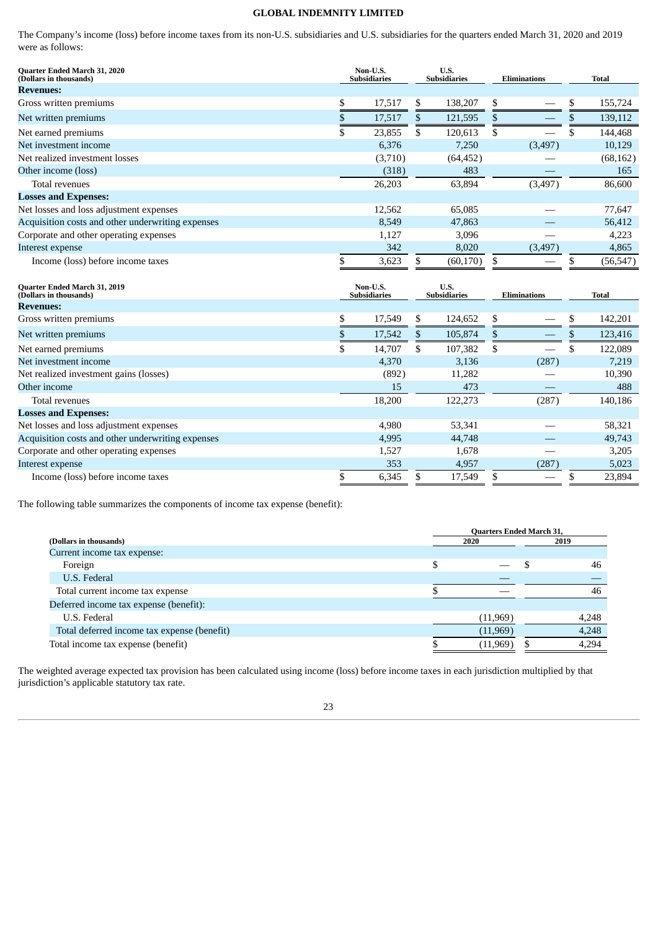The Company's income (loss) before income taxes from its non-U.S. subsidiaries and U.S. subsidiaries for the quarters ended March 31, 2020 and 2019 were as follows:

| Quarter Ended March 31, 2020<br>(Dollars in thousands) |    | Non-U.S.<br><b>Subsidiaries</b> | U.S.<br><b>Subsidiaries</b> |    | <b>Eliminations</b> |     | <b>Total</b> |
|--------------------------------------------------------|----|---------------------------------|-----------------------------|----|---------------------|-----|--------------|
| <b>Revenues:</b>                                       |    |                                 |                             |    |                     |     |              |
| Gross written premiums                                 | \$ | 17,517                          | \$<br>138,207               | \$ |                     | \$. | 155,724      |
| Net written premiums                                   |    | 17,517                          | 121,595                     |    |                     |     | 139,112      |
| Net earned premiums                                    |    | 23,855                          | 120,613                     | S  |                     |     | 144,468      |
| Net investment income                                  |    | 6,376                           | 7,250                       |    | (3, 497)            |     | 10,129       |
| Net realized investment losses                         |    | (3,710)                         | (64, 452)                   |    |                     |     | (68, 162)    |
| Other income (loss)                                    |    | (318)                           | 483                         |    |                     |     | 165          |
| Total revenues                                         |    | 26,203                          | 63,894                      |    | (3, 497)            |     | 86,600       |
| <b>Losses and Expenses:</b>                            |    |                                 |                             |    |                     |     |              |
| Net losses and loss adjustment expenses                |    | 12,562                          | 65,085                      |    |                     |     | 77,647       |
| Acquisition costs and other underwriting expenses      |    | 8,549                           | 47,863                      |    |                     |     | 56,412       |
| Corporate and other operating expenses                 |    | 1,127                           | 3,096                       |    |                     |     | 4,223        |
| Interest expense                                       |    | 342                             | 8,020                       |    | (3, 497)            |     | 4,865        |
| Income (loss) before income taxes                      |    | 3,623                           | (60, 170)                   |    |                     |     | (56, 547)    |

| Quarter Ended March 31, 2019<br>(Dollars in thousands) | Non-U.S.<br><b>Subsidiaries</b> |     | U.S.<br>Subsidiaries | <b>Eliminations</b> |       | Total |         |
|--------------------------------------------------------|---------------------------------|-----|----------------------|---------------------|-------|-------|---------|
| <b>Revenues:</b>                                       |                                 |     |                      |                     |       |       |         |
| Gross written premiums                                 | 17,549                          | \$  | 124,652              | \$                  |       | -S    | 142,201 |
| Net written premiums                                   | 17,542                          |     | 105,874              |                     |       |       | 123,416 |
| Net earned premiums                                    | 14,707                          | \$. | 107,382              | £.                  |       |       | 122,089 |
| Net investment income                                  | 4,370                           |     | 3,136                |                     | (287) |       | 7,219   |
| Net realized investment gains (losses)                 | (892)                           |     | 11,282               |                     |       |       | 10,390  |
| Other income                                           | 15                              |     | 473                  |                     |       |       | 488     |
| Total revenues                                         | 18,200                          |     | 122,273              |                     | (287) |       | 140,186 |
| <b>Losses and Expenses:</b>                            |                                 |     |                      |                     |       |       |         |
| Net losses and loss adjustment expenses                | 4,980                           |     | 53,341               |                     |       |       | 58,321  |
| Acquisition costs and other underwriting expenses      | 4,995                           |     | 44,748               |                     |       |       | 49,743  |
| Corporate and other operating expenses                 | 1,527                           |     | 1,678                |                     |       |       | 3,205   |
| Interest expense                                       | 353                             |     | 4,957                |                     | (287) |       | 5,023   |
| Income (loss) before income taxes                      | 6,345                           |     | 17,549               |                     |       |       | 23,894  |

The following table summarizes the components of income tax expense (benefit):

|                                             | <b>Quarters Ended March 31,</b> |  |       |  |  |  |
|---------------------------------------------|---------------------------------|--|-------|--|--|--|
| (Dollars in thousands)                      | 2020                            |  | 2019  |  |  |  |
| Current income tax expense:                 |                                 |  |       |  |  |  |
| Foreign                                     |                                 |  | 46    |  |  |  |
| U.S. Federal                                |                                 |  |       |  |  |  |
| Total current income tax expense            |                                 |  | 46    |  |  |  |
| Deferred income tax expense (benefit):      |                                 |  |       |  |  |  |
| U.S. Federal                                | (11,969)                        |  | 4,248 |  |  |  |
| Total deferred income tax expense (benefit) | (11, 969)                       |  | 4,248 |  |  |  |
| Total income tax expense (benefit)          | (11, 969)                       |  | 4,294 |  |  |  |

The weighted average expected tax provision has been calculated using income (loss) before income taxes in each jurisdiction multiplied by that jurisdiction's applicable statutory tax rate.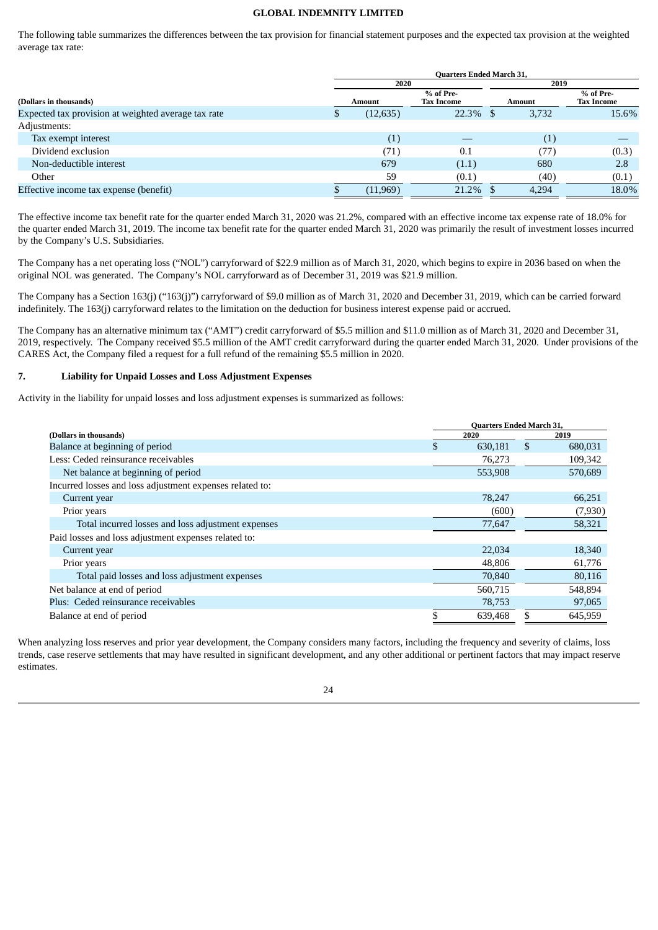The following table summarizes the differences between the tax provision for financial statement purposes and the expected tax provision at the weighted average tax rate:

|                                                     |  | <b>Quarters Ended March 31,</b> |           |                                  |        |       |                           |  |  |  |  |  |
|-----------------------------------------------------|--|---------------------------------|-----------|----------------------------------|--------|-------|---------------------------|--|--|--|--|--|
|                                                     |  |                                 | 2020      |                                  |        | 2019  |                           |  |  |  |  |  |
| (Dollars in thousands)                              |  | Amount                          |           | $%$ of Pre-<br><b>Tax Income</b> | Amount |       | $%$ of Pre-<br>Tax Income |  |  |  |  |  |
| Expected tax provision at weighted average tax rate |  |                                 | (12, 635) | 22.3%                            |        | 3,732 | 15.6%                     |  |  |  |  |  |
| Adjustments:                                        |  |                                 |           |                                  |        |       |                           |  |  |  |  |  |
| Tax exempt interest                                 |  |                                 | (1)       |                                  |        | (1)   |                           |  |  |  |  |  |
| Dividend exclusion                                  |  |                                 | (71)      | 0.1                              |        | (77)  | (0.3)                     |  |  |  |  |  |
| Non-deductible interest                             |  |                                 | 679       | (1.1)                            |        | 680   | 2.8                       |  |  |  |  |  |
| Other                                               |  |                                 | 59        | (0.1)                            |        | (40)  | (0.1)                     |  |  |  |  |  |
| Effective income tax expense (benefit)              |  |                                 | (11,969)  | 21.2%                            |        | 4.294 | 18.0%                     |  |  |  |  |  |

The effective income tax benefit rate for the quarter ended March 31, 2020 was 21.2%, compared with an effective income tax expense rate of 18.0% for the quarter ended March 31, 2019. The income tax benefit rate for the quarter ended March 31, 2020 was primarily the result of investment losses incurred by the Company's U.S. Subsidiaries.

The Company has a net operating loss ("NOL") carryforward of \$22.9 million as of March 31, 2020, which begins to expire in 2036 based on when the original NOL was generated. The Company's NOL carryforward as of December 31, 2019 was \$21.9 million.

The Company has a Section 163(j) ("163(j)") carryforward of \$9.0 million as of March 31, 2020 and December 31, 2019, which can be carried forward indefinitely. The 163(j) carryforward relates to the limitation on the deduction for business interest expense paid or accrued.

The Company has an alternative minimum tax ("AMT") credit carryforward of \$5.5 million and \$11.0 million as of March 31, 2020 and December 31, 2019, respectively. The Company received \$5.5 million of the AMT credit carryforward during the quarter ended March 31, 2020. Under provisions of the CARES Act, the Company filed a request for a full refund of the remaining \$5.5 million in 2020.

### **7. Liability for Unpaid Losses and Loss Adjustment Expenses**

Activity in the liability for unpaid losses and loss adjustment expenses is summarized as follows:

|                                                          | <b>Quarters Ended March 31,</b> |    |         |  |  |
|----------------------------------------------------------|---------------------------------|----|---------|--|--|
| (Dollars in thousands)                                   | 2020                            |    | 2019    |  |  |
| Balance at beginning of period                           | 630,181                         | \$ | 680,031 |  |  |
| Less: Ceded reinsurance receivables                      | 76,273                          |    | 109,342 |  |  |
| Net balance at beginning of period                       | 553,908                         |    | 570,689 |  |  |
| Incurred losses and loss adjustment expenses related to: |                                 |    |         |  |  |
| Current year                                             | 78,247                          |    | 66,251  |  |  |
| Prior years                                              | (600)                           |    | (7,930) |  |  |
| Total incurred losses and loss adjustment expenses       | 77,647                          |    | 58,321  |  |  |
| Paid losses and loss adjustment expenses related to:     |                                 |    |         |  |  |
| Current year                                             | 22,034                          |    | 18,340  |  |  |
| Prior years                                              | 48,806                          |    | 61,776  |  |  |
| Total paid losses and loss adjustment expenses           | 70,840                          |    | 80,116  |  |  |
| Net balance at end of period                             | 560,715                         |    | 548,894 |  |  |
| Plus: Ceded reinsurance receivables                      | 78,753                          |    | 97,065  |  |  |
| Balance at end of period                                 | 639,468                         |    | 645,959 |  |  |

When analyzing loss reserves and prior year development, the Company considers many factors, including the frequency and severity of claims, loss trends, case reserve settlements that may have resulted in significant development, and any other additional or pertinent factors that may impact reserve estimates.

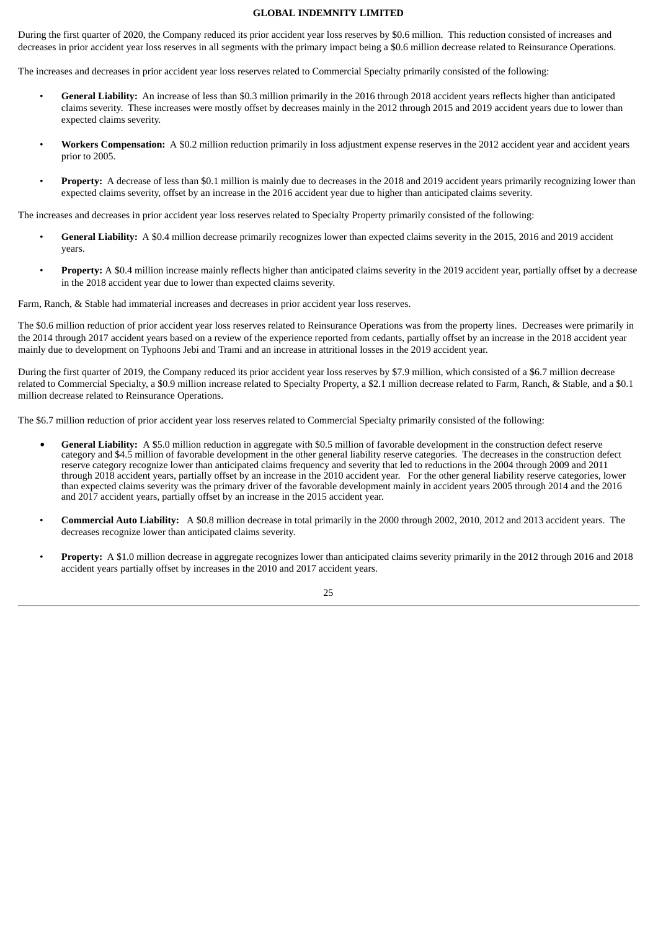During the first quarter of 2020, the Company reduced its prior accident year loss reserves by \$0.6 million. This reduction consisted of increases and decreases in prior accident year loss reserves in all segments with the primary impact being a \$0.6 million decrease related to Reinsurance Operations.

The increases and decreases in prior accident year loss reserves related to Commercial Specialty primarily consisted of the following:

- **General Liability:** An increase of less than \$0.3 million primarily in the 2016 through 2018 accident years reflects higher than anticipated claims severity. These increases were mostly offset by decreases mainly in the 2012 through 2015 and 2019 accident years due to lower than expected claims severity.
- **Workers Compensation:** A \$0.2 million reduction primarily in loss adjustment expense reserves in the 2012 accident year and accident years prior to 2005.
- **Property:** A decrease of less than \$0.1 million is mainly due to decreases in the 2018 and 2019 accident years primarily recognizing lower than expected claims severity, offset by an increase in the 2016 accident year due to higher than anticipated claims severity.

The increases and decreases in prior accident year loss reserves related to Specialty Property primarily consisted of the following:

- **General Liability:** A \$0.4 million decrease primarily recognizes lower than expected claims severity in the 2015, 2016 and 2019 accident years.
- Property: A \$0.4 million increase mainly reflects higher than anticipated claims severity in the 2019 accident year, partially offset by a decrease in the 2018 accident year due to lower than expected claims severity.

Farm, Ranch, & Stable had immaterial increases and decreases in prior accident year loss reserves.

The \$0.6 million reduction of prior accident year loss reserves related to Reinsurance Operations was from the property lines. Decreases were primarily in the 2014 through 2017 accident years based on a review of the experience reported from cedants, partially offset by an increase in the 2018 accident year mainly due to development on Typhoons Jebi and Trami and an increase in attritional losses in the 2019 accident year.

During the first quarter of 2019, the Company reduced its prior accident year loss reserves by \$7.9 million, which consisted of a \$6.7 million decrease related to Commercial Specialty, a \$0.9 million increase related to Specialty Property, a \$2.1 million decrease related to Farm, Ranch, & Stable, and a \$0.1 million decrease related to Reinsurance Operations.

The \$6.7 million reduction of prior accident year loss reserves related to Commercial Specialty primarily consisted of the following:

- **General Liability:** <sup>A</sup> \$5.0 million reduction in aggregate with \$0.5 million of favorable development in the construction defect reserve category and \$4.5 million of favorable development in the other general liability reserve categories. The decreases in the construction defect reserve category recognize lower than anticipated claims frequency and severity that led to reductions in the 2004 through 2009 and 2011 through 2018 accident years, partially offset by an increase in the 2010 accident year. For the other general liability reserve categories, lower than expected claims severity was the primary driver of the favorable development mainly in accident years 2005 through 2014 and the 2016 and 2017 accident years, partially offset by an increase in the 2015 accident year.
- **Commercial Auto Liability:** A \$0.8 million decrease in total primarily in the 2000 through 2002, 2010, 2012 and 2013 accident years. The decreases recognize lower than anticipated claims severity.
- **Property:** A \$1.0 million decrease in aggregate recognizes lower than anticipated claims severity primarily in the 2012 through 2016 and 2018 accident years partially offset by increases in the 2010 and 2017 accident years.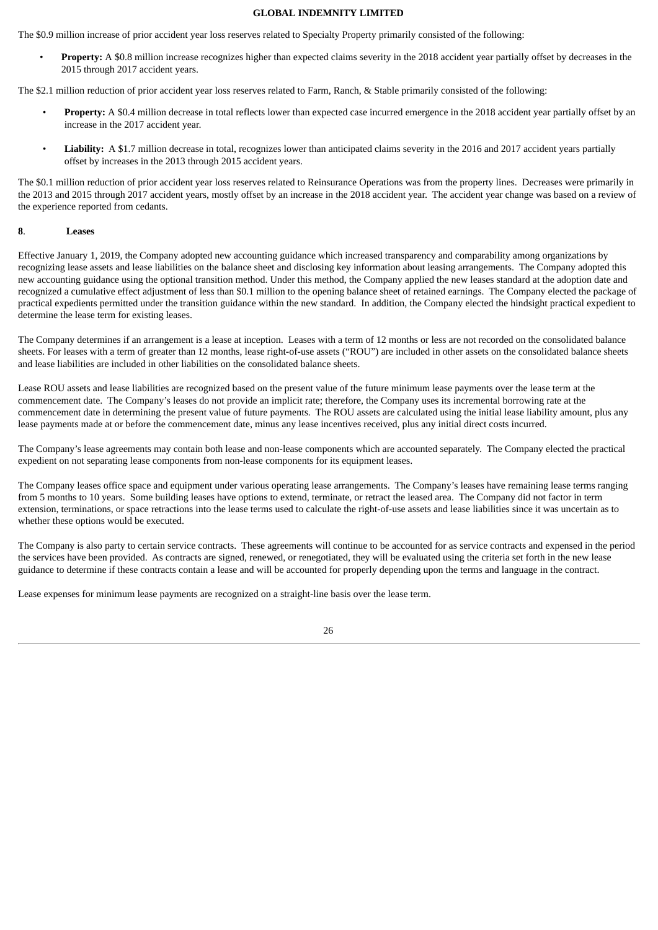The \$0.9 million increase of prior accident year loss reserves related to Specialty Property primarily consisted of the following:

• **Property:** A \$0.8 million increase recognizes higher than expected claims severity in the 2018 accident year partially offset by decreases in the 2015 through 2017 accident years.

The \$2.1 million reduction of prior accident year loss reserves related to Farm, Ranch, & Stable primarily consisted of the following:

- **Property:** A \$0.4 million decrease in total reflects lower than expected case incurred emergence in the 2018 accident year partially offset by an increase in the 2017 accident year.
- **Liability:** A \$1.7 million decrease in total, recognizes lower than anticipated claims severity in the 2016 and 2017 accident years partially offset by increases in the 2013 through 2015 accident years.

The \$0.1 million reduction of prior accident year loss reserves related to Reinsurance Operations was from the property lines. Decreases were primarily in the 2013 and 2015 through 2017 accident years, mostly offset by an increase in the 2018 accident year. The accident year change was based on a review of the experience reported from cedants.

#### **8**. **Leases**

Effective January 1, 2019, the Company adopted new accounting guidance which increased transparency and comparability among organizations by recognizing lease assets and lease liabilities on the balance sheet and disclosing key information about leasing arrangements. The Company adopted this new accounting guidance using the optional transition method. Under this method, the Company applied the new leases standard at the adoption date and recognized a cumulative effect adjustment of less than \$0.1 million to the opening balance sheet of retained earnings. The Company elected the package of practical expedients permitted under the transition guidance within the new standard. In addition, the Company elected the hindsight practical expedient to determine the lease term for existing leases.

The Company determines if an arrangement is a lease at inception. Leases with a term of 12 months or less are not recorded on the consolidated balance sheets. For leases with a term of greater than 12 months, lease right-of-use assets ("ROU") are included in other assets on the consolidated balance sheets and lease liabilities are included in other liabilities on the consolidated balance sheets.

Lease ROU assets and lease liabilities are recognized based on the present value of the future minimum lease payments over the lease term at the commencement date. The Company's leases do not provide an implicit rate; therefore, the Company uses its incremental borrowing rate at the commencement date in determining the present value of future payments. The ROU assets are calculated using the initial lease liability amount, plus any lease payments made at or before the commencement date, minus any lease incentives received, plus any initial direct costs incurred.

The Company's lease agreements may contain both lease and non-lease components which are accounted separately. The Company elected the practical expedient on not separating lease components from non-lease components for its equipment leases.

The Company leases office space and equipment under various operating lease arrangements. The Company's leases have remaining lease terms ranging from 5 months to 10 years. Some building leases have options to extend, terminate, or retract the leased area. The Company did not factor in term extension, terminations, or space retractions into the lease terms used to calculate the right-of-use assets and lease liabilities since it was uncertain as to whether these options would be executed.

The Company is also party to certain service contracts. These agreements will continue to be accounted for as service contracts and expensed in the period the services have been provided. As contracts are signed, renewed, or renegotiated, they will be evaluated using the criteria set forth in the new lease guidance to determine if these contracts contain a lease and will be accounted for properly depending upon the terms and language in the contract.

Lease expenses for minimum lease payments are recognized on a straight-line basis over the lease term.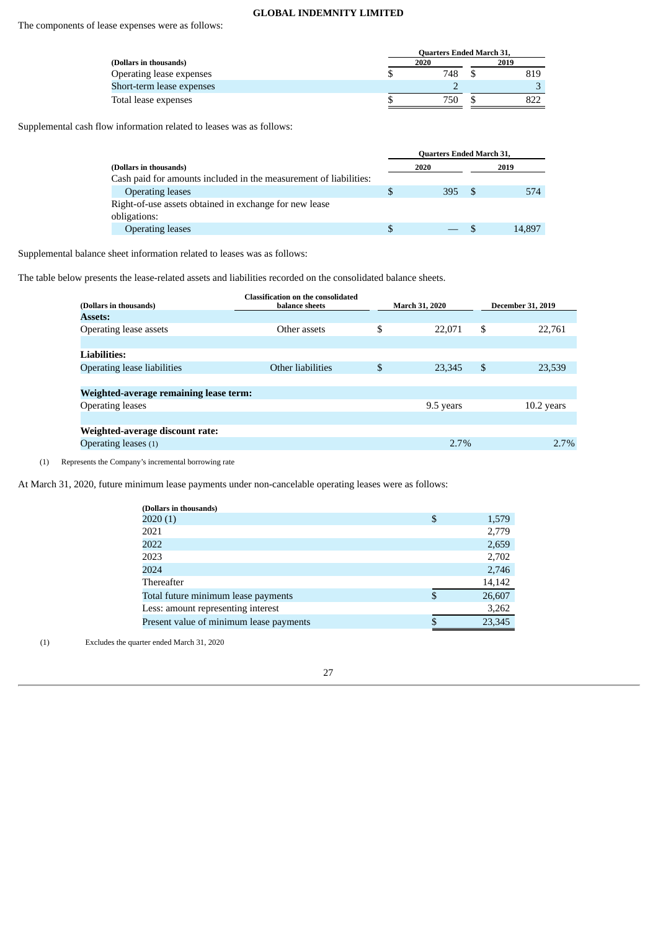The components of lease expenses were as follows:

|                           | <b>Quarters Ended March 31,</b> |  |      |  |  |
|---------------------------|---------------------------------|--|------|--|--|
| (Dollars in thousands)    | 2020                            |  | 2019 |  |  |
| Operating lease expenses  | 748                             |  | 819  |  |  |
| Short-term lease expenses |                                 |  |      |  |  |
| Total lease expenses      | 750.                            |  |      |  |  |

Supplemental cash flow information related to leases was as follows:

|                                                                   |    | <b>Quarters Ended March 31,</b> |      |        |
|-------------------------------------------------------------------|----|---------------------------------|------|--------|
| (Dollars in thousands)                                            |    | 2020                            |      | 2019   |
| Cash paid for amounts included in the measurement of liabilities: |    |                                 |      |        |
| <b>Operating leases</b>                                           | S  | 395                             | - 86 | 574    |
| Right-of-use assets obtained in exchange for new lease            |    |                                 |      |        |
| obligations:                                                      |    |                                 |      |        |
| <b>Operating leases</b>                                           | S. |                                 |      | 14,897 |
|                                                                   |    |                                 |      |        |

Supplemental balance sheet information related to leases was as follows:

The table below presents the lease-related assets and liabilities recorded on the consolidated balance sheets.

| (Dollars in thousands)                 | <b>Classification on the consolidated</b><br>balance sheets |      | <b>March 31, 2020</b> | <b>December 31, 2019</b> |              |  |  |
|----------------------------------------|-------------------------------------------------------------|------|-----------------------|--------------------------|--------------|--|--|
| <b>Assets:</b>                         |                                                             |      |                       |                          |              |  |  |
| Operating lease assets                 | Other assets                                                | \$   | 22,071                | \$                       | 22,761       |  |  |
|                                        |                                                             |      |                       |                          |              |  |  |
| <b>Liabilities:</b>                    |                                                             |      |                       |                          |              |  |  |
| <b>Operating lease liabilities</b>     | Other liabilities                                           | \$   | 23.345                | \$                       | 23,539       |  |  |
|                                        |                                                             |      |                       |                          |              |  |  |
| Weighted-average remaining lease term: |                                                             |      |                       |                          |              |  |  |
| <b>Operating leases</b>                |                                                             |      | 9.5 years             |                          | $10.2$ years |  |  |
|                                        |                                                             |      |                       |                          |              |  |  |
| Weighted-average discount rate:        |                                                             |      |                       |                          |              |  |  |
| Operating leases (1)                   |                                                             | 2.7% |                       |                          | $2.7\%$      |  |  |
|                                        |                                                             |      |                       |                          |              |  |  |

(1) Represents the Company's incremental borrowing rate

At March 31, 2020, future minimum lease payments under non-cancelable operating leases were as follows:

| (Dollars in thousands)                  |    |        |
|-----------------------------------------|----|--------|
| 2020(1)                                 | \$ | 1,579  |
| 2021                                    |    | 2,779  |
| 2022                                    |    | 2,659  |
| 2023                                    |    | 2,702  |
| 2024                                    |    | 2,746  |
| Thereafter                              |    | 14,142 |
| Total future minimum lease payments     | S  | 26,607 |
| Less: amount representing interest      |    | 3,262  |
| Present value of minimum lease payments |    | 23,345 |
|                                         |    |        |

(1) Excludes the quarter ended March 31, 2020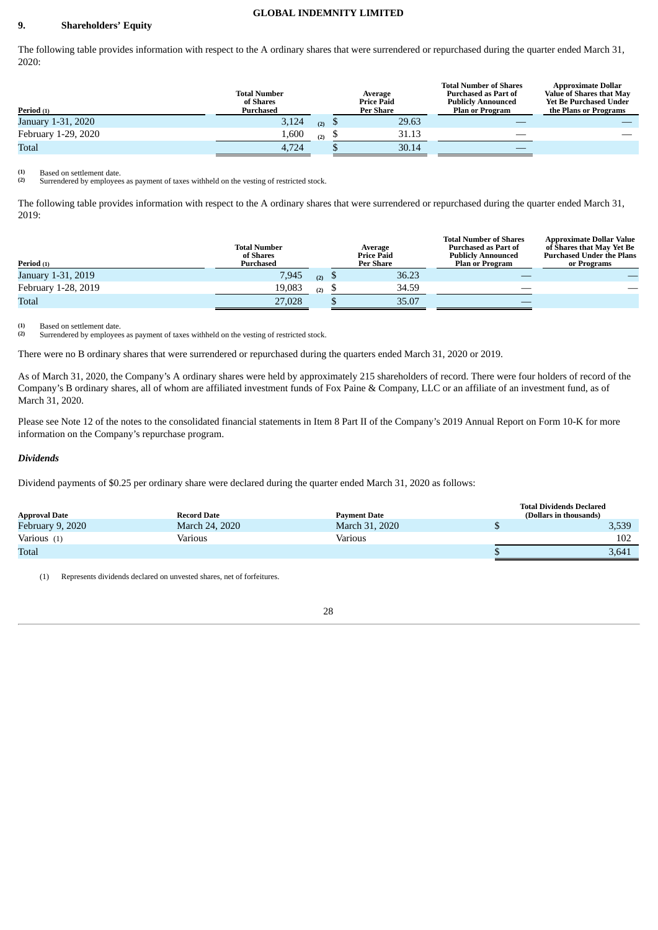#### **9. Shareholders' Equity**

The following table provides information with respect to the A ordinary shares that were surrendered or repurchased during the quarter ended March 31, 2020:

| Period (1)          | <b>Total Number</b><br>of Shares<br>Purchased |     |  | Average<br><b>Price Paid</b><br><b>Per Share</b> | <b>Total Number of Shares</b><br><b>Purchased as Part of</b><br><b>Publicly Announced</b><br><b>Plan or Program</b> | <b>Approximate Dollar</b><br><b>Value of Shares that May</b><br><b>Yet Be Purchased Under</b><br>the Plans or Programs |
|---------------------|-----------------------------------------------|-----|--|--------------------------------------------------|---------------------------------------------------------------------------------------------------------------------|------------------------------------------------------------------------------------------------------------------------|
| January 1-31, 2020  | 3,124                                         | (2) |  | 29.63                                            |                                                                                                                     |                                                                                                                        |
| February 1-29, 2020 | 1,600                                         | (2) |  | 31.13                                            |                                                                                                                     |                                                                                                                        |
| <b>Total</b>        | 4.724                                         |     |  | 30.14                                            |                                                                                                                     |                                                                                                                        |

**(1)** Based on settlement date.

Surrendered by employees as payment of taxes withheld on the vesting of restricted stock.

The following table provides information with respect to the A ordinary shares that were surrendered or repurchased during the quarter ended March 31, 2019:

| Period (1)          | <b>Total Number</b><br>of Shares<br>Purchased |     | Average<br><b>Price Paid</b><br><b>Per Share</b> | <b>Total Number of Shares</b><br>Purchased as Part of<br><b>Publicly Announced</b><br><b>Plan or Program</b> | <b>Approximate Dollar Value</b><br>of Shares that May Yet Be<br><b>Purchased Under the Plans</b><br>or Programs |
|---------------------|-----------------------------------------------|-----|--------------------------------------------------|--------------------------------------------------------------------------------------------------------------|-----------------------------------------------------------------------------------------------------------------|
| January 1-31, 2019  | 7,945                                         | (2) | 36.23                                            |                                                                                                              |                                                                                                                 |
| February 1-28, 2019 | 19,083                                        | (2) | 34.59                                            |                                                                                                              |                                                                                                                 |
| <b>Total</b>        | 27,028                                        |     | 35.07                                            |                                                                                                              |                                                                                                                 |

**(1)** Based on settlement date.

**(2)** Surrendered by employees as payment of taxes withheld on the vesting of restricted stock.

There were no B ordinary shares that were surrendered or repurchased during the quarters ended March 31, 2020 or 2019.

As of March 31, 2020, the Company's A ordinary shares were held by approximately 215 shareholders of record. There were four holders of record of the Company's B ordinary shares, all of whom are affiliated investment funds of Fox Paine & Company, LLC or an affiliate of an investment fund, as of March 31, 2020.

Please see Note 12 of the notes to the consolidated financial statements in Item 8 Part II of the Company's 2019 Annual Report on Form 10-K for more information on the Company's repurchase program.

#### *Dividends*

Dividend payments of \$0.25 per ordinary share were declared during the quarter ended March 31, 2020 as follows:

| <b>Approval Date</b> | <b>Record Date</b> | <b>Payment Date</b> | <b>Total Dividends Declared</b><br>(Dollars in thousands) |
|----------------------|--------------------|---------------------|-----------------------------------------------------------|
| February 9, 2020     | March 24, 2020     | March 31, 2020      | 3,539                                                     |
| Various (1)          | Various            | Various             | 102                                                       |
| <b>Total</b>         |                    |                     | 3,641                                                     |

(1) Represents dividends declared on unvested shares, net of forfeitures.

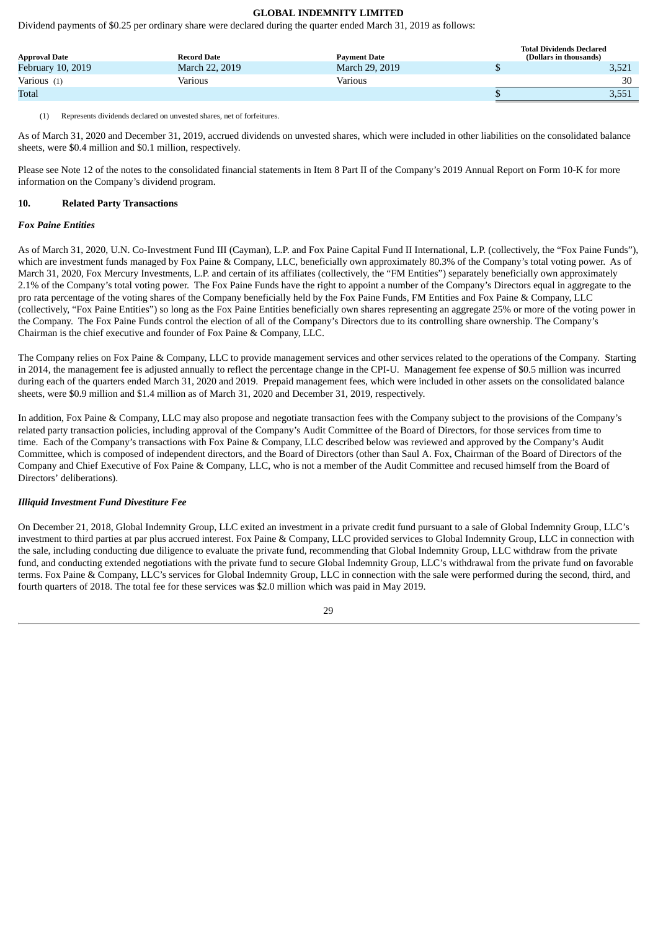Dividend payments of \$0.25 per ordinary share were declared during the quarter ended March 31, 2019 as follows:

| <b>Approval Date</b> | <b>Record Date</b> | <b>Payment Date</b> | <b>Total Dividends Declared</b><br>(Dollars in thousands) |       |
|----------------------|--------------------|---------------------|-----------------------------------------------------------|-------|
| February 10, 2019    | March 22, 2019     | March 29, 2019      |                                                           | 3,521 |
| Various (1)          | Various            | Various             |                                                           | 30    |
| <b>Total</b>         |                    |                     |                                                           | 3,551 |

(1) Represents dividends declared on unvested shares, net of forfeitures.

As of March 31, 2020 and December 31, 2019, accrued dividends on unvested shares, which were included in other liabilities on the consolidated balance sheets, were \$0.4 million and \$0.1 million, respectively.

Please see Note 12 of the notes to the consolidated financial statements in Item 8 Part II of the Company's 2019 Annual Report on Form 10-K for more information on the Company's dividend program.

#### **10. Related Party Transactions**

#### *Fox Paine Entities*

As of March 31, 2020, U.N. Co-Investment Fund III (Cayman), L.P. and Fox Paine Capital Fund II International, L.P. (collectively, the "Fox Paine Funds"), which are investment funds managed by Fox Paine & Company, LLC, beneficially own approximately 80.3% of the Company's total voting power. As of March 31, 2020, Fox Mercury Investments, L.P. and certain of its affiliates (collectively, the "FM Entities") separately beneficially own approximately 2.1% of the Company's total voting power. The Fox Paine Funds have the right to appoint a number of the Company's Directors equal in aggregate to the pro rata percentage of the voting shares of the Company beneficially held by the Fox Paine Funds, FM Entities and Fox Paine & Company, LLC (collectively, "Fox Paine Entities") so long as the Fox Paine Entities beneficially own shares representing an aggregate 25% or more of the voting power in the Company. The Fox Paine Funds control the election of all of the Company's Directors due to its controlling share ownership. The Company's Chairman is the chief executive and founder of Fox Paine & Company, LLC.

The Company relies on Fox Paine & Company, LLC to provide management services and other services related to the operations of the Company. Starting in 2014, the management fee is adjusted annually to reflect the percentage change in the CPI-U. Management fee expense of \$0.5 million was incurred during each of the quarters ended March 31, 2020 and 2019. Prepaid management fees, which were included in other assets on the consolidated balance sheets, were \$0.9 million and \$1.4 million as of March 31, 2020 and December 31, 2019, respectively.

In addition, Fox Paine & Company, LLC may also propose and negotiate transaction fees with the Company subject to the provisions of the Company's related party transaction policies, including approval of the Company's Audit Committee of the Board of Directors, for those services from time to time. Each of the Company's transactions with Fox Paine & Company, LLC described below was reviewed and approved by the Company's Audit Committee, which is composed of independent directors, and the Board of Directors (other than Saul A. Fox, Chairman of the Board of Directors of the Company and Chief Executive of Fox Paine & Company, LLC, who is not a member of the Audit Committee and recused himself from the Board of Directors' deliberations).

#### *Illiquid Investment Fund Divestiture Fee*

On December 21, 2018, Global Indemnity Group, LLC exited an investment in a private credit fund pursuant to a sale of Global Indemnity Group, LLC's investment to third parties at par plus accrued interest. Fox Paine & Company, LLC provided services to Global Indemnity Group, LLC in connection with the sale, including conducting due diligence to evaluate the private fund, recommending that Global Indemnity Group, LLC withdraw from the private fund, and conducting extended negotiations with the private fund to secure Global Indemnity Group, LLC's withdrawal from the private fund on favorable terms. Fox Paine & Company, LLC's services for Global Indemnity Group, LLC in connection with the sale were performed during the second, third, and fourth quarters of 2018. The total fee for these services was \$2.0 million which was paid in May 2019.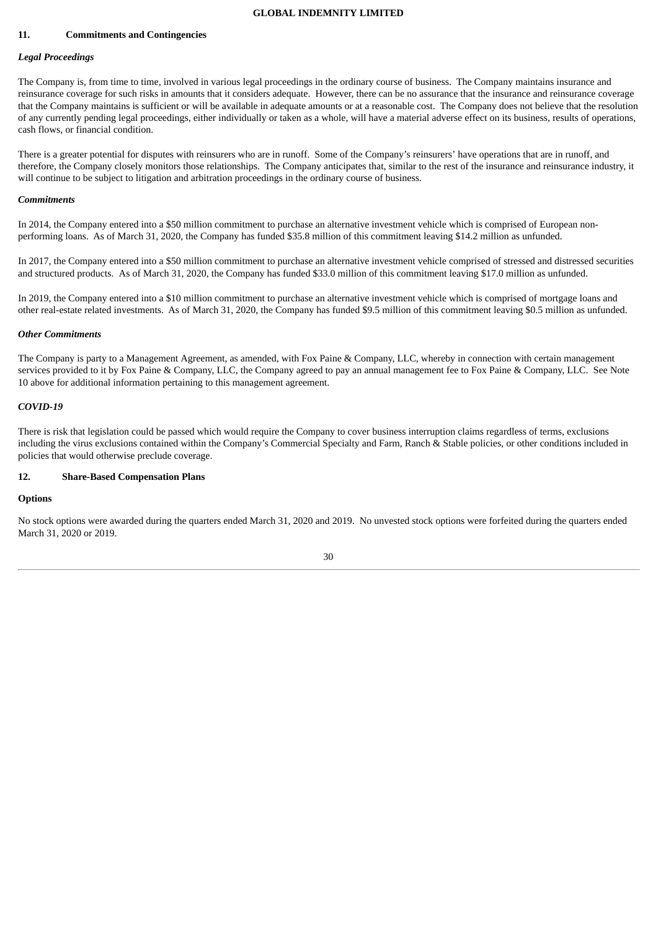### **11. Commitments and Contingencies**

#### *Legal Proceedings*

The Company is, from time to time, involved in various legal proceedings in the ordinary course of business. The Company maintains insurance and reinsurance coverage for such risks in amounts that it considers adequate. However, there can be no assurance that the insurance and reinsurance coverage that the Company maintains is sufficient or will be available in adequate amounts or at a reasonable cost. The Company does not believe that the resolution of any currently pending legal proceedings, either individually or taken as a whole, will have a material adverse effect on its business, results of operations, cash flows, or financial condition.

There is a greater potential for disputes with reinsurers who are in runoff. Some of the Company's reinsurers' have operations that are in runoff, and therefore, the Company closely monitors those relationships. The Company anticipates that, similar to the rest of the insurance and reinsurance industry, it will continue to be subject to litigation and arbitration proceedings in the ordinary course of business.

#### *Commitments*

In 2014, the Company entered into a \$50 million commitment to purchase an alternative investment vehicle which is comprised of European nonperforming loans. As of March 31, 2020, the Company has funded \$35.8 million of this commitment leaving \$14.2 million as unfunded.

In 2017, the Company entered into a \$50 million commitment to purchase an alternative investment vehicle comprised of stressed and distressed securities and structured products. As of March 31, 2020, the Company has funded \$33.0 million of this commitment leaving \$17.0 million as unfunded.

In 2019, the Company entered into a \$10 million commitment to purchase an alternative investment vehicle which is comprised of mortgage loans and other real-estate related investments. As of March 31, 2020, the Company has funded \$9.5 million of this commitment leaving \$0.5 million as unfunded.

#### *Other Commitments*

The Company is party to a Management Agreement, as amended, with Fox Paine & Company, LLC, whereby in connection with certain management services provided to it by Fox Paine & Company, LLC, the Company agreed to pay an annual management fee to Fox Paine & Company, LLC. See Note 10 above for additional information pertaining to this management agreement.

#### *COVID-19*

There is risk that legislation could be passed which would require the Company to cover business interruption claims regardless of terms, exclusions including the virus exclusions contained within the Company's Commercial Specialty and Farm, Ranch & Stable policies, or other conditions included in policies that would otherwise preclude coverage.

#### **12. Share-Based Compensation Plans**

#### **Options**

No stock options were awarded during the quarters ended March 31, 2020 and 2019. No unvested stock options were forfeited during the quarters ended March 31, 2020 or 2019.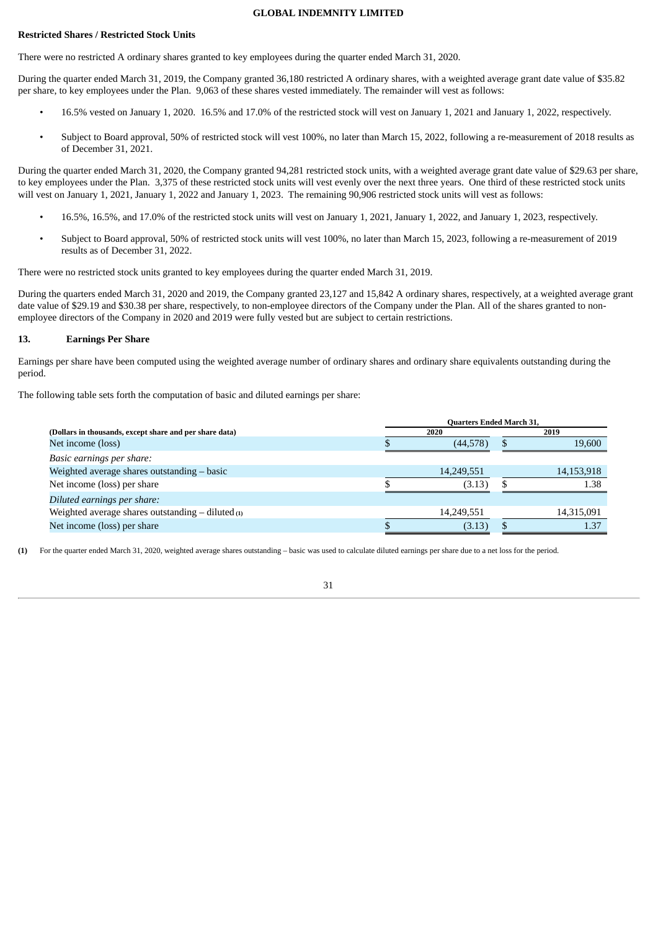#### **Restricted Shares / Restricted Stock Units**

There were no restricted A ordinary shares granted to key employees during the quarter ended March 31, 2020.

During the quarter ended March 31, 2019, the Company granted 36,180 restricted A ordinary shares, with a weighted average grant date value of \$35.82 per share, to key employees under the Plan. 9,063 of these shares vested immediately. The remainder will vest as follows:

- 16.5% vested on January 1, 2020. 16.5% and 17.0% of the restricted stock will vest on January 1, 2021 and January 1, 2022, respectively.
- Subject to Board approval, 50% of restricted stock will vest 100%, no later than March 15, 2022, following a re-measurement of 2018 results as of December 31, 2021.

During the quarter ended March 31, 2020, the Company granted 94,281 restricted stock units, with a weighted average grant date value of \$29.63 per share, to key employees under the Plan. 3,375 of these restricted stock units will vest evenly over the next three years. One third of these restricted stock units will vest on January 1, 2021, January 1, 2022 and January 1, 2023. The remaining 90,906 restricted stock units will vest as follows:

- 16.5%, 16.5%, and 17.0% of the restricted stock units will vest on January 1, 2021, January 1, 2022, and January 1, 2023, respectively.
- Subject to Board approval, 50% of restricted stock units will vest 100%, no later than March 15, 2023, following a re-measurement of 2019 results as of December 31, 2022.

There were no restricted stock units granted to key employees during the quarter ended March 31, 2019.

During the quarters ended March 31, 2020 and 2019, the Company granted 23,127 and 15,842 A ordinary shares, respectively, at a weighted average grant date value of \$29.19 and \$30.38 per share, respectively, to non-employee directors of the Company under the Plan. All of the shares granted to nonemployee directors of the Company in 2020 and 2019 were fully vested but are subject to certain restrictions.

#### **13. Earnings Per Share**

Earnings per share have been computed using the weighted average number of ordinary shares and ordinary share equivalents outstanding during the period.

The following table sets forth the computation of basic and diluted earnings per share:

|                                                         | <b>Quarters Ended March 31,</b> |            |  |            |  |  |  |
|---------------------------------------------------------|---------------------------------|------------|--|------------|--|--|--|
| (Dollars in thousands, except share and per share data) |                                 | 2020       |  | 2019       |  |  |  |
| Net income (loss)                                       |                                 | (44,578)   |  | 19.600     |  |  |  |
| Basic earnings per share:                               |                                 |            |  |            |  |  |  |
| Weighted average shares outstanding - basic             |                                 | 14,249,551 |  | 14,153,918 |  |  |  |
| Net income (loss) per share                             |                                 | (3.13)     |  | 1.38       |  |  |  |
| Diluted earnings per share:                             |                                 |            |  |            |  |  |  |
| Weighted average shares outstanding $-$ diluted $(1)$   |                                 | 14,249,551 |  | 14,315,091 |  |  |  |
| Net income (loss) per share                             |                                 | (3.13)     |  | 1.37       |  |  |  |

**(1)** For the quarter ended March 31, 2020, weighted average shares outstanding – basic was used to calculate diluted earnings per share due to a net loss for the period.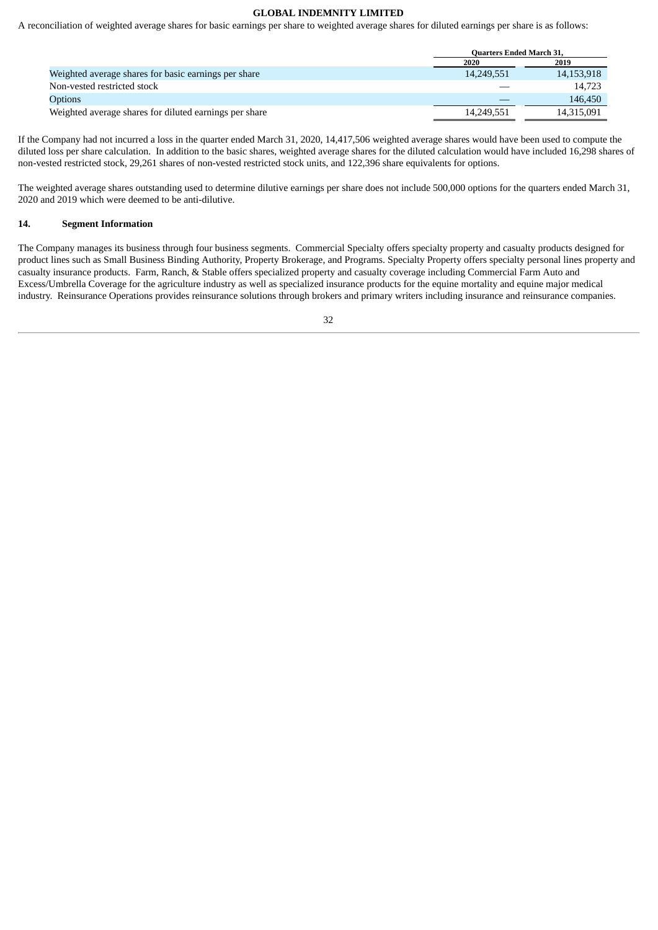A reconciliation of weighted average shares for basic earnings per share to weighted average shares for diluted earnings per share is as follows:

|                                                        | <b>Quarters Ended March 31,</b> |            |
|--------------------------------------------------------|---------------------------------|------------|
|                                                        | 2020                            | 2019       |
| Weighted average shares for basic earnings per share   | 14,249,551                      | 14,153,918 |
| Non-vested restricted stock                            |                                 | 14.723     |
| Options                                                |                                 | 146,450    |
| Weighted average shares for diluted earnings per share | 14,249,551                      | 14,315,091 |

If the Company had not incurred a loss in the quarter ended March 31, 2020, 14,417,506 weighted average shares would have been used to compute the diluted loss per share calculation. In addition to the basic shares, weighted average shares for the diluted calculation would have included 16,298 shares of non-vested restricted stock, 29,261 shares of non-vested restricted stock units, and 122,396 share equivalents for options.

The weighted average shares outstanding used to determine dilutive earnings per share does not include 500,000 options for the quarters ended March 31, 2020 and 2019 which were deemed to be anti-dilutive.

#### **14. Segment Information**

The Company manages its business through four business segments. Commercial Specialty offers specialty property and casualty products designed for product lines such as Small Business Binding Authority, Property Brokerage, and Programs. Specialty Property offers specialty personal lines property and casualty insurance products. Farm, Ranch, & Stable offers specialized property and casualty coverage including Commercial Farm Auto and Excess/Umbrella Coverage for the agriculture industry as well as specialized insurance products for the equine mortality and equine major medical industry. Reinsurance Operations provides reinsurance solutions through brokers and primary writers including insurance and reinsurance companies.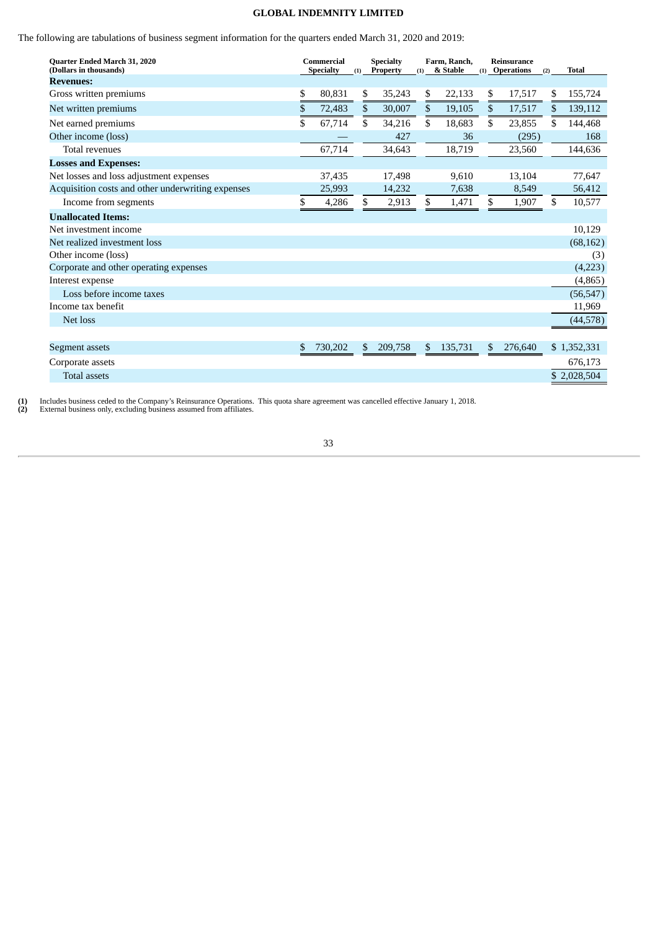The following are tabulations of business segment information for the quarters ended March 31, 2020 and 2019:

| Quarter Ended March 31, 2020<br>(Dollars in thousands) | Commercial<br><b>Specialty</b> | (1) | <b>Specialty</b><br><b>Property</b> | (1) | Farm, Ranch,<br>& Stable | Reinsurance<br>(1) Operations | (2) | <b>Total</b> |
|--------------------------------------------------------|--------------------------------|-----|-------------------------------------|-----|--------------------------|-------------------------------|-----|--------------|
| <b>Revenues:</b>                                       |                                |     |                                     |     |                          |                               |     |              |
| Gross written premiums                                 | \$<br>80,831                   | \$  | 35,243                              | \$  | 22,133                   | \$<br>17,517                  | S   | 155,724      |
| Net written premiums                                   | \$<br>72,483                   | \$  | 30,007                              | \$  | 19,105                   | 17,517<br>\$                  | \$  | 139,112      |
| Net earned premiums                                    | \$<br>67,714                   | \$  | 34,216                              | \$  | 18,683                   | \$.<br>23,855                 | \$  | 144,468      |
| Other income (loss)                                    |                                |     | 427                                 |     | 36                       | (295)                         |     | 168          |
| Total revenues                                         | 67.714                         |     | 34,643                              |     | 18,719                   | 23,560                        |     | 144,636      |
| <b>Losses and Expenses:</b>                            |                                |     |                                     |     |                          |                               |     |              |
| Net losses and loss adjustment expenses                | 37,435                         |     | 17,498                              |     | 9,610                    | 13,104                        |     | 77,647       |
| Acquisition costs and other underwriting expenses      | 25,993                         |     | 14,232                              |     | 7,638                    | 8,549                         |     | 56,412       |
| Income from segments                                   | \$<br>4,286                    | \$  | 2,913                               | \$  | 1,471                    | 1,907<br>\$                   | \$  | 10,577       |
| <b>Unallocated Items:</b>                              |                                |     |                                     |     |                          |                               |     |              |
| Net investment income                                  |                                |     |                                     |     |                          |                               |     | 10,129       |
| Net realized investment loss                           |                                |     |                                     |     |                          |                               |     | (68, 162)    |
| Other income (loss)                                    |                                |     |                                     |     |                          |                               |     | (3)          |
| Corporate and other operating expenses                 |                                |     |                                     |     |                          |                               |     | (4,223)      |
| Interest expense                                       |                                |     |                                     |     |                          |                               |     | (4,865)      |
| Loss before income taxes                               |                                |     |                                     |     |                          |                               |     | (56, 547)    |
| Income tax benefit                                     |                                |     |                                     |     |                          |                               |     | 11,969       |
| Net loss                                               |                                |     |                                     |     |                          |                               |     | (44, 578)    |
|                                                        |                                |     |                                     |     |                          |                               |     |              |
| Segment assets                                         | \$<br>730,202                  | \$  | 209,758                             | \$  | 135,731                  | \$<br>276,640                 |     | \$1,352,331  |
| Corporate assets                                       |                                |     |                                     |     |                          |                               |     | 676,173      |
| <b>Total assets</b>                                    |                                |     |                                     |     |                          |                               | \$  | 2,028,504    |
|                                                        |                                |     |                                     |     |                          |                               |     |              |

**(1)** Includes business ceded to the Company's Reinsurance Operations. This quota share agreement was cancelled effective January 1, 2018. **(2)** External business only, excluding business assumed from affiliates.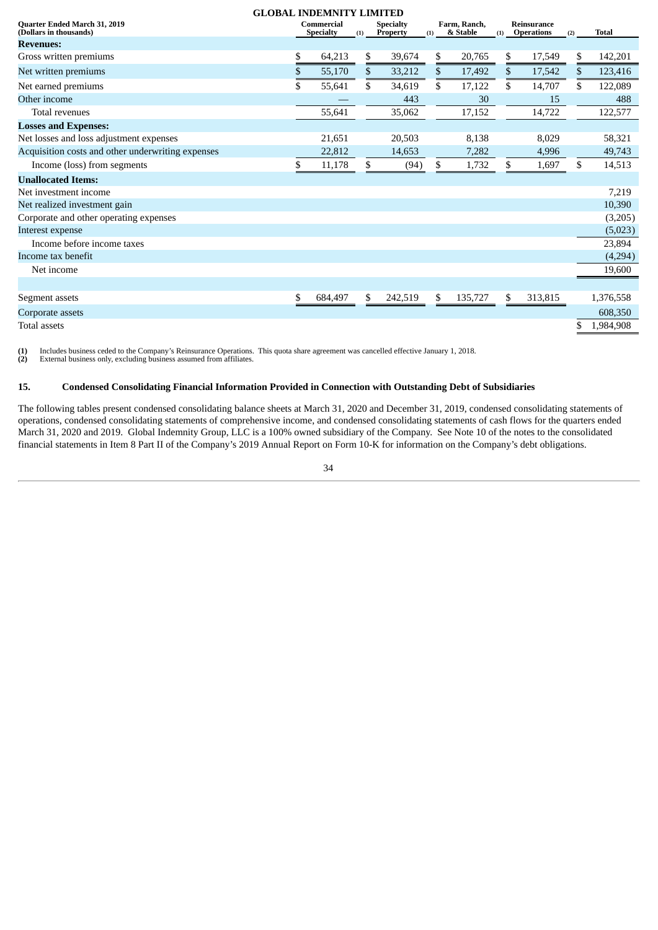| <b>GLOBAL INDEMNITY LIMITED</b>                        |  |                                |         |     |                                     |     |                          |     |                                  |     |              |  |
|--------------------------------------------------------|--|--------------------------------|---------|-----|-------------------------------------|-----|--------------------------|-----|----------------------------------|-----|--------------|--|
| Quarter Ended March 31, 2019<br>(Dollars in thousands) |  | Commercial<br><b>Specialty</b> |         | (1) | <b>Specialty</b><br><b>Property</b> | (1) | Farm, Ranch,<br>& Stable | (1) | Reinsurance<br><b>Operations</b> | (2) | <b>Total</b> |  |
| <b>Revenues:</b>                                       |  |                                |         |     |                                     |     |                          |     |                                  |     |              |  |
| Gross written premiums                                 |  | \$                             | 64,213  |     | \$<br>39,674                        |     | \$<br>20,765             |     | \$<br>17,549                     | \$  | 142,201      |  |
| Net written premiums                                   |  | \$                             | 55,170  |     | \$<br>33,212                        | \$  | 17,492                   |     | 17,542<br>\$                     | \$  | 123,416      |  |
| Net earned premiums                                    |  | \$                             | 55,641  |     | \$<br>34,619                        |     | \$<br>17,122             |     | \$<br>14,707                     | \$  | 122,089      |  |
| Other income                                           |  |                                |         |     | 443                                 |     | 30                       |     | 15                               |     | 488          |  |
| <b>Total revenues</b>                                  |  |                                | 55,641  |     | 35,062                              |     | 17,152                   |     | 14,722                           |     | 122,577      |  |
| <b>Losses and Expenses:</b>                            |  |                                |         |     |                                     |     |                          |     |                                  |     |              |  |
| Net losses and loss adjustment expenses                |  |                                | 21,651  |     | 20,503                              |     | 8,138                    |     | 8,029                            |     | 58,321       |  |
| Acquisition costs and other underwriting expenses      |  |                                | 22,812  |     | 14,653                              |     | 7,282                    |     | 4,996                            |     | 49,743       |  |
| Income (loss) from segments                            |  | \$.                            | 11,178  |     | \$<br>(94)                          |     | 1,732<br>\$              |     | 1,697<br>S.                      | \$  | 14,513       |  |
| <b>Unallocated Items:</b>                              |  |                                |         |     |                                     |     |                          |     |                                  |     |              |  |
| Net investment income                                  |  |                                |         |     |                                     |     |                          |     |                                  |     | 7,219        |  |
| Net realized investment gain                           |  |                                |         |     |                                     |     |                          |     |                                  |     | 10,390       |  |
| Corporate and other operating expenses                 |  |                                |         |     |                                     |     |                          |     |                                  |     | (3,205)      |  |
| Interest expense                                       |  |                                |         |     |                                     |     |                          |     |                                  |     | (5,023)      |  |
| Income before income taxes                             |  |                                |         |     |                                     |     |                          |     |                                  |     | 23,894       |  |
| Income tax benefit                                     |  |                                |         |     |                                     |     |                          |     |                                  |     | (4,294)      |  |
| Net income                                             |  |                                |         |     |                                     |     |                          |     |                                  |     | 19,600       |  |
|                                                        |  |                                |         |     |                                     |     |                          |     |                                  |     |              |  |
| Segment assets                                         |  | S                              | 684,497 |     | \$<br>242,519                       |     | 135,727<br>\$            |     | \$<br>313,815                    |     | 1,376,558    |  |
| Corporate assets                                       |  |                                |         |     |                                     |     |                          |     |                                  |     | 608,350      |  |
| <b>Total assets</b>                                    |  |                                |         |     |                                     |     |                          |     |                                  | \$  | 1,984,908    |  |

**(1)** Includes business ceded to the Company's Reinsurance Operations. This quota share agreement was cancelled effective January 1, 2018. **(2)** External business only, excluding business assumed from affiliates.

### **15. Condensed Consolidating Financial Information Provided in Connection with Outstanding Debt of Subsidiaries**

The following tables present condensed consolidating balance sheets at March 31, 2020 and December 31, 2019, condensed consolidating statements of operations, condensed consolidating statements of comprehensive income, and condensed consolidating statements of cash flows for the quarters ended March 31, 2020 and 2019. Global Indemnity Group, LLC is a 100% owned subsidiary of the Company. See Note 10 of the notes to the consolidated financial statements in Item 8 Part II of the Company's 2019 Annual Report on Form 10-K for information on the Company's debt obligations.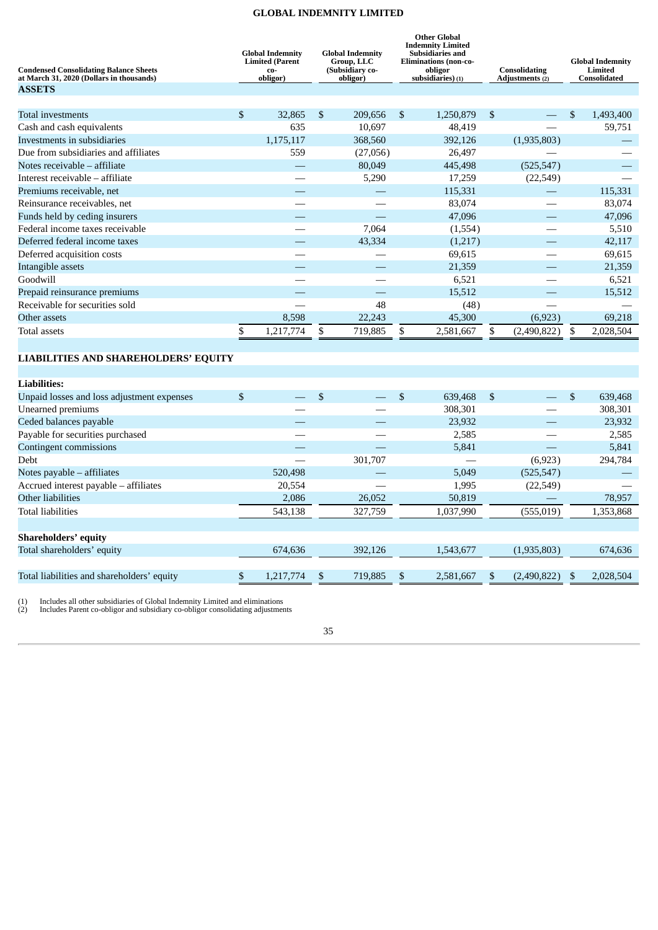| <b>Condensed Consolidating Balance Sheets</b><br>at March 31, 2020 (Dollars in thousands) | <b>Global Indemnity</b><br><b>Limited (Parent</b><br>$co-$<br>obligor) |    | <b>Global Indemnity</b><br>Group, LLC<br>(Subsidiary co-<br>obligor) |    | <b>Other Global</b><br><b>Indemnity Limited</b><br><b>Subsidiaries and</b><br><b>Eliminations</b> (non-co-<br>obligor<br>subsidiaries) (1) |    | Consolidating<br>Adjustments (2) |    | <b>Global Indemnity</b><br>Limited<br>Consolidated |
|-------------------------------------------------------------------------------------------|------------------------------------------------------------------------|----|----------------------------------------------------------------------|----|--------------------------------------------------------------------------------------------------------------------------------------------|----|----------------------------------|----|----------------------------------------------------|
| <b>ASSETS</b>                                                                             |                                                                        |    |                                                                      |    |                                                                                                                                            |    |                                  |    |                                                    |
| <b>Total investments</b>                                                                  | \$<br>32,865                                                           | \$ | 209,656                                                              | \$ | 1,250,879                                                                                                                                  | \$ |                                  | \$ | 1,493,400                                          |
| Cash and cash equivalents                                                                 | 635                                                                    |    | 10,697                                                               |    | 48,419                                                                                                                                     |    |                                  |    | 59,751                                             |
| Investments in subsidiaries                                                               | 1,175,117                                                              |    | 368,560                                                              |    | 392,126                                                                                                                                    |    | (1,935,803)                      |    |                                                    |
| Due from subsidiaries and affiliates                                                      | 559                                                                    |    | (27,056)                                                             |    | 26,497                                                                                                                                     |    |                                  |    |                                                    |
| Notes receivable – affiliate                                                              |                                                                        |    | 80,049                                                               |    | 445,498                                                                                                                                    |    | (525, 547)                       |    |                                                    |
| Interest receivable - affiliate                                                           |                                                                        |    | 5,290                                                                |    | 17,259                                                                                                                                     |    | (22, 549)                        |    |                                                    |
| Premiums receivable, net                                                                  |                                                                        |    |                                                                      |    | 115,331                                                                                                                                    |    |                                  |    | 115,331                                            |
| Reinsurance receivables, net                                                              |                                                                        |    |                                                                      |    | 83,074                                                                                                                                     |    |                                  |    | 83,074                                             |
| Funds held by ceding insurers                                                             |                                                                        |    |                                                                      |    | 47,096                                                                                                                                     |    |                                  |    | 47,096                                             |
| Federal income taxes receivable                                                           |                                                                        |    | 7,064                                                                |    | (1,554)                                                                                                                                    |    |                                  |    | 5,510                                              |
| Deferred federal income taxes                                                             |                                                                        |    | 43,334                                                               |    | (1,217)                                                                                                                                    |    |                                  |    | 42,117                                             |
| Deferred acquisition costs                                                                |                                                                        |    |                                                                      |    | 69,615                                                                                                                                     |    |                                  |    | 69,615                                             |
| Intangible assets                                                                         |                                                                        |    |                                                                      |    | 21,359                                                                                                                                     |    |                                  |    | 21,359                                             |
| Goodwill                                                                                  |                                                                        |    |                                                                      |    | 6,521                                                                                                                                      |    |                                  |    | 6,521                                              |
| Prepaid reinsurance premiums                                                              |                                                                        |    |                                                                      |    | 15,512                                                                                                                                     |    |                                  |    | 15,512                                             |
| Receivable for securities sold                                                            |                                                                        |    | 48                                                                   |    | (48)                                                                                                                                       |    |                                  |    |                                                    |
| Other assets                                                                              | 8,598                                                                  |    | 22,243                                                               |    | 45,300                                                                                                                                     |    | (6, 923)                         |    | 69,218                                             |
| Total assets                                                                              | 1,217,774                                                              | S  | 719,885                                                              | S  | 2,581,667                                                                                                                                  | S  | (2,490,822)                      |    | 2,028,504                                          |

### **LIABILITIES AND SHAREHOLDERS' EQUITY**

| <b>Liabilities:</b>                        |           |         |                 |                                 |                |
|--------------------------------------------|-----------|---------|-----------------|---------------------------------|----------------|
| Unpaid losses and loss adjustment expenses | \$        | \$      | \$<br>639,468   | \$.<br>$\overline{\phantom{0}}$ | \$.<br>639,468 |
| Unearned premiums                          |           |         | 308,301         |                                 | 308,301        |
| Ceded balances payable                     |           |         | 23,932          |                                 | 23,932         |
| Payable for securities purchased           |           |         | 2,585           |                                 | 2,585          |
| Contingent commissions                     |           |         | 5,841           |                                 | 5,841          |
| Debt                                       |           | 301,707 |                 | (6,923)                         | 294,784        |
| Notes payable – affiliates                 | 520,498   |         | 5,049           | (525, 547)                      |                |
| Accrued interest payable - affiliates      | 20,554    |         | 1,995           | (22, 549)                       |                |
| Other liabilities                          | 2,086     | 26,052  | 50,819          |                                 | 78,957         |
| <b>Total liabilities</b>                   | 543,138   | 327,759 | 1,037,990       | (555, 019)                      | 1,353,868      |
|                                            |           |         |                 |                                 |                |
| Shareholders' equity                       |           |         |                 |                                 |                |
| Total shareholders' equity                 | 674,636   | 392,126 | 1,543,677       | (1,935,803)                     | 674,636        |
|                                            |           |         |                 |                                 |                |
| Total liabilities and shareholders' equity | 1,217,774 | 719,885 | \$<br>2,581,667 | (2,490,822)                     | 2,028,504<br>S |

(1) Includes all other subsidiaries of Global Indemnity Limited and eliminations (2) Includes Parent co-obligor and subsidiary co-obligor consolidating adjustments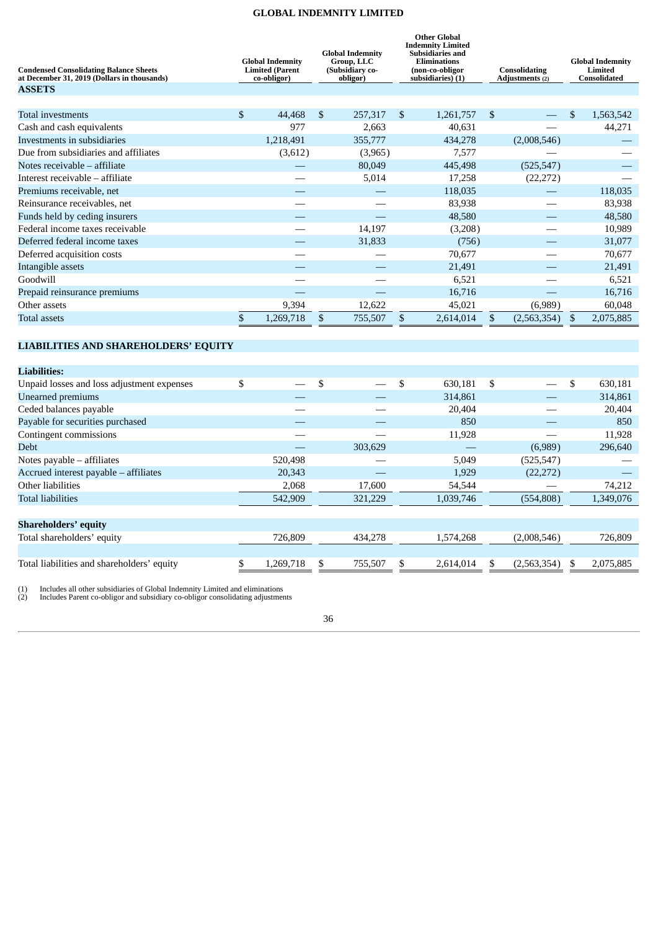| <b>Condensed Consolidating Balance Sheets</b><br>at December 31, 2019 (Dollars in thousands) | <b>Global Indemnity</b><br><b>Limited (Parent</b><br>co-obligor) | <b>Other Global</b><br><b>Indemnity Limited</b><br><b>Subsidiaries and</b><br><b>Global Indemnity</b><br><b>Eliminations</b><br>Group, LLC<br>(Subsidiary co-<br>(non-co-obligor<br>subsidiaries) (1)<br>obligor) |    |           | <b>Consolidating</b><br>Adjustments (2) |    | <b>Global Indemnity</b><br>Limited<br>Consolidated |  |
|----------------------------------------------------------------------------------------------|------------------------------------------------------------------|-------------------------------------------------------------------------------------------------------------------------------------------------------------------------------------------------------------------|----|-----------|-----------------------------------------|----|----------------------------------------------------|--|
| <b>ASSETS</b>                                                                                |                                                                  |                                                                                                                                                                                                                   |    |           |                                         |    |                                                    |  |
|                                                                                              |                                                                  |                                                                                                                                                                                                                   |    |           |                                         |    |                                                    |  |
| <b>Total investments</b>                                                                     | \$<br>44,468                                                     | \$<br>257,317                                                                                                                                                                                                     | \$ | 1,261,757 | \$                                      | \$ | 1,563,542                                          |  |
| Cash and cash equivalents                                                                    | 977                                                              | 2,663                                                                                                                                                                                                             |    | 40,631    |                                         |    | 44,271                                             |  |
| Investments in subsidiaries                                                                  | 1,218,491                                                        | 355,777                                                                                                                                                                                                           |    | 434,278   | (2,008,546)                             |    |                                                    |  |
| Due from subsidiaries and affiliates                                                         | (3,612)                                                          | (3,965)                                                                                                                                                                                                           |    | 7,577     |                                         |    |                                                    |  |
| Notes receivable - affiliate                                                                 |                                                                  | 80,049                                                                                                                                                                                                            |    | 445,498   | (525, 547)                              |    |                                                    |  |
| Interest receivable - affiliate                                                              |                                                                  | 5,014                                                                                                                                                                                                             |    | 17,258    | (22, 272)                               |    |                                                    |  |
| Premiums receivable, net                                                                     |                                                                  |                                                                                                                                                                                                                   |    | 118,035   |                                         |    | 118,035                                            |  |
| Reinsurance receivables, net                                                                 |                                                                  |                                                                                                                                                                                                                   |    | 83,938    |                                         |    | 83,938                                             |  |
| Funds held by ceding insurers                                                                |                                                                  |                                                                                                                                                                                                                   |    | 48,580    |                                         |    | 48,580                                             |  |
| Federal income taxes receivable                                                              |                                                                  | 14,197                                                                                                                                                                                                            |    | (3,208)   |                                         |    | 10,989                                             |  |
| Deferred federal income taxes                                                                |                                                                  | 31,833                                                                                                                                                                                                            |    | (756)     |                                         |    | 31,077                                             |  |
| Deferred acquisition costs                                                                   |                                                                  |                                                                                                                                                                                                                   |    | 70,677    |                                         |    | 70,677                                             |  |
| Intangible assets                                                                            |                                                                  |                                                                                                                                                                                                                   |    | 21,491    |                                         |    | 21,491                                             |  |
| Goodwill                                                                                     |                                                                  |                                                                                                                                                                                                                   |    | 6,521     | –                                       |    | 6,521                                              |  |
| Prepaid reinsurance premiums                                                                 |                                                                  |                                                                                                                                                                                                                   |    | 16,716    |                                         |    | 16,716                                             |  |
| Other assets                                                                                 | 9,394                                                            | 12,622                                                                                                                                                                                                            |    | 45,021    | (6,989)                                 |    | 60,048                                             |  |
| <b>Total assets</b>                                                                          | \$<br>1,269,718                                                  | \$<br>755,507                                                                                                                                                                                                     | \$ | 2,614,014 | \$<br>(2,563,354)                       | \$ | 2,075,885                                          |  |
| <b>LIABILITIES AND SHAREHOLDERS' EQUITY</b>                                                  |                                                                  |                                                                                                                                                                                                                   |    |           |                                         |    |                                                    |  |
| <b>Liabilities:</b>                                                                          |                                                                  |                                                                                                                                                                                                                   |    |           |                                         |    |                                                    |  |
| Unpaid losses and loss adjustment expenses                                                   | \$                                                               | \$                                                                                                                                                                                                                | \$ | 630,181   | \$                                      | \$ | 630,181                                            |  |
| <b>Unearned premiums</b>                                                                     |                                                                  |                                                                                                                                                                                                                   |    | 314,861   |                                         |    | 314,861                                            |  |
| Ceded balances payable                                                                       |                                                                  |                                                                                                                                                                                                                   |    | 20.404    |                                         |    | 20.404                                             |  |

| Payable for securities purchased           |           |         | 850             |             | 850       |
|--------------------------------------------|-----------|---------|-----------------|-------------|-----------|
| Contingent commissions                     |           |         | 11,928          |             | 11,928    |
| Debt                                       |           | 303,629 |                 | (6,989)     | 296,640   |
| Notes payable - affiliates                 | 520,498   |         | 5,049           | (525, 547)  |           |
| Accrued interest payable – affiliates      | 20,343    |         | 1,929           | (22, 272)   |           |
| Other liabilities                          | 2,068     | 17,600  | 54,544          |             | 74,212    |
| <b>Total liabilities</b>                   | 542,909   | 321,229 | 1,039,746       | (554, 808)  | 1,349,076 |
|                                            |           |         |                 |             |           |
| <b>Shareholders' equity</b>                |           |         |                 |             |           |
| Total shareholders' equity                 | 726,809   | 434,278 | 1,574,268       | (2,008,546) | 726,809   |
|                                            |           |         |                 |             |           |
| Total liabilities and shareholders' equity | 1,269,718 | 755,507 | \$<br>2,614,014 | (2,563,354) | 2,075,885 |

(1) Includes all other subsidiaries of Global Indemnity Limited and eliminations (2) Includes Parent co-obligor and subsidiary co-obligor consolidating adjustments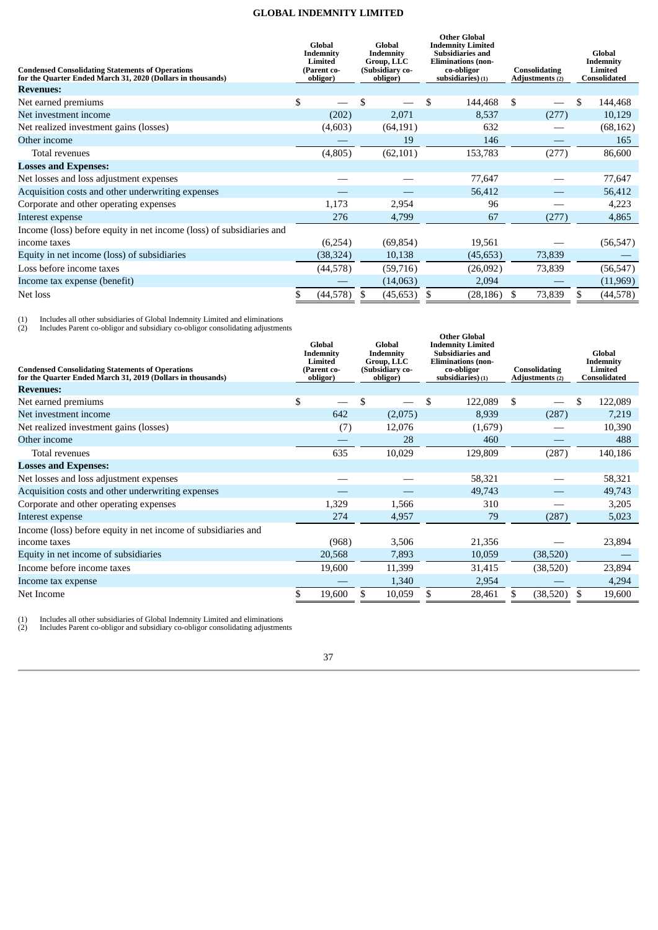| <b>Condensed Consolidating Statements of Operations</b><br>for the Quarter Ended March 31, 2020 (Dollars in thousands) | <b>Global</b><br>Global<br>Indemnity<br>Indemnity<br>Limited<br>Group, LLC<br>(Subsidiary co-<br>(Parent co-<br>obligor)<br>obligor) |           | Other Global<br><b>Indemnity Limited</b><br><b>Subsidiaries and</b><br><b>Eliminations</b> (non-<br>co-obligor<br>subsidiaries) (1) | <b>Consolidating</b><br><b>Adjustments</b> (2) | <b>Global</b><br>Indemnity<br><b>Limited</b><br>Consolidated |
|------------------------------------------------------------------------------------------------------------------------|--------------------------------------------------------------------------------------------------------------------------------------|-----------|-------------------------------------------------------------------------------------------------------------------------------------|------------------------------------------------|--------------------------------------------------------------|
| <b>Revenues:</b>                                                                                                       |                                                                                                                                      |           |                                                                                                                                     |                                                |                                                              |
| Net earned premiums                                                                                                    | \$                                                                                                                                   | \$        | \$<br>144,468                                                                                                                       | \$                                             | \$<br>144,468                                                |
| Net investment income                                                                                                  | (202)                                                                                                                                | 2,071     | 8,537                                                                                                                               | (277)                                          | 10,129                                                       |
| Net realized investment gains (losses)                                                                                 | (4,603)                                                                                                                              | (64, 191) | 632                                                                                                                                 |                                                | (68, 162)                                                    |
| Other income                                                                                                           |                                                                                                                                      | 19        | 146                                                                                                                                 |                                                | 165                                                          |
| Total revenues                                                                                                         | (4,805)                                                                                                                              | (62, 101) | 153,783                                                                                                                             | (277)                                          | 86,600                                                       |
| <b>Losses and Expenses:</b>                                                                                            |                                                                                                                                      |           |                                                                                                                                     |                                                |                                                              |
| Net losses and loss adjustment expenses                                                                                |                                                                                                                                      |           | 77,647                                                                                                                              |                                                | 77,647                                                       |
| Acquisition costs and other underwriting expenses                                                                      |                                                                                                                                      |           | 56,412                                                                                                                              |                                                | 56,412                                                       |
| Corporate and other operating expenses                                                                                 | 1,173                                                                                                                                | 2,954     | 96                                                                                                                                  |                                                | 4,223                                                        |
| Interest expense                                                                                                       | 276                                                                                                                                  | 4,799     | 67                                                                                                                                  | (277)                                          | 4,865                                                        |
| Income (loss) before equity in net income (loss) of subsidiaries and                                                   |                                                                                                                                      |           |                                                                                                                                     |                                                |                                                              |
| income taxes                                                                                                           | (6,254)                                                                                                                              | (69, 854) | 19,561                                                                                                                              |                                                | (56, 547)                                                    |
| Equity in net income (loss) of subsidiaries                                                                            | (38, 324)                                                                                                                            | 10,138    | (45, 653)                                                                                                                           | 73,839                                         |                                                              |
| Loss before income taxes                                                                                               | (44, 578)                                                                                                                            | (59,716)  | (26,092)                                                                                                                            | 73,839                                         | (56, 547)                                                    |
| Income tax expense (benefit)                                                                                           |                                                                                                                                      | (14,063)  | 2,094                                                                                                                               |                                                | (11,969)                                                     |
| Net loss                                                                                                               | (44, 578)<br>S.                                                                                                                      | (45, 653) | (28, 186)<br>\$                                                                                                                     | 73,839<br>S                                    | (44, 578)<br>S                                               |

(1) Includes all other subsidiaries of Global Indemnity Limited and eliminations (2) Includes Parent co-obligor and subsidiary co-obligor consolidating adjustments

| <b>Condensed Consolidating Statements of Operations</b><br>for the Quarter Ended March 31, 2019 (Dollars in thousands) | Global<br>Indemnity<br>Limited<br>(Parent co-<br>obligor) |        | Global<br>Indemnity<br>Group, LLC<br>(Subsidiary co-<br>obligor) |         | <b>Other Global</b><br><b>Indemnity Limited</b><br><b>Subsidiaries and</b><br><b>Eliminations</b> (non-<br>co-obligor<br>subsidiaries) (1) |         | Consolidating<br><b>Adjustments</b> (2) |           |   | Global<br>Indemnity<br>Limited<br>Consolidated |
|------------------------------------------------------------------------------------------------------------------------|-----------------------------------------------------------|--------|------------------------------------------------------------------|---------|--------------------------------------------------------------------------------------------------------------------------------------------|---------|-----------------------------------------|-----------|---|------------------------------------------------|
| <b>Revenues:</b>                                                                                                       |                                                           |        |                                                                  |         |                                                                                                                                            |         |                                         |           |   |                                                |
| Net earned premiums                                                                                                    | \$                                                        |        | \$                                                               |         | \$                                                                                                                                         | 122,089 | \$                                      |           | S | 122,089                                        |
| Net investment income                                                                                                  |                                                           | 642    |                                                                  | (2,075) |                                                                                                                                            | 8,939   |                                         | (287)     |   | 7,219                                          |
| Net realized investment gains (losses)                                                                                 |                                                           | (7)    |                                                                  | 12,076  |                                                                                                                                            | (1,679) |                                         |           |   | 10,390                                         |
| Other income                                                                                                           |                                                           |        |                                                                  | 28      |                                                                                                                                            | 460     |                                         |           |   | 488                                            |
| Total revenues                                                                                                         |                                                           | 635    |                                                                  | 10,029  |                                                                                                                                            | 129,809 |                                         | (287)     |   | 140,186                                        |
| <b>Losses and Expenses:</b>                                                                                            |                                                           |        |                                                                  |         |                                                                                                                                            |         |                                         |           |   |                                                |
| Net losses and loss adjustment expenses                                                                                |                                                           |        |                                                                  |         |                                                                                                                                            | 58,321  |                                         |           |   | 58,321                                         |
| Acquisition costs and other underwriting expenses                                                                      |                                                           |        |                                                                  |         |                                                                                                                                            | 49,743  |                                         |           |   | 49,743                                         |
| Corporate and other operating expenses                                                                                 |                                                           | 1,329  |                                                                  | 1,566   |                                                                                                                                            | 310     |                                         |           |   | 3,205                                          |
| Interest expense                                                                                                       |                                                           | 274    |                                                                  | 4,957   |                                                                                                                                            | 79      |                                         | (287)     |   | 5,023                                          |
| Income (loss) before equity in net income of subsidiaries and                                                          |                                                           |        |                                                                  |         |                                                                                                                                            |         |                                         |           |   |                                                |
| income taxes                                                                                                           |                                                           | (968)  |                                                                  | 3,506   |                                                                                                                                            | 21,356  |                                         |           |   | 23,894                                         |
| Equity in net income of subsidiaries                                                                                   |                                                           | 20,568 |                                                                  | 7,893   |                                                                                                                                            | 10,059  |                                         | (38,520)  |   |                                                |
| Income before income taxes                                                                                             |                                                           | 19,600 |                                                                  | 11,399  |                                                                                                                                            | 31,415  |                                         | (38,520)  |   | 23,894                                         |
| Income tax expense                                                                                                     |                                                           |        |                                                                  | 1,340   |                                                                                                                                            | 2,954   |                                         |           |   | 4,294                                          |
| Net Income                                                                                                             |                                                           | 19,600 |                                                                  | 10,059  | \$                                                                                                                                         | 28,461  |                                         | (38, 520) |   | 19,600                                         |

(1) Includes all other subsidiaries of Global Indemnity Limited and eliminations (2) Includes Parent co-obligor and subsidiary co-obligor consolidating adjustments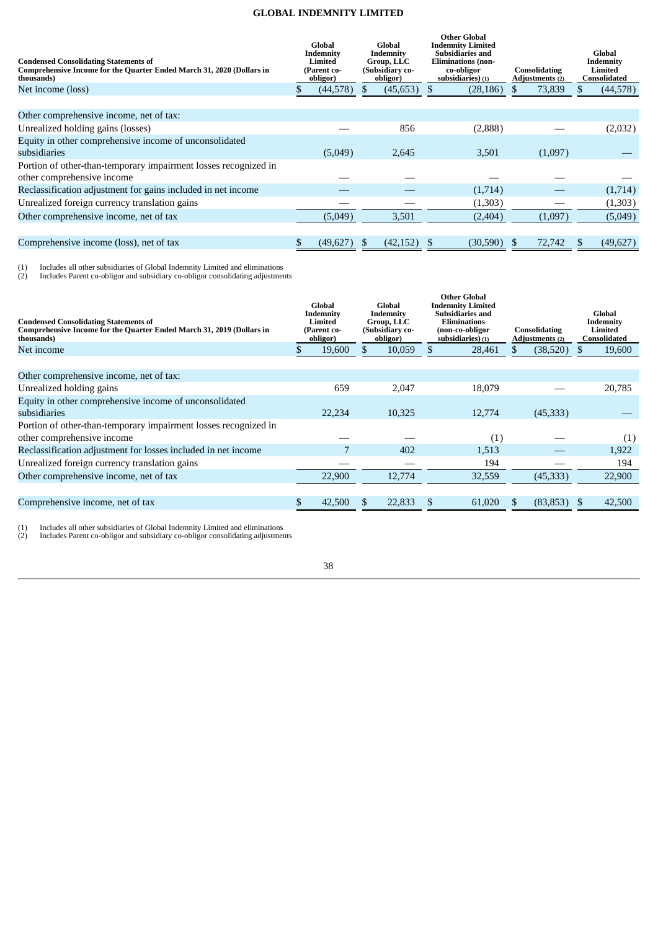| <b>Condensed Consolidating Statements of</b><br>Comprehensive Income for the Quarter Ended March 31, 2020 (Dollars in<br>thousands) | Global<br>Indemnity<br>Limited<br>(Parent co-<br>obligor) |           | Global<br>Indemnity<br>Group, LLC<br>(Subsidiary co-<br>obligor) |           | <b>Other Global</b><br><b>Indemnity Limited</b><br>Subsidiaries and<br><b>Eliminations</b> (non-<br>co-obligor<br>subsidiaries) (1) |    | Consolidating<br>Adjustments (2) | Global<br>Indemnity<br><b>Limited</b><br>Consolidated |
|-------------------------------------------------------------------------------------------------------------------------------------|-----------------------------------------------------------|-----------|------------------------------------------------------------------|-----------|-------------------------------------------------------------------------------------------------------------------------------------|----|----------------------------------|-------------------------------------------------------|
| Net income (loss)                                                                                                                   |                                                           | (44, 578) | \$.                                                              | (45, 653) | (28, 186)                                                                                                                           |    | 73,839                           | (44, 578)                                             |
|                                                                                                                                     |                                                           |           |                                                                  |           |                                                                                                                                     |    |                                  |                                                       |
| Other comprehensive income, net of tax:                                                                                             |                                                           |           |                                                                  |           |                                                                                                                                     |    |                                  |                                                       |
| Unrealized holding gains (losses)                                                                                                   |                                                           |           |                                                                  | 856       | (2,888)                                                                                                                             |    |                                  | (2,032)                                               |
| Equity in other comprehensive income of unconsolidated<br>subsidiaries                                                              |                                                           | (5,049)   |                                                                  | 2,645     | 3,501                                                                                                                               |    | (1,097)                          |                                                       |
| Portion of other-than-temporary impairment losses recognized in<br>other comprehensive income                                       |                                                           |           |                                                                  |           |                                                                                                                                     |    |                                  |                                                       |
| Reclassification adjustment for gains included in net income                                                                        |                                                           |           |                                                                  |           | (1,714)                                                                                                                             |    |                                  | (1,714)                                               |
| Unrealized foreign currency translation gains                                                                                       |                                                           |           |                                                                  |           | (1,303)                                                                                                                             |    |                                  | (1,303)                                               |
| Other comprehensive income, net of tax                                                                                              |                                                           | (5,049)   |                                                                  | 3,501     | (2, 404)                                                                                                                            |    | (1,097)                          | (5,049)                                               |
| Comprehensive income (loss), net of tax                                                                                             |                                                           | (49,627)  |                                                                  | (42, 152) | (30, 590)                                                                                                                           | S. | 72,742                           | (49, 627)                                             |

(1) Includes all other subsidiaries of Global Indemnity Limited and eliminations (2) Includes Parent co-obligor and subsidiary co-obligor consolidating adjustments

| <b>Condensed Consolidating Statements of</b><br>Comprehensive Income for the Quarter Ended March 31, 2019 (Dollars in<br>thousands) | Global<br>Global<br>Indemnity<br>Indemnity<br>Limited<br>Group, LLC<br>(Subsidiary co-<br>(Parent co-<br>obligor)<br>obligor) |        | <b>Other Global</b><br><b>Indemnity Limited</b><br><b>Subsidiaries and</b><br><b>Eliminations</b><br>(non-co-obligor<br>subsidiaries) (1) |  |        | <b>Consolidating</b><br><b>Adjustments</b> (2) |           | Global<br>Indemnity<br>Limited<br>Consolidated |        |
|-------------------------------------------------------------------------------------------------------------------------------------|-------------------------------------------------------------------------------------------------------------------------------|--------|-------------------------------------------------------------------------------------------------------------------------------------------|--|--------|------------------------------------------------|-----------|------------------------------------------------|--------|
| Net income                                                                                                                          |                                                                                                                               | 19,600 | 10,059                                                                                                                                    |  | 28,461 |                                                | (38,520)  | -S                                             | 19,600 |
|                                                                                                                                     |                                                                                                                               |        |                                                                                                                                           |  |        |                                                |           |                                                |        |
| Other comprehensive income, net of tax:                                                                                             |                                                                                                                               |        |                                                                                                                                           |  |        |                                                |           |                                                |        |
| Unrealized holding gains                                                                                                            |                                                                                                                               | 659    | 2,047                                                                                                                                     |  | 18,079 |                                                |           |                                                | 20,785 |
| Equity in other comprehensive income of unconsolidated                                                                              |                                                                                                                               |        |                                                                                                                                           |  |        |                                                |           |                                                |        |
| subsidiaries                                                                                                                        |                                                                                                                               | 22,234 | 10,325                                                                                                                                    |  | 12,774 |                                                | (45, 333) |                                                |        |
| Portion of other-than-temporary impairment losses recognized in                                                                     |                                                                                                                               |        |                                                                                                                                           |  |        |                                                |           |                                                |        |
| other comprehensive income                                                                                                          |                                                                                                                               |        |                                                                                                                                           |  | (1)    |                                                |           |                                                | (1)    |
| Reclassification adjustment for losses included in net income                                                                       |                                                                                                                               | 7      | 402                                                                                                                                       |  | 1,513  |                                                |           |                                                | 1,922  |
| Unrealized foreign currency translation gains                                                                                       |                                                                                                                               |        |                                                                                                                                           |  | 194    |                                                |           |                                                | 194    |
| Other comprehensive income, net of tax                                                                                              |                                                                                                                               | 22,900 | 12,774                                                                                                                                    |  | 32,559 |                                                | (45, 333) |                                                | 22,900 |
|                                                                                                                                     |                                                                                                                               |        |                                                                                                                                           |  |        |                                                |           |                                                |        |
| Comprehensive income, net of tax                                                                                                    |                                                                                                                               | 42,500 | 22,833                                                                                                                                    |  | 61,020 |                                                | (83, 853) |                                                | 42,500 |

(1) Includes all other subsidiaries of Global Indemnity Limited and eliminations (2) Includes Parent co-obligor and subsidiary co-obligor consolidating adjustments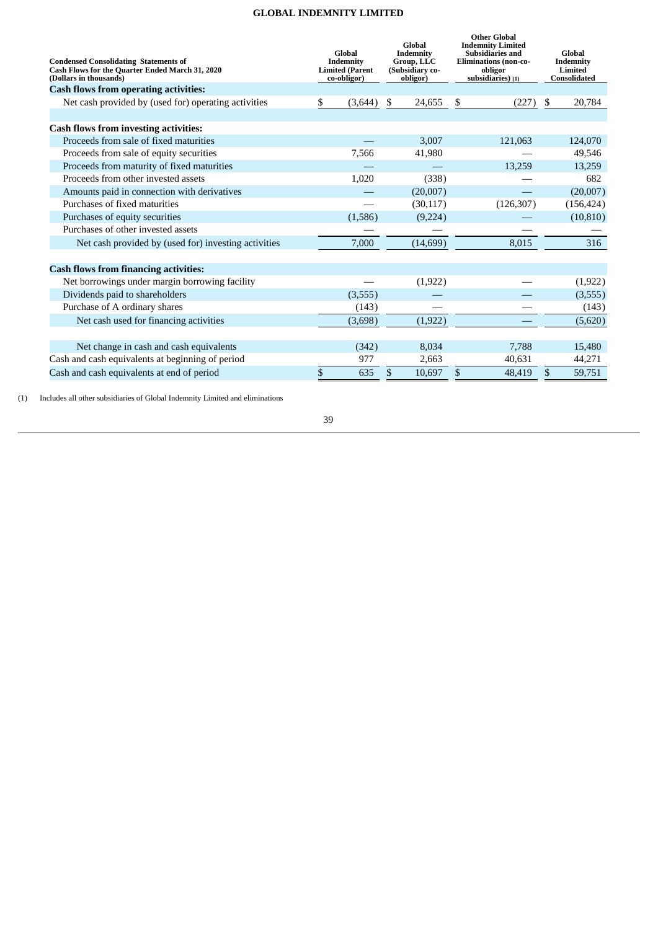| <b>Condensed Consolidating Statements of</b><br>Cash Flows for the Quarter Ended March 31, 2020<br>(Dollars in thousands) | Global<br>Indemnity<br><b>Limited (Parent</b><br>co-obligor) |         | Global<br>Indemnity<br>Group, LLC<br>(Subsidiary co-<br>obligor) |           | <b>Other Global</b><br><b>Indemnity Limited</b><br><b>Subsidiaries and</b><br><b>Eliminations</b> (non-co-<br>obligor<br>subsidiaries) (1) |     | <b>Global</b><br>Indemnity<br><b>Limited</b><br><b>Consolidated</b> |
|---------------------------------------------------------------------------------------------------------------------------|--------------------------------------------------------------|---------|------------------------------------------------------------------|-----------|--------------------------------------------------------------------------------------------------------------------------------------------|-----|---------------------------------------------------------------------|
| <b>Cash flows from operating activities:</b>                                                                              |                                                              |         |                                                                  |           |                                                                                                                                            |     |                                                                     |
| Net cash provided by (used for) operating activities                                                                      | \$                                                           | (3,644) | \$                                                               | 24,655    | \$<br>(227)                                                                                                                                | -\$ | 20,784                                                              |
|                                                                                                                           |                                                              |         |                                                                  |           |                                                                                                                                            |     |                                                                     |
| <b>Cash flows from investing activities:</b>                                                                              |                                                              |         |                                                                  |           |                                                                                                                                            |     |                                                                     |
| Proceeds from sale of fixed maturities                                                                                    |                                                              |         |                                                                  | 3,007     | 121,063                                                                                                                                    |     | 124,070                                                             |
| Proceeds from sale of equity securities                                                                                   |                                                              | 7,566   |                                                                  | 41,980    |                                                                                                                                            |     | 49,546                                                              |
| Proceeds from maturity of fixed maturities                                                                                |                                                              |         |                                                                  |           | 13,259                                                                                                                                     |     | 13,259                                                              |
| Proceeds from other invested assets                                                                                       |                                                              | 1,020   |                                                                  | (338)     |                                                                                                                                            |     | 682                                                                 |
| Amounts paid in connection with derivatives                                                                               |                                                              |         |                                                                  | (20,007)  |                                                                                                                                            |     | (20,007)                                                            |
| Purchases of fixed maturities                                                                                             |                                                              |         |                                                                  | (30, 117) | (126, 307)                                                                                                                                 |     | (156, 424)                                                          |
| Purchases of equity securities                                                                                            |                                                              | (1,586) |                                                                  | (9,224)   |                                                                                                                                            |     | (10, 810)                                                           |
| Purchases of other invested assets                                                                                        |                                                              |         |                                                                  |           |                                                                                                                                            |     |                                                                     |
| Net cash provided by (used for) investing activities                                                                      |                                                              | 7,000   |                                                                  | (14, 699) | 8.015                                                                                                                                      |     | 316                                                                 |
|                                                                                                                           |                                                              |         |                                                                  |           |                                                                                                                                            |     |                                                                     |
| <b>Cash flows from financing activities:</b>                                                                              |                                                              |         |                                                                  |           |                                                                                                                                            |     |                                                                     |
| Net borrowings under margin borrowing facility                                                                            |                                                              |         |                                                                  | (1,922)   |                                                                                                                                            |     | (1, 922)                                                            |
| Dividends paid to shareholders                                                                                            |                                                              | (3,555) |                                                                  |           |                                                                                                                                            |     | (3,555)                                                             |
| Purchase of A ordinary shares                                                                                             |                                                              | (143)   |                                                                  |           |                                                                                                                                            |     | (143)                                                               |
| Net cash used for financing activities                                                                                    |                                                              | (3,698) |                                                                  | (1,922)   |                                                                                                                                            |     | (5,620)                                                             |
|                                                                                                                           |                                                              |         |                                                                  |           |                                                                                                                                            |     |                                                                     |
| Net change in cash and cash equivalents                                                                                   |                                                              | (342)   |                                                                  | 8,034     | 7,788                                                                                                                                      |     | 15,480                                                              |
| Cash and cash equivalents at beginning of period                                                                          |                                                              | 977     |                                                                  | 2,663     | 40,631                                                                                                                                     |     | 44,271                                                              |
| Cash and cash equivalents at end of period                                                                                | \$                                                           | 635     | \$                                                               | 10,697    | \$<br>48,419                                                                                                                               | \$. | 59,751                                                              |

(1) Includes all other subsidiaries of Global Indemnity Limited and eliminations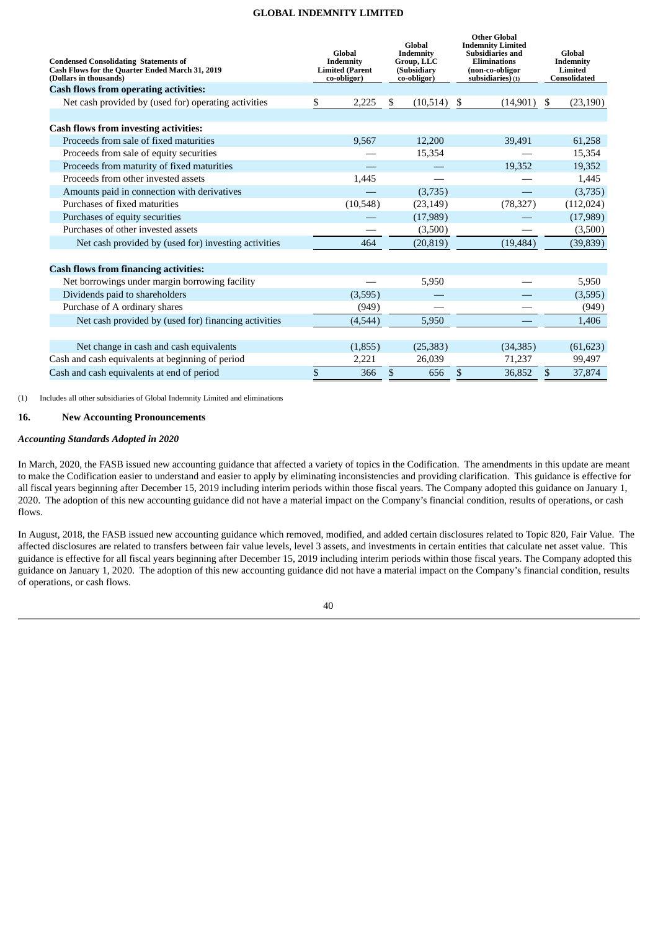| <b>Condensed Consolidating Statements of</b><br>Cash Flows for the Quarter Ended March 31, 2019<br>(Dollars in thousands) | <b>Global</b><br>Indemnity<br><b>Limited (Parent</b><br>co-obligor) |    | Global<br>Indemnity<br>Group, LLC<br>(Subsidiary<br>co-obligor) |     | <b>Other Global</b><br><b>Indemnity Limited</b><br><b>Subsidiaries and</b><br><b>Eliminations</b><br>(non-co-obligor<br>subsidiaries) (1) | Global<br>Indemnity<br>Limited<br>Consolidated |
|---------------------------------------------------------------------------------------------------------------------------|---------------------------------------------------------------------|----|-----------------------------------------------------------------|-----|-------------------------------------------------------------------------------------------------------------------------------------------|------------------------------------------------|
| <b>Cash flows from operating activities:</b>                                                                              |                                                                     |    |                                                                 |     |                                                                                                                                           |                                                |
| Net cash provided by (used for) operating activities                                                                      | \$<br>2,225                                                         | \$ | (10,514)                                                        | -\$ | (14,901)                                                                                                                                  | \$<br>(23, 190)                                |
|                                                                                                                           |                                                                     |    |                                                                 |     |                                                                                                                                           |                                                |
| <b>Cash flows from investing activities:</b>                                                                              |                                                                     |    |                                                                 |     |                                                                                                                                           |                                                |
| Proceeds from sale of fixed maturities                                                                                    | 9,567                                                               |    | 12,200                                                          |     | 39,491                                                                                                                                    | 61,258                                         |
| Proceeds from sale of equity securities                                                                                   |                                                                     |    | 15,354                                                          |     |                                                                                                                                           | 15,354                                         |
| Proceeds from maturity of fixed maturities                                                                                |                                                                     |    |                                                                 |     | 19,352                                                                                                                                    | 19,352                                         |
| Proceeds from other invested assets                                                                                       | 1,445                                                               |    |                                                                 |     |                                                                                                                                           | 1,445                                          |
| Amounts paid in connection with derivatives                                                                               |                                                                     |    | (3,735)                                                         |     |                                                                                                                                           | (3,735)                                        |
| Purchases of fixed maturities                                                                                             | (10, 548)                                                           |    | (23, 149)                                                       |     | (78, 327)                                                                                                                                 | (112, 024)                                     |
| Purchases of equity securities                                                                                            |                                                                     |    | (17,989)                                                        |     |                                                                                                                                           | (17,989)                                       |
| Purchases of other invested assets                                                                                        |                                                                     |    | (3,500)                                                         |     |                                                                                                                                           | (3,500)                                        |
| Net cash provided by (used for) investing activities                                                                      | 464                                                                 |    | (20, 819)                                                       |     | (19, 484)                                                                                                                                 | (39, 839)                                      |
|                                                                                                                           |                                                                     |    |                                                                 |     |                                                                                                                                           |                                                |
| <b>Cash flows from financing activities:</b>                                                                              |                                                                     |    |                                                                 |     |                                                                                                                                           |                                                |
| Net borrowings under margin borrowing facility                                                                            |                                                                     |    | 5,950                                                           |     |                                                                                                                                           | 5,950                                          |
| Dividends paid to shareholders                                                                                            | (3,595)                                                             |    |                                                                 |     |                                                                                                                                           | (3,595)                                        |
| Purchase of A ordinary shares                                                                                             | (949)                                                               |    |                                                                 |     |                                                                                                                                           | (949)                                          |
| Net cash provided by (used for) financing activities                                                                      | (4,544)                                                             |    | 5,950                                                           |     |                                                                                                                                           | 1,406                                          |
|                                                                                                                           |                                                                     |    |                                                                 |     |                                                                                                                                           |                                                |
| Net change in cash and cash equivalents                                                                                   | (1,855)                                                             |    | (25, 383)                                                       |     | (34, 385)                                                                                                                                 | (61, 623)                                      |
| Cash and cash equivalents at beginning of period                                                                          | 2,221                                                               |    | 26,039                                                          |     | 71,237                                                                                                                                    | 99,497                                         |
| Cash and cash equivalents at end of period                                                                                | \$<br>366                                                           | \$ | 656                                                             | \$  | 36,852                                                                                                                                    | \$<br>37,874                                   |

(1) Includes all other subsidiaries of Global Indemnity Limited and eliminations

## **16. New Accounting Pronouncements**

#### *Accounting Standards Adopted in 2020*

In March, 2020, the FASB issued new accounting guidance that affected a variety of topics in the Codification. The amendments in this update are meant to make the Codification easier to understand and easier to apply by eliminating inconsistencies and providing clarification. This guidance is effective for all fiscal years beginning after December 15, 2019 including interim periods within those fiscal years. The Company adopted this guidance on January 1, 2020. The adoption of this new accounting guidance did not have a material impact on the Company's financial condition, results of operations, or cash flows.

In August, 2018, the FASB issued new accounting guidance which removed, modified, and added certain disclosures related to Topic 820, Fair Value. The affected disclosures are related to transfers between fair value levels, level 3 assets, and investments in certain entities that calculate net asset value. This guidance is effective for all fiscal years beginning after December 15, 2019 including interim periods within those fiscal years. The Company adopted this guidance on January 1, 2020. The adoption of this new accounting guidance did not have a material impact on the Company's financial condition, results of operations, or cash flows.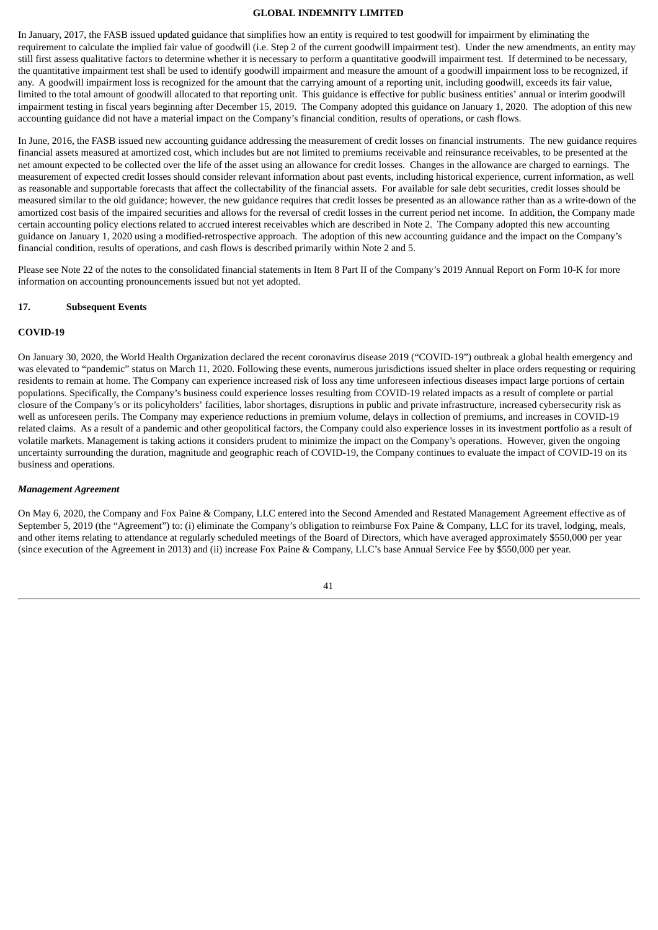In January, 2017, the FASB issued updated guidance that simplifies how an entity is required to test goodwill for impairment by eliminating the requirement to calculate the implied fair value of goodwill (i.e. Step 2 of the current goodwill impairment test). Under the new amendments, an entity may still first assess qualitative factors to determine whether it is necessary to perform a quantitative goodwill impairment test. If determined to be necessary, the quantitative impairment test shall be used to identify goodwill impairment and measure the amount of a goodwill impairment loss to be recognized, if any. A goodwill impairment loss is recognized for the amount that the carrying amount of a reporting unit, including goodwill, exceeds its fair value, limited to the total amount of goodwill allocated to that reporting unit. This guidance is effective for public business entities' annual or interim goodwill impairment testing in fiscal years beginning after December 15, 2019. The Company adopted this guidance on January 1, 2020. The adoption of this new accounting guidance did not have a material impact on the Company's financial condition, results of operations, or cash flows.

In June, 2016, the FASB issued new accounting guidance addressing the measurement of credit losses on financial instruments. The new guidance requires financial assets measured at amortized cost, which includes but are not limited to premiums receivable and reinsurance receivables, to be presented at the net amount expected to be collected over the life of the asset using an allowance for credit losses. Changes in the allowance are charged to earnings. The measurement of expected credit losses should consider relevant information about past events, including historical experience, current information, as well as reasonable and supportable forecasts that affect the collectability of the financial assets. For available for sale debt securities, credit losses should be measured similar to the old guidance; however, the new guidance requires that credit losses be presented as an allowance rather than as a write-down of the amortized cost basis of the impaired securities and allows for the reversal of credit losses in the current period net income. In addition, the Company made certain accounting policy elections related to accrued interest receivables which are described in Note 2. The Company adopted this new accounting guidance on January 1, 2020 using a modified-retrospective approach. The adoption of this new accounting guidance and the impact on the Company's financial condition, results of operations, and cash flows is described primarily within Note 2 and 5.

Please see Note 22 of the notes to the consolidated financial statements in Item 8 Part II of the Company's 2019 Annual Report on Form 10-K for more information on accounting pronouncements issued but not yet adopted.

## **17. Subsequent Events**

# **COVID-19**

On January 30, 2020, the World Health Organization declared the recent coronavirus disease 2019 ("COVID-19") outbreak a global health emergency and was elevated to "pandemic" status on March 11, 2020. Following these events, numerous jurisdictions issued shelter in place orders requesting or requiring residents to remain at home. The Company can experience increased risk of loss any time unforeseen infectious diseases impact large portions of certain populations. Specifically, the Company's business could experience losses resulting from COVID-19 related impacts as a result of complete or partial closure of the Company's or its policyholders' facilities, labor shortages, disruptions in public and private infrastructure, increased cybersecurity risk as well as unforeseen perils. The Company may experience reductions in premium volume, delays in collection of premiums, and increases in COVID-19 related claims. As a result of a pandemic and other geopolitical factors, the Company could also experience losses in its investment portfolio as a result of volatile markets. Management is taking actions it considers prudent to minimize the impact on the Company's operations. However, given the ongoing uncertainty surrounding the duration, magnitude and geographic reach of COVID-19, the Company continues to evaluate the impact of COVID-19 on its business and operations.

#### *Management Agreement*

On May 6, 2020, the Company and Fox Paine & Company, LLC entered into the Second Amended and Restated Management Agreement effective as of September 5, 2019 (the "Agreement") to: (i) eliminate the Company's obligation to reimburse Fox Paine & Company, LLC for its travel, lodging, meals, and other items relating to attendance at regularly scheduled meetings of the Board of Directors, which have averaged approximately \$550,000 per year (since execution of the Agreement in 2013) and (ii) increase Fox Paine & Company, LLC's base Annual Service Fee by \$550,000 per year.

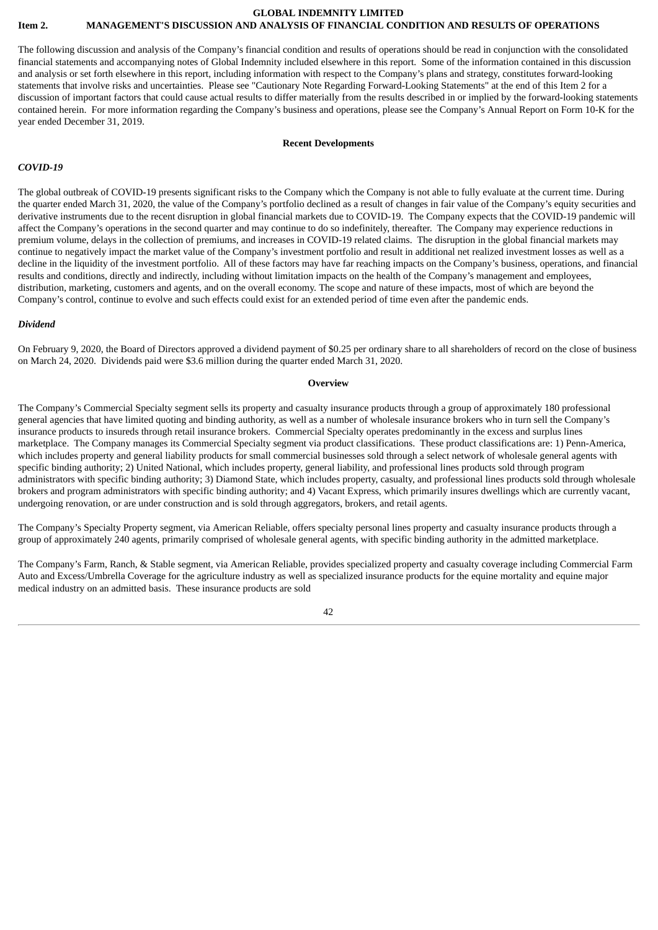# **GLOBAL INDEMNITY LIMITED Item 2. MANAGEMENT'S DISCUSSION AND ANALYSIS OF FINANCIAL CONDITION AND RESULTS OF OPERATIONS**

The following discussion and analysis of the Company's financial condition and results of operations should be read in conjunction with the consolidated financial statements and accompanying notes of Global Indemnity included elsewhere in this report. Some of the information contained in this discussion and analysis or set forth elsewhere in this report, including information with respect to the Company's plans and strategy, constitutes forward-looking statements that involve risks and uncertainties. Please see "Cautionary Note Regarding Forward-Looking Statements" at the end of this Item 2 for a discussion of important factors that could cause actual results to differ materially from the results described in or implied by the forward-looking statements contained herein. For more information regarding the Company's business and operations, please see the Company's Annual Report on Form 10-K for the year ended December 31, 2019.

## **Recent Developments**

## *COVID-19*

The global outbreak of COVID-19 presents significant risks to the Company which the Company is not able to fully evaluate at the current time. During the quarter ended March 31, 2020, the value of the Company's portfolio declined as a result of changes in fair value of the Company's equity securities and derivative instruments due to the recent disruption in global financial markets due to COVID-19. The Company expects that the COVID-19 pandemic will affect the Company's operations in the second quarter and may continue to do so indefinitely, thereafter. The Company may experience reductions in premium volume, delays in the collection of premiums, and increases in COVID-19 related claims. The disruption in the global financial markets may continue to negatively impact the market value of the Company's investment portfolio and result in additional net realized investment losses as well as a decline in the liquidity of the investment portfolio. All of these factors may have far reaching impacts on the Company's business, operations, and financial results and conditions, directly and indirectly, including without limitation impacts on the health of the Company's management and employees, distribution, marketing, customers and agents, and on the overall economy. The scope and nature of these impacts, most of which are beyond the Company's control, continue to evolve and such effects could exist for an extended period of time even after the pandemic ends.

#### *Dividend*

On February 9, 2020, the Board of Directors approved a dividend payment of \$0.25 per ordinary share to all shareholders of record on the close of business on March 24, 2020. Dividends paid were \$3.6 million during the quarter ended March 31, 2020.

#### **Overview**

The Company's Commercial Specialty segment sells its property and casualty insurance products through a group of approximately 180 professional general agencies that have limited quoting and binding authority, as well as a number of wholesale insurance brokers who in turn sell the Company's insurance products to insureds through retail insurance brokers. Commercial Specialty operates predominantly in the excess and surplus lines marketplace. The Company manages its Commercial Specialty segment via product classifications. These product classifications are: 1) Penn-America, which includes property and general liability products for small commercial businesses sold through a select network of wholesale general agents with specific binding authority; 2) United National, which includes property, general liability, and professional lines products sold through program administrators with specific binding authority; 3) Diamond State, which includes property, casualty, and professional lines products sold through wholesale brokers and program administrators with specific binding authority; and 4) Vacant Express, which primarily insures dwellings which are currently vacant, undergoing renovation, or are under construction and is sold through aggregators, brokers, and retail agents.

The Company's Specialty Property segment, via American Reliable, offers specialty personal lines property and casualty insurance products through a group of approximately 240 agents, primarily comprised of wholesale general agents, with specific binding authority in the admitted marketplace.

The Company's Farm, Ranch, & Stable segment, via American Reliable, provides specialized property and casualty coverage including Commercial Farm Auto and Excess/Umbrella Coverage for the agriculture industry as well as specialized insurance products for the equine mortality and equine major medical industry on an admitted basis. These insurance products are sold

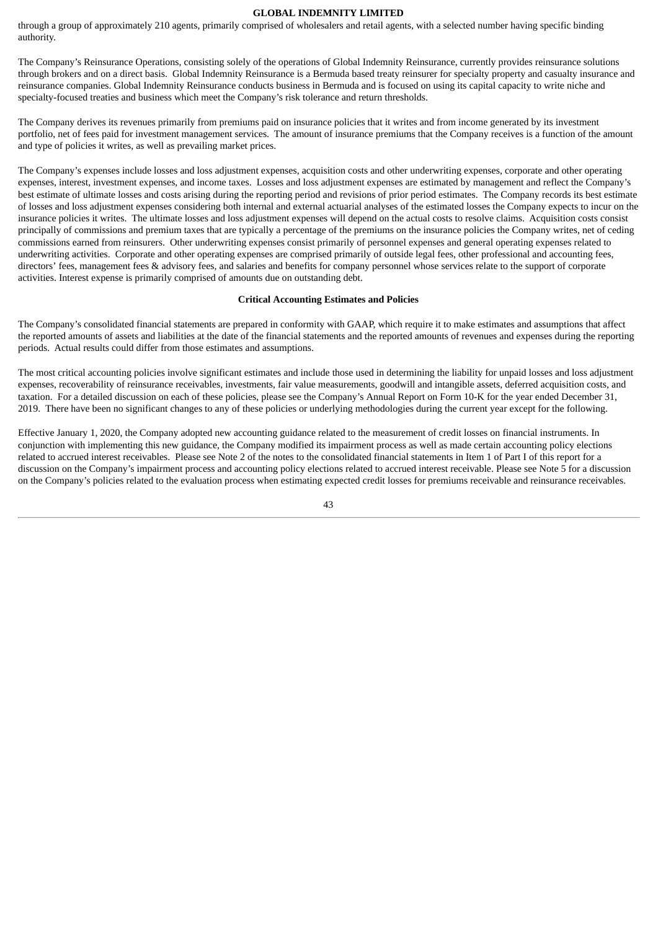through a group of approximately 210 agents, primarily comprised of wholesalers and retail agents, with a selected number having specific binding authority.

The Company's Reinsurance Operations, consisting solely of the operations of Global Indemnity Reinsurance, currently provides reinsurance solutions through brokers and on a direct basis. Global Indemnity Reinsurance is a Bermuda based treaty reinsurer for specialty property and casualty insurance and reinsurance companies. Global Indemnity Reinsurance conducts business in Bermuda and is focused on using its capital capacity to write niche and specialty-focused treaties and business which meet the Company's risk tolerance and return thresholds.

The Company derives its revenues primarily from premiums paid on insurance policies that it writes and from income generated by its investment portfolio, net of fees paid for investment management services. The amount of insurance premiums that the Company receives is a function of the amount and type of policies it writes, as well as prevailing market prices.

The Company's expenses include losses and loss adjustment expenses, acquisition costs and other underwriting expenses, corporate and other operating expenses, interest, investment expenses, and income taxes. Losses and loss adjustment expenses are estimated by management and reflect the Company's best estimate of ultimate losses and costs arising during the reporting period and revisions of prior period estimates. The Company records its best estimate of losses and loss adjustment expenses considering both internal and external actuarial analyses of the estimated losses the Company expects to incur on the insurance policies it writes. The ultimate losses and loss adjustment expenses will depend on the actual costs to resolve claims. Acquisition costs consist principally of commissions and premium taxes that are typically a percentage of the premiums on the insurance policies the Company writes, net of ceding commissions earned from reinsurers. Other underwriting expenses consist primarily of personnel expenses and general operating expenses related to underwriting activities. Corporate and other operating expenses are comprised primarily of outside legal fees, other professional and accounting fees, directors' fees, management fees & advisory fees, and salaries and benefits for company personnel whose services relate to the support of corporate activities. Interest expense is primarily comprised of amounts due on outstanding debt.

#### **Critical Accounting Estimates and Policies**

The Company's consolidated financial statements are prepared in conformity with GAAP, which require it to make estimates and assumptions that affect the reported amounts of assets and liabilities at the date of the financial statements and the reported amounts of revenues and expenses during the reporting periods. Actual results could differ from those estimates and assumptions.

The most critical accounting policies involve significant estimates and include those used in determining the liability for unpaid losses and loss adjustment expenses, recoverability of reinsurance receivables, investments, fair value measurements, goodwill and intangible assets, deferred acquisition costs, and taxation. For a detailed discussion on each of these policies, please see the Company's Annual Report on Form 10-K for the year ended December 31, 2019. There have been no significant changes to any of these policies or underlying methodologies during the current year except for the following.

Effective January 1, 2020, the Company adopted new accounting guidance related to the measurement of credit losses on financial instruments. In conjunction with implementing this new guidance, the Company modified its impairment process as well as made certain accounting policy elections related to accrued interest receivables. Please see Note 2 of the notes to the consolidated financial statements in Item 1 of Part I of this report for a discussion on the Company's impairment process and accounting policy elections related to accrued interest receivable. Please see Note 5 for a discussion on the Company's policies related to the evaluation process when estimating expected credit losses for premiums receivable and reinsurance receivables.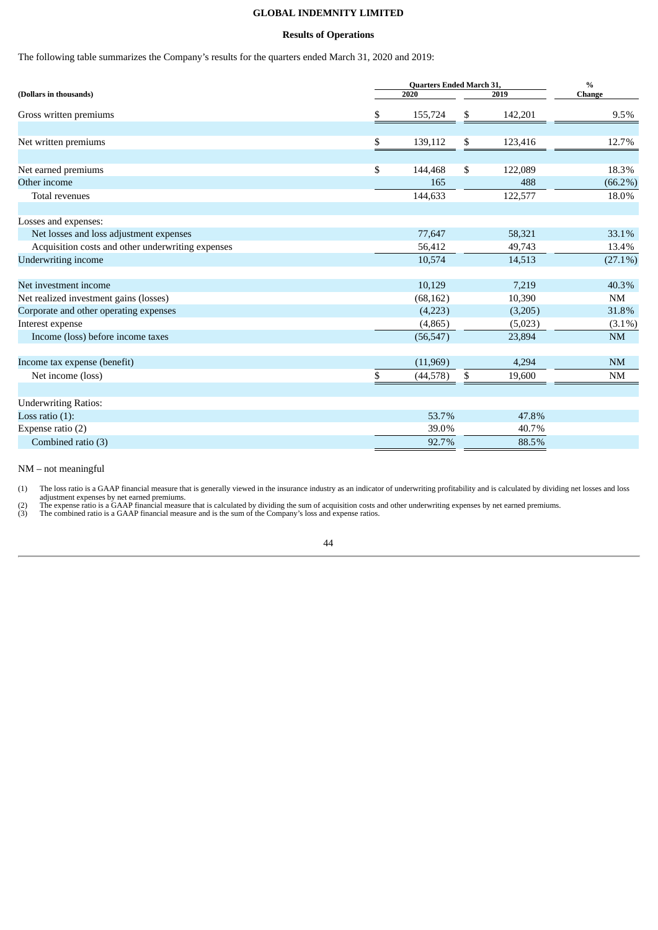# **Results of Operations**

The following table summarizes the Company's results for the quarters ended March 31, 2020 and 2019:

|                                                   | Quarters Ended March 31, |    |         |            |  |  |  |  |
|---------------------------------------------------|--------------------------|----|---------|------------|--|--|--|--|
| (Dollars in thousands)                            | 2020                     |    | 2019    | Change     |  |  |  |  |
| Gross written premiums                            | \$<br>155,724            | \$ | 142,201 | 9.5%       |  |  |  |  |
| Net written premiums                              | \$<br>139,112            | \$ | 123,416 | 12.7%      |  |  |  |  |
| Net earned premiums                               | \$<br>144,468            | \$ | 122,089 | 18.3%      |  |  |  |  |
| Other income                                      | 165                      |    | 488     | $(66.2\%)$ |  |  |  |  |
| Total revenues                                    | 144,633                  |    | 122,577 | 18.0%      |  |  |  |  |
| Losses and expenses:                              |                          |    |         |            |  |  |  |  |
| Net losses and loss adjustment expenses           | 77,647                   |    | 58,321  | 33.1%      |  |  |  |  |
| Acquisition costs and other underwriting expenses | 56,412                   |    | 49,743  | 13.4%      |  |  |  |  |
| <b>Underwriting income</b>                        | 10,574                   |    | 14,513  | $(27.1\%)$ |  |  |  |  |
| Net investment income                             | 10,129                   |    | 7,219   | 40.3%      |  |  |  |  |
| Net realized investment gains (losses)            | (68, 162)                |    | 10,390  | NM         |  |  |  |  |
| Corporate and other operating expenses            | (4,223)                  |    | (3,205) | 31.8%      |  |  |  |  |
| Interest expense                                  | (4,865)                  |    | (5,023) | $(3.1\%)$  |  |  |  |  |
| Income (loss) before income taxes                 | (56, 547)                |    | 23,894  | <b>NM</b>  |  |  |  |  |
| Income tax expense (benefit)                      | (11,969)                 |    | 4,294   | <b>NM</b>  |  |  |  |  |
| Net income (loss)                                 | \$<br>(44, 578)          | \$ | 19,600  | <b>NM</b>  |  |  |  |  |
| <b>Underwriting Ratios:</b>                       |                          |    |         |            |  |  |  |  |
| Loss ratio $(1)$ :                                | 53.7%                    |    | 47.8%   |            |  |  |  |  |
| Expense ratio (2)                                 | 39.0%                    |    | 40.7%   |            |  |  |  |  |
| Combined ratio (3)                                | 92.7%                    |    | 88.5%   |            |  |  |  |  |

NM – not meaningful

(1) The loss ratio is a GAAP financial measure that is generally viewed in the insurance industry as an indicator of underwriting profitability and is calculated by dividing net losses and loss

adjustment expenses by net earned premiums.<br>(2) The expense ratio is a GAAP financial measure that is calculated by dividing the sum of acquisition costs and other underwriting expenses by net earned premiums.<br>(3) The comb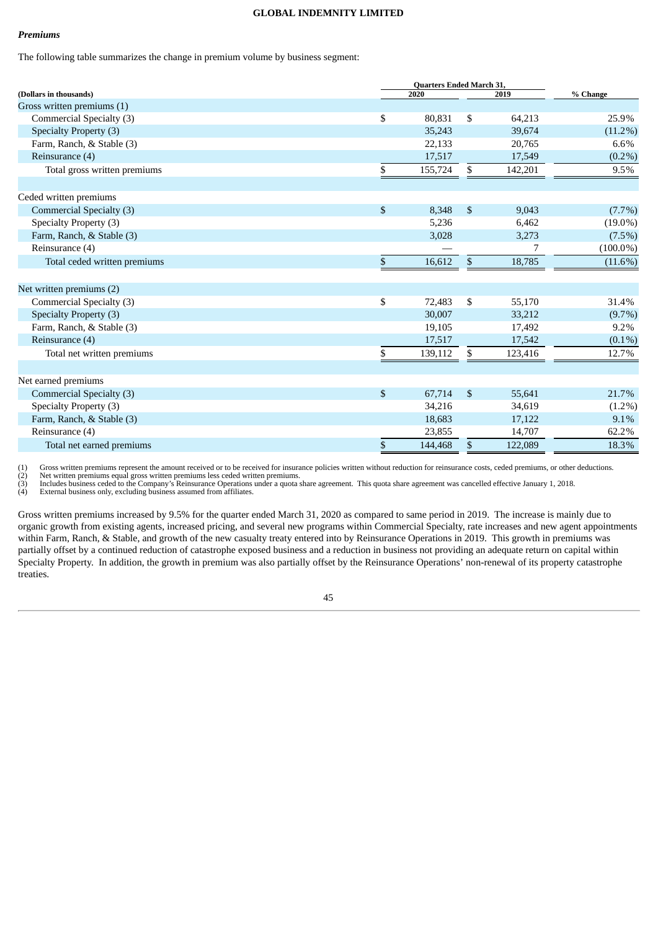# *Premiums*

The following table summarizes the change in premium volume by business segment:

|                              | <b>Quarters Ended March 31,</b> |                |         |             |  |  |  |  |
|------------------------------|---------------------------------|----------------|---------|-------------|--|--|--|--|
| (Dollars in thousands)       | 2020                            |                | 2019    | % Change    |  |  |  |  |
| Gross written premiums (1)   |                                 |                |         |             |  |  |  |  |
| Commercial Specialty (3)     | \$<br>80,831                    | \$             | 64,213  | 25.9%       |  |  |  |  |
| Specialty Property (3)       | 35,243                          |                | 39,674  | $(11.2\%)$  |  |  |  |  |
| Farm, Ranch, & Stable (3)    | 22,133                          |                | 20,765  | 6.6%        |  |  |  |  |
| Reinsurance (4)              | 17,517                          |                | 17,549  | $(0.2\%)$   |  |  |  |  |
| Total gross written premiums | \$<br>155,724                   | \$             | 142,201 | 9.5%        |  |  |  |  |
| Ceded written premiums       |                                 |                |         |             |  |  |  |  |
| Commercial Specialty (3)     | \$<br>8,348                     | \$             | 9,043   | $(7.7\%)$   |  |  |  |  |
| Specialty Property (3)       | 5,236                           |                | 6,462   | $(19.0\%)$  |  |  |  |  |
| Farm, Ranch, & Stable (3)    | 3,028                           |                | 3,273   | $(7.5\%)$   |  |  |  |  |
| Reinsurance (4)              |                                 |                | 7       | $(100.0\%)$ |  |  |  |  |
| Total ceded written premiums | \$<br>16,612                    | \$             | 18,785  | $(11.6\%)$  |  |  |  |  |
| Net written premiums (2)     |                                 |                |         |             |  |  |  |  |
| Commercial Specialty (3)     | \$<br>72,483                    | \$             | 55,170  | 31.4%       |  |  |  |  |
| Specialty Property (3)       | 30,007                          |                | 33,212  | $(9.7\%)$   |  |  |  |  |
| Farm, Ranch, & Stable (3)    | 19,105                          |                | 17,492  | 9.2%        |  |  |  |  |
| Reinsurance (4)              | 17,517                          |                | 17,542  | $(0.1\%)$   |  |  |  |  |
| Total net written premiums   | \$<br>139,112                   | \$             | 123,416 | 12.7%       |  |  |  |  |
|                              |                                 |                |         |             |  |  |  |  |
| Net earned premiums          |                                 |                |         |             |  |  |  |  |
| Commercial Specialty (3)     | \$<br>67,714                    | $\mathfrak{s}$ | 55,641  | 21.7%       |  |  |  |  |
| Specialty Property (3)       | 34,216                          |                | 34,619  | $(1.2\%)$   |  |  |  |  |
| Farm, Ranch, & Stable (3)    | 18,683                          |                | 17,122  | 9.1%        |  |  |  |  |
| Reinsurance (4)              | 23,855                          |                | 14,707  | 62.2%       |  |  |  |  |
| Total net earned premiums    | \$<br>144,468                   | \$             | 122,089 | 18.3%       |  |  |  |  |

(1) Gross written premiums represent the amount received or to be received for insurance policies written without reduction for reinsurance costs, ceded premiums, or other deductions.<br>(2) Net written premiums equal gross w

(1) Gross written premiums represent the amount received or to be rece<br>
(2) Net written premiums equal gross written premiums less ceded writ<br>
(3) Includes business ceded to the Company's Reinsurance Operations<br>
(4) Extern

Gross written premiums increased by 9.5% for the quarter ended March 31, 2020 as compared to same period in 2019. The increase is mainly due to organic growth from existing agents, increased pricing, and several new programs within Commercial Specialty, rate increases and new agent appointments within Farm, Ranch, & Stable, and growth of the new casualty treaty entered into by Reinsurance Operations in 2019. This growth in premiums was partially offset by a continued reduction of catastrophe exposed business and a reduction in business not providing an adequate return on capital within Specialty Property. In addition, the growth in premium was also partially offset by the Reinsurance Operations' non-renewal of its property catastrophe treaties.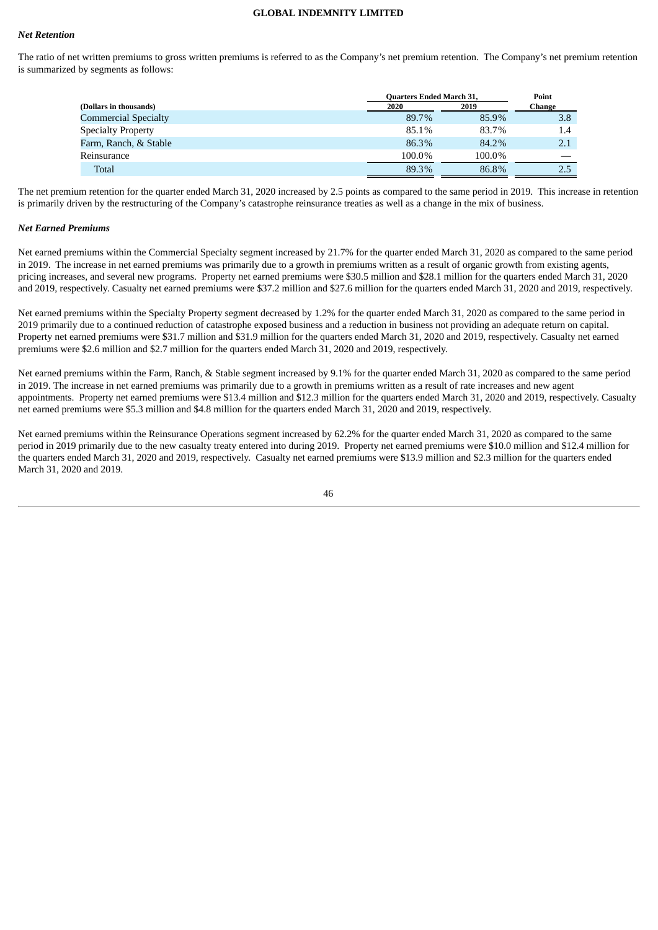# *Net Retention*

The ratio of net written premiums to gross written premiums is referred to as the Company's net premium retention. The Company's net premium retention is summarized by segments as follows:

|                             | <b>Quarters Ended March 31,</b> | Point  |        |
|-----------------------------|---------------------------------|--------|--------|
| (Dollars in thousands)      | 2020                            | 2019   | Change |
| <b>Commercial Specialty</b> | 89.7%                           | 85.9%  | 3.8    |
| <b>Specialty Property</b>   | 85.1%                           | 83.7%  | 1.4    |
| Farm, Ranch, & Stable       | 86.3%                           | 84.2%  | 2.1    |
| Reinsurance                 | 100.0%                          | 100.0% |        |
| <b>Total</b>                | 89.3%                           | 86.8%  | 2.5    |
|                             |                                 |        |        |

The net premium retention for the quarter ended March 31, 2020 increased by 2.5 points as compared to the same period in 2019. This increase in retention is primarily driven by the restructuring of the Company's catastrophe reinsurance treaties as well as a change in the mix of business.

### *Net Earned Premiums*

Net earned premiums within the Commercial Specialty segment increased by 21.7% for the quarter ended March 31, 2020 as compared to the same period in 2019. The increase in net earned premiums was primarily due to a growth in premiums written as a result of organic growth from existing agents, pricing increases, and several new programs. Property net earned premiums were \$30.5 million and \$28.1 million for the quarters ended March 31, 2020 and 2019, respectively. Casualty net earned premiums were \$37.2 million and \$27.6 million for the quarters ended March 31, 2020 and 2019, respectively.

Net earned premiums within the Specialty Property segment decreased by 1.2% for the quarter ended March 31, 2020 as compared to the same period in 2019 primarily due to a continued reduction of catastrophe exposed business and a reduction in business not providing an adequate return on capital. Property net earned premiums were \$31.7 million and \$31.9 million for the quarters ended March 31, 2020 and 2019, respectively. Casualty net earned premiums were \$2.6 million and \$2.7 million for the quarters ended March 31, 2020 and 2019, respectively.

Net earned premiums within the Farm, Ranch, & Stable segment increased by 9.1% for the quarter ended March 31, 2020 as compared to the same period in 2019. The increase in net earned premiums was primarily due to a growth in premiums written as a result of rate increases and new agent appointments. Property net earned premiums were \$13.4 million and \$12.3 million for the quarters ended March 31, 2020 and 2019, respectively. Casualty net earned premiums were \$5.3 million and \$4.8 million for the quarters ended March 31, 2020 and 2019, respectively.

Net earned premiums within the Reinsurance Operations segment increased by 62.2% for the quarter ended March 31, 2020 as compared to the same period in 2019 primarily due to the new casualty treaty entered into during 2019. Property net earned premiums were \$10.0 million and \$12.4 million for the quarters ended March 31, 2020 and 2019, respectively. Casualty net earned premiums were \$13.9 million and \$2.3 million for the quarters ended March 31, 2020 and 2019.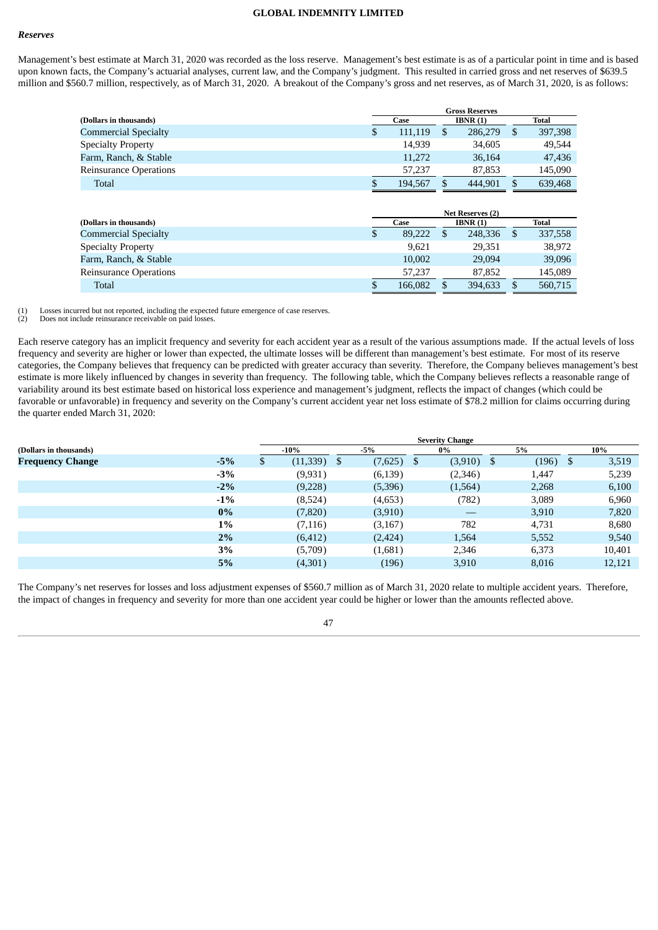# *Reserves*

Management's best estimate at March 31, 2020 was recorded as the loss reserve. Management's best estimate is as of a particular point in time and is based upon known facts, the Company's actuarial analyses, current law, and the Company's judgment. This resulted in carried gross and net reserves of \$639.5 million and \$560.7 million, respectively, as of March 31, 2020. A breakout of the Company's gross and net reserves, as of March 31, 2020, is as follows:

|                               | <b>Gross Reserves</b> |         |     |                  |               |              |  |
|-------------------------------|-----------------------|---------|-----|------------------|---------------|--------------|--|
| (Dollars in thousands)        |                       | Case    |     | IBNR(1)          |               | Total        |  |
| <b>Commercial Specialty</b>   | \$                    | 111,119 | \$. | 286,279          | <sup>\$</sup> | 397,398      |  |
| <b>Specialty Property</b>     |                       | 14,939  |     | 34,605           |               | 49,544       |  |
| Farm, Ranch, & Stable         |                       | 11,272  |     | 36.164           |               | 47,436       |  |
| <b>Reinsurance Operations</b> |                       | 57,237  |     | 87,853           |               | 145,090      |  |
| Total                         | \$                    | 194,567 | \$  | 444.901          | \$            | 639,468      |  |
|                               |                       |         |     | Net Reserves (2) |               |              |  |
| (Dollars in thousands)        |                       | Case    |     | IBNR(1)          |               | <b>Total</b> |  |
| <b>Commercial Specialty</b>   | \$                    | 89,222  | \$  | 248,336          | <sup>\$</sup> | 337,558      |  |
| <b>Specialty Property</b>     |                       | 9.621   |     | 29.351           |               | 38,972       |  |
| Farm, Ranch, & Stable         |                       | 10,002  |     | 29,094           |               | 39,096       |  |
| <b>Reinsurance Operations</b> |                       | 57,237  |     | 87,852           |               | 145,089      |  |
| Total                         | \$                    | 166,082 |     | 394,633          | \$.           | 560,715      |  |

(1) Losses incurred but not reported, including the expected future emergence of case reserves.

Does not include reinsurance receivable on paid losses.

Each reserve category has an implicit frequency and severity for each accident year as a result of the various assumptions made. If the actual levels of loss frequency and severity are higher or lower than expected, the ultimate losses will be different than management's best estimate. For most of its reserve categories, the Company believes that frequency can be predicted with greater accuracy than severity. Therefore, the Company believes management's best estimate is more likely influenced by changes in severity than frequency. The following table, which the Company believes reflects a reasonable range of variability around its best estimate based on historical loss experience and management's judgment, reflects the impact of changes (which could be favorable or unfavorable) in frequency and severity on the Company's current accident year net loss estimate of \$78.2 million for claims occurring during the quarter ended March 31, 2020:

|                         |        | <b>Severity Change</b> |          |       |          |                                |    |       |      |        |
|-------------------------|--------|------------------------|----------|-------|----------|--------------------------------|----|-------|------|--------|
| (Dollars in thousands)  |        | $-10%$                 |          | $-5%$ |          | $0\%$                          |    | 5%    |      | 10%    |
| <b>Frequency Change</b> | $-5%$  | \$                     | (11,339) | - \$  | (7,625)  | (3,910)<br>\$                  | \$ | (196) | - \$ | 3,519  |
|                         | $-3%$  |                        | (9,931)  |       | (6, 139) | (2,346)                        |    | 1,447 |      | 5,239  |
|                         | $-2\%$ |                        | (9,228)  |       | (5,396)  | (1, 564)                       |    | 2,268 |      | 6,100  |
|                         | $-1\%$ |                        | (8,524)  |       | (4,653)  | (782)                          |    | 3,089 |      | 6,960  |
|                         | $0\%$  |                        | (7,820)  |       | (3,910)  | $\overbrace{\hspace{25mm}}^{}$ |    | 3,910 |      | 7,820  |
|                         | $1\%$  |                        | (7, 116) |       | (3,167)  | 782                            |    | 4,731 |      | 8,680  |
|                         | 2%     |                        | (6, 412) |       | (2, 424) | 1,564                          |    | 5,552 |      | 9,540  |
|                         | 3%     |                        | (5,709)  |       | (1,681)  | 2,346                          |    | 6,373 |      | 10,401 |
|                         | 5%     |                        | (4,301)  |       | (196)    | 3,910                          |    | 8,016 |      | 12,121 |
|                         |        |                        |          |       |          |                                |    |       |      |        |

The Company's net reserves for losses and loss adjustment expenses of \$560.7 million as of March 31, 2020 relate to multiple accident years. Therefore, the impact of changes in frequency and severity for more than one accident year could be higher or lower than the amounts reflected above.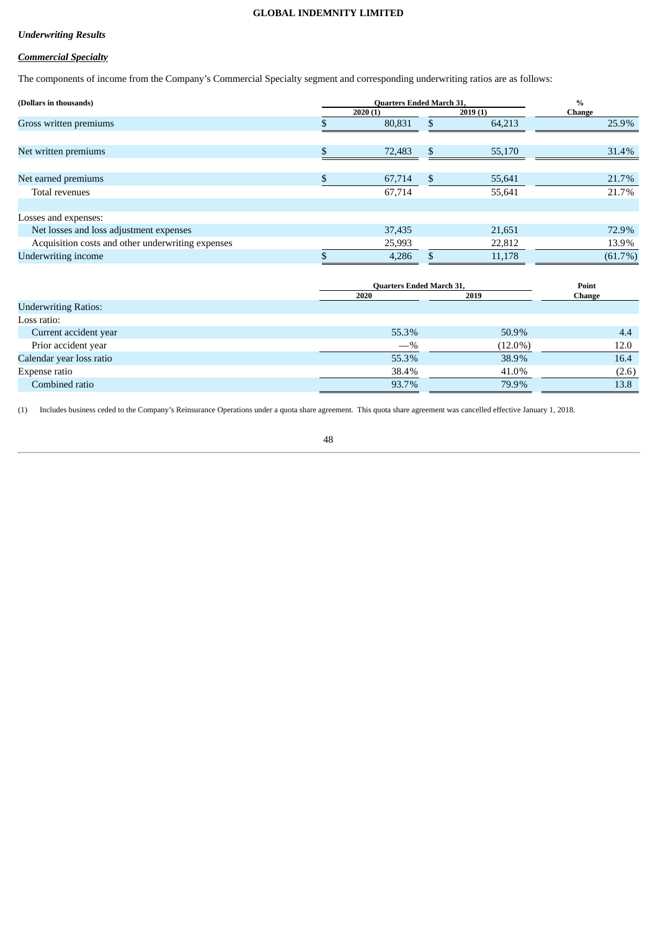# *Underwriting Results*

# *Commercial Specialty*

The components of income from the Company's Commercial Specialty segment and corresponding underwriting ratios are as follows:

| (Dollars in thousands)                            | <b>Quarters Ended March 31,</b><br>2020(1) | $\%$<br><b>Change</b> |                   |         |
|---------------------------------------------------|--------------------------------------------|-----------------------|-------------------|---------|
| Gross written premiums                            | 80.831                                     |                       | 2019(1)<br>64,213 | 25.9%   |
|                                                   |                                            |                       |                   |         |
| Net written premiums                              | 72,483                                     | \$.                   | 55,170            | 31.4%   |
|                                                   |                                            |                       |                   |         |
| Net earned premiums                               | 67,714                                     | \$.                   | 55,641            | 21.7%   |
| Total revenues                                    | 67,714                                     |                       | 55,641            | 21.7%   |
|                                                   |                                            |                       |                   |         |
| Losses and expenses:                              |                                            |                       |                   |         |
| Net losses and loss adjustment expenses           | 37,435                                     |                       | 21,651            | 72.9%   |
| Acquisition costs and other underwriting expenses | 25,993                                     |                       | 22,812            | 13.9%   |
| Underwriting income                               | 4,286                                      |                       | 11,178            | (61.7%) |

|                             | <b>Quarters Ended March 31,</b> | Point      |        |  |
|-----------------------------|---------------------------------|------------|--------|--|
|                             | 2020                            | 2019       | Change |  |
| <b>Underwriting Ratios:</b> |                                 |            |        |  |
| Loss ratio:                 |                                 |            |        |  |
| Current accident year       | 55.3%                           | 50.9%      | 4.4    |  |
| Prior accident year         | $-$ %                           | $(12.0\%)$ | 12.0   |  |
| Calendar year loss ratio    | 55.3%                           | 38.9%      | 16.4   |  |
| Expense ratio               | 38.4%                           | 41.0%      | (2.6)  |  |
| Combined ratio              | 93.7%                           | 79.9%      | 13.8   |  |
|                             |                                 |            |        |  |

(1) Includes business ceded to the Company's Reinsurance Operations under a quota share agreement. This quota share agreement was cancelled effective January 1, 2018.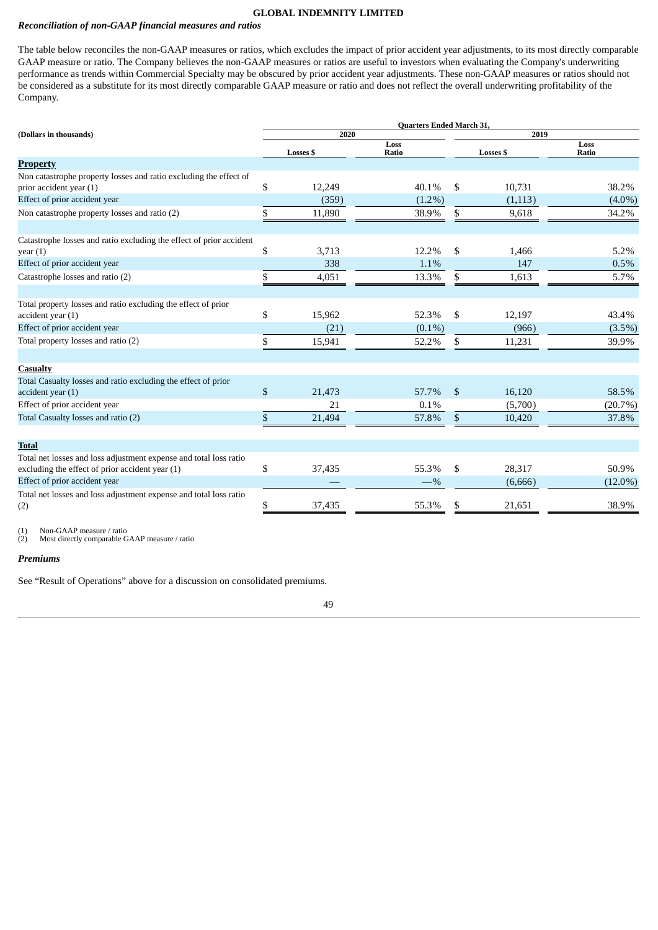# *Reconciliation of non-GAAP financial measures and ratios*

The table below reconciles the non-GAAP measures or ratios, which excludes the impact of prior accident year adjustments, to its most directly comparable GAAP measure or ratio. The Company believes the non-GAAP measures or ratios are useful to investors when evaluating the Company's underwriting performance as trends within Commercial Specialty may be obscured by prior accident year adjustments. These non-GAAP measures or ratios should not be considered as a substitute for its most directly comparable GAAP measure or ratio and does not reflect the overall underwriting profitability of the Company.

|                                                                     | Quarters Ended March 31, |           |               |    |                  |               |  |  |  |
|---------------------------------------------------------------------|--------------------------|-----------|---------------|----|------------------|---------------|--|--|--|
| (Dollars in thousands)                                              |                          | 2020      |               |    | 2019             |               |  |  |  |
|                                                                     |                          | Losses \$ | Loss<br>Ratio |    | <b>Losses \$</b> | Loss<br>Ratio |  |  |  |
| <b>Property</b>                                                     |                          |           |               |    |                  |               |  |  |  |
| Non catastrophe property losses and ratio excluding the effect of   |                          |           |               |    |                  |               |  |  |  |
| prior accident year (1)                                             | \$                       | 12,249    | 40.1%         | \$ | 10,731           | 38.2%         |  |  |  |
| Effect of prior accident year                                       |                          | (359)     | $(1.2\%)$     |    | (1, 113)         | $(4.0\%)$     |  |  |  |
| Non catastrophe property losses and ratio (2)                       | \$                       | 11,890    | 38.9%         | \$ | 9,618            | 34.2%         |  |  |  |
| Catastrophe losses and ratio excluding the effect of prior accident |                          |           |               |    |                  |               |  |  |  |
| year $(1)$                                                          | \$                       | 3,713     | 12.2%         | \$ | 1,466            | 5.2%          |  |  |  |
| Effect of prior accident year                                       |                          | 338       | 1.1%          |    | 147              | 0.5%          |  |  |  |
| Catastrophe losses and ratio (2)                                    | \$                       | 4,051     | 13.3%         | \$ | 1,613            | 5.7%          |  |  |  |
| Total property losses and ratio excluding the effect of prior       |                          |           |               |    |                  |               |  |  |  |
| accident year (1)                                                   | \$                       | 15,962    | 52.3%         | \$ | 12,197           | 43.4%         |  |  |  |
| Effect of prior accident year                                       |                          | (21)      | $(0.1\%)$     |    | (966)            | $(3.5\%)$     |  |  |  |
| Total property losses and ratio (2)                                 | \$                       | 15,941    | 52.2%         | \$ | 11,231           | 39.9%         |  |  |  |
| <b>Casualty</b>                                                     |                          |           |               |    |                  |               |  |  |  |
| Total Casualty losses and ratio excluding the effect of prior       |                          |           |               |    |                  |               |  |  |  |
| accident year (1)                                                   | $\mathbb{S}$             | 21,473    | 57.7%         | \$ | 16,120           | 58.5%         |  |  |  |
| Effect of prior accident year                                       |                          | 21        | 0.1%          |    | (5,700)          | (20.7%)       |  |  |  |
| Total Casualty losses and ratio (2)                                 | \$                       | 21,494    | 57.8%         | \$ | 10,420           | 37.8%         |  |  |  |
| <b>Total</b>                                                        |                          |           |               |    |                  |               |  |  |  |
| Total net losses and loss adjustment expense and total loss ratio   |                          |           |               |    |                  |               |  |  |  |
| excluding the effect of prior accident year (1)                     | \$                       | 37,435    | 55.3%         | \$ | 28,317           | 50.9%         |  |  |  |
| Effect of prior accident year                                       |                          |           | $-$ %         |    | (6,666)          | $(12.0\%)$    |  |  |  |
| Total net losses and loss adjustment expense and total loss ratio   |                          |           |               |    |                  |               |  |  |  |
| (2)                                                                 | \$                       | 37,435    | 55.3%         | S  | 21,651           | 38.9%         |  |  |  |

(1) Non-GAAP measure / ratio (2) Most directly comparable GAAP measure / ratio

### *Premiums*

See "Result of Operations" above for a discussion on consolidated premiums.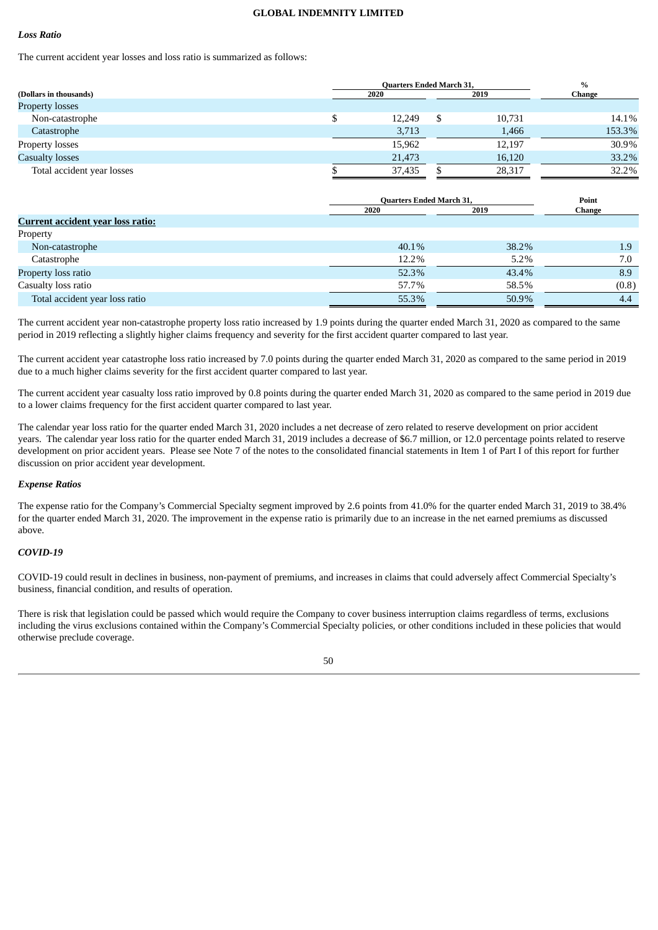## *Loss Ratio*

The current accident year losses and loss ratio is summarized as follows:

|      | $\%$   |        |                                 |  |
|------|--------|--------|---------------------------------|--|
| 2020 |        | 2019   | Change                          |  |
|      |        |        |                                 |  |
| ╜    | 12.249 | 10,731 | 14.1%                           |  |
|      | 3,713  | 1,466  | 153.3%                          |  |
|      | 15,962 | 12,197 | 30.9%                           |  |
|      | 21,473 | 16,120 | 33.2%                           |  |
|      | 37,435 | 28,317 | 32.2%                           |  |
|      |        |        | <b>Quarters Ended March 31,</b> |  |

|                                          |       | <b>Quarters Ended March 31,</b> |        |  |  |  |
|------------------------------------------|-------|---------------------------------|--------|--|--|--|
|                                          | 2020  | 2019                            | Change |  |  |  |
| <b>Current accident year loss ratio:</b> |       |                                 |        |  |  |  |
| Property                                 |       |                                 |        |  |  |  |
| Non-catastrophe                          | 40.1% | 38.2%                           | 1.9    |  |  |  |
| Catastrophe                              | 12.2% | 5.2%                            | 7.0    |  |  |  |
| Property loss ratio                      | 52.3% | 43.4%                           | 8.9    |  |  |  |
| Casualty loss ratio                      | 57.7% | 58.5%                           | (0.8)  |  |  |  |
| Total accident year loss ratio           | 55.3% | 50.9%                           | 4.4    |  |  |  |

The current accident year non-catastrophe property loss ratio increased by 1.9 points during the quarter ended March 31, 2020 as compared to the same period in 2019 reflecting a slightly higher claims frequency and severity for the first accident quarter compared to last year.

The current accident year catastrophe loss ratio increased by 7.0 points during the quarter ended March 31, 2020 as compared to the same period in 2019 due to a much higher claims severity for the first accident quarter compared to last year.

The current accident year casualty loss ratio improved by 0.8 points during the quarter ended March 31, 2020 as compared to the same period in 2019 due to a lower claims frequency for the first accident quarter compared to last year.

The calendar year loss ratio for the quarter ended March 31, 2020 includes a net decrease of zero related to reserve development on prior accident years. The calendar year loss ratio for the quarter ended March 31, 2019 includes a decrease of \$6.7 million, or 12.0 percentage points related to reserve development on prior accident years. Please see Note 7 of the notes to the consolidated financial statements in Item 1 of Part I of this report for further discussion on prior accident year development.

#### *Expense Ratios*

The expense ratio for the Company's Commercial Specialty segment improved by 2.6 points from 41.0% for the quarter ended March 31, 2019 to 38.4% for the quarter ended March 31, 2020. The improvement in the expense ratio is primarily due to an increase in the net earned premiums as discussed above.

# *COVID-19*

COVID-19 could result in declines in business, non-payment of premiums, and increases in claims that could adversely affect Commercial Specialty's business, financial condition, and results of operation.

There is risk that legislation could be passed which would require the Company to cover business interruption claims regardless of terms, exclusions including the virus exclusions contained within the Company's Commercial Specialty policies, or other conditions included in these policies that would otherwise preclude coverage.

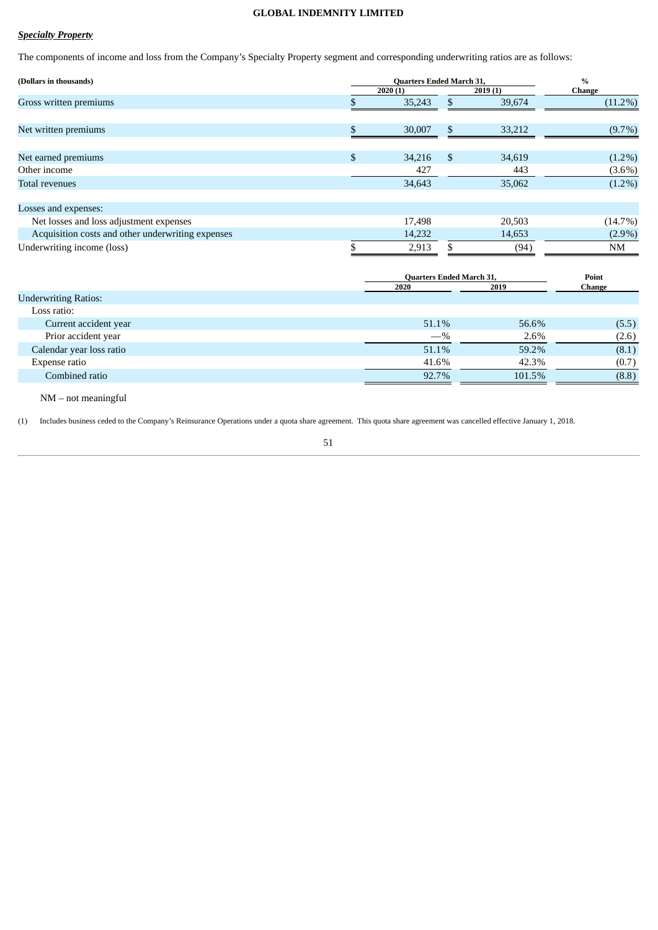# *Specialty Property*

The components of income and loss from the Company's Specialty Property segment and corresponding underwriting ratios are as follows:

| (Dollars in thousands)                            |    | <b>Quarters Ended March 31,</b> | $\%$ |         |            |
|---------------------------------------------------|----|---------------------------------|------|---------|------------|
|                                                   |    | 2020(1)                         |      | 2019(1) | Change     |
| Gross written premiums                            |    | 35,243                          | \$.  | 39,674  | $(11.2\%)$ |
|                                                   |    |                                 |      |         |            |
| Net written premiums                              | \$ | 30,007                          | \$   | 33,212  | $(9.7\%)$  |
|                                                   |    |                                 |      |         |            |
| Net earned premiums                               | \$ | 34,216                          | \$   | 34,619  | $(1.2\%)$  |
| Other income                                      |    | 427                             |      | 443     | $(3.6\%)$  |
| <b>Total revenues</b>                             |    | 34,643                          |      | 35,062  | $(1.2\%)$  |
|                                                   |    |                                 |      |         |            |
| Losses and expenses:                              |    |                                 |      |         |            |
| Net losses and loss adjustment expenses           |    | 17,498                          |      | 20,503  | (14.7%)    |
| Acquisition costs and other underwriting expenses |    | 14,232                          |      | 14,653  | $(2.9\%)$  |
| Underwriting income (loss)                        |    | 2,913                           | \$.  | (94)    | NM         |

|                             | <b>Quarters Ended March 31,</b> | Point  |        |
|-----------------------------|---------------------------------|--------|--------|
|                             | 2020                            | 2019   | Change |
| <b>Underwriting Ratios:</b> |                                 |        |        |
| Loss ratio:                 |                                 |        |        |
| Current accident year       | 51.1%                           | 56.6%  | (5.5)  |
| Prior accident year         | $-$ %                           | 2.6%   | (2.6)  |
| Calendar year loss ratio    | 51.1%                           | 59.2%  | (8.1)  |
| Expense ratio               | 41.6%                           | 42.3%  | (0.7)  |
| Combined ratio              | 92.7%                           | 101.5% | (8.8)  |
|                             |                                 |        |        |

NM – not meaningful

(1) Includes business ceded to the Company's Reinsurance Operations under a quota share agreement. This quota share agreement was cancelled effective January 1, 2018.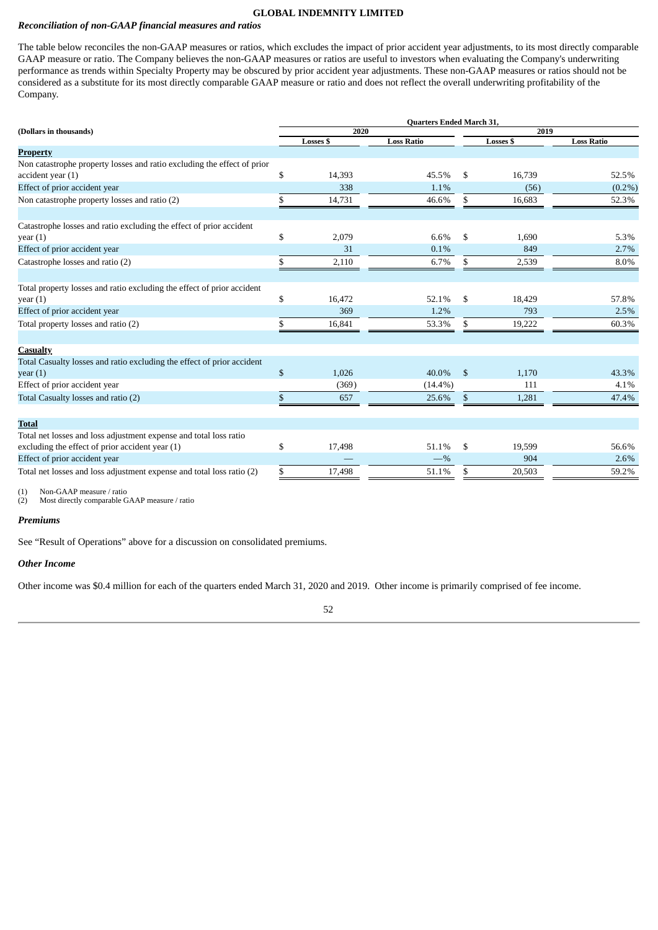# *Reconciliation of non-GAAP financial measures and ratios*

The table below reconciles the non-GAAP measures or ratios, which excludes the impact of prior accident year adjustments, to its most directly comparable GAAP measure or ratio. The Company believes the non-GAAP measures or ratios are useful to investors when evaluating the Company's underwriting performance as trends within Specialty Property may be obscured by prior accident year adjustments. These non-GAAP measures or ratios should not be considered as a substitute for its most directly comparable GAAP measure or ratio and does not reflect the overall underwriting profitability of the Company.

|                                                                                                                      | <b>Quarters Ended March 31,</b> |                  |                   |              |                  |                   |  |
|----------------------------------------------------------------------------------------------------------------------|---------------------------------|------------------|-------------------|--------------|------------------|-------------------|--|
| (Dollars in thousands)                                                                                               | 2020                            |                  |                   |              | 2019             |                   |  |
|                                                                                                                      |                                 | <b>Losses \$</b> | <b>Loss Ratio</b> |              | <b>Losses \$</b> | <b>Loss Ratio</b> |  |
| <b>Property</b>                                                                                                      |                                 |                  |                   |              |                  |                   |  |
| Non catastrophe property losses and ratio excluding the effect of prior                                              |                                 |                  |                   |              |                  |                   |  |
| accident year (1)                                                                                                    | \$                              | 14,393           | 45.5%             | -\$          | 16,739           | 52.5%             |  |
| Effect of prior accident year                                                                                        |                                 | 338              | 1.1%              |              | (56)             | $(0.2\%)$         |  |
| Non catastrophe property losses and ratio (2)                                                                        | \$                              | 14,731           | 46.6%             | \$           | 16.683           | 52.3%             |  |
| Catastrophe losses and ratio excluding the effect of prior accident                                                  |                                 |                  |                   |              |                  |                   |  |
| year(1)                                                                                                              | \$                              | 2,079            | 6.6%              | \$           | 1,690            | 5.3%              |  |
| Effect of prior accident year                                                                                        |                                 | 31               | 0.1%              |              | 849              | 2.7%              |  |
| Catastrophe losses and ratio (2)                                                                                     | \$                              | 2,110            | 6.7%              | \$           | 2,539            | 8.0%              |  |
| Total property losses and ratio excluding the effect of prior accident<br>year(1)                                    | \$                              | 16,472           | 52.1%             | \$           | 18,429           | 57.8%             |  |
| Effect of prior accident year                                                                                        |                                 | 369              | 1.2%              |              | 793              | 2.5%              |  |
| Total property losses and ratio (2)                                                                                  | \$                              | 16,841           | 53.3%             | \$           | 19,222           | 60.3%             |  |
| <b>Casualty</b>                                                                                                      |                                 |                  |                   |              |                  |                   |  |
| Total Casualty losses and ratio excluding the effect of prior accident                                               | \$                              | 1,026            | 40.0%             | $\mathbb{S}$ | 1,170            | 43.3%             |  |
| year(1)<br>Effect of prior accident year                                                                             |                                 | (369)            | $(14.4\%)$        |              | 111              | 4.1%              |  |
|                                                                                                                      |                                 | 657              | 25.6%             |              |                  |                   |  |
| Total Casualty losses and ratio (2)                                                                                  | \$                              |                  |                   | \$           | 1,281            | 47.4%             |  |
| <b>Total</b>                                                                                                         |                                 |                  |                   |              |                  |                   |  |
| Total net losses and loss adjustment expense and total loss ratio<br>excluding the effect of prior accident year (1) | \$                              | 17,498           | 51.1%             | \$           | 19,599           | 56.6%             |  |
| Effect of prior accident year                                                                                        |                                 |                  | $-$ %             |              | 904              | 2.6%              |  |
| Total net losses and loss adjustment expense and total loss ratio (2)                                                | \$                              | 17,498           | 51.1%             | \$           | 20,503           | 59.2%             |  |

(1) Non-GAAP measure / ratio (2) Most directly comparable GAAP measure / ratio

#### *Premiums*

See "Result of Operations" above for a discussion on consolidated premiums.

#### *Other Income*

Other income was \$0.4 million for each of the quarters ended March 31, 2020 and 2019. Other income is primarily comprised of fee income.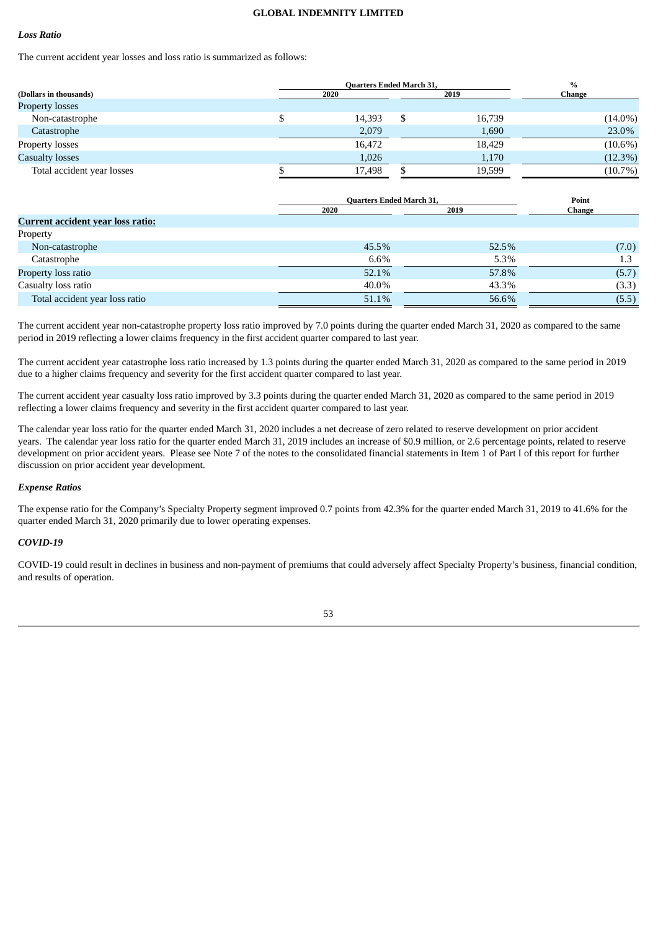# *Loss Ratio*

The current accident year losses and loss ratio is summarized as follows:

|      |        | $\%$ |        |                                 |
|------|--------|------|--------|---------------------------------|
| 2020 |        |      | 2019   | Change                          |
|      |        |      |        |                                 |
|      | 14,393 | -S   | 16,739 | $(14.0\%)$                      |
|      | 2,079  |      | 1,690  | 23.0%                           |
|      | 16,472 |      | 18,429 | $(10.6\%)$                      |
|      | 1,026  |      | 1,170  | (12.3%)                         |
|      | 17,498 |      | 19,599 | $(10.7\%)$                      |
|      |        |      |        | <b>Quarters Ended March 31,</b> |

|                                          |       | <b>Quarters Ended March 31,</b> |        |  |  |  |
|------------------------------------------|-------|---------------------------------|--------|--|--|--|
|                                          | 2020  | 2019                            | Change |  |  |  |
| <b>Current accident year loss ratio:</b> |       |                                 |        |  |  |  |
| Property                                 |       |                                 |        |  |  |  |
| Non-catastrophe                          | 45.5% | 52.5%                           | (7.0)  |  |  |  |
| Catastrophe                              | 6.6%  | 5.3%                            | 1.3    |  |  |  |
| Property loss ratio                      | 52.1% | 57.8%                           | (5.7)  |  |  |  |
| Casualty loss ratio                      | 40.0% | 43.3%                           | (3.3)  |  |  |  |
| Total accident year loss ratio           | 51.1% | 56.6%                           | (5.5)  |  |  |  |

The current accident year non-catastrophe property loss ratio improved by 7.0 points during the quarter ended March 31, 2020 as compared to the same period in 2019 reflecting a lower claims frequency in the first accident quarter compared to last year.

The current accident year catastrophe loss ratio increased by 1.3 points during the quarter ended March 31, 2020 as compared to the same period in 2019 due to a higher claims frequency and severity for the first accident quarter compared to last year.

The current accident year casualty loss ratio improved by 3.3 points during the quarter ended March 31, 2020 as compared to the same period in 2019 reflecting a lower claims frequency and severity in the first accident quarter compared to last year.

The calendar year loss ratio for the quarter ended March 31, 2020 includes a net decrease of zero related to reserve development on prior accident years. The calendar year loss ratio for the quarter ended March 31, 2019 includes an increase of \$0.9 million, or 2.6 percentage points, related to reserve development on prior accident years. Please see Note 7 of the notes to the consolidated financial statements in Item 1 of Part I of this report for further discussion on prior accident year development.

# *Expense Ratios*

The expense ratio for the Company's Specialty Property segment improved 0.7 points from 42.3% for the quarter ended March 31, 2019 to 41.6% for the quarter ended March 31, 2020 primarily due to lower operating expenses.

## *COVID-19*

COVID-19 could result in declines in business and non-payment of premiums that could adversely affect Specialty Property's business, financial condition, and results of operation.

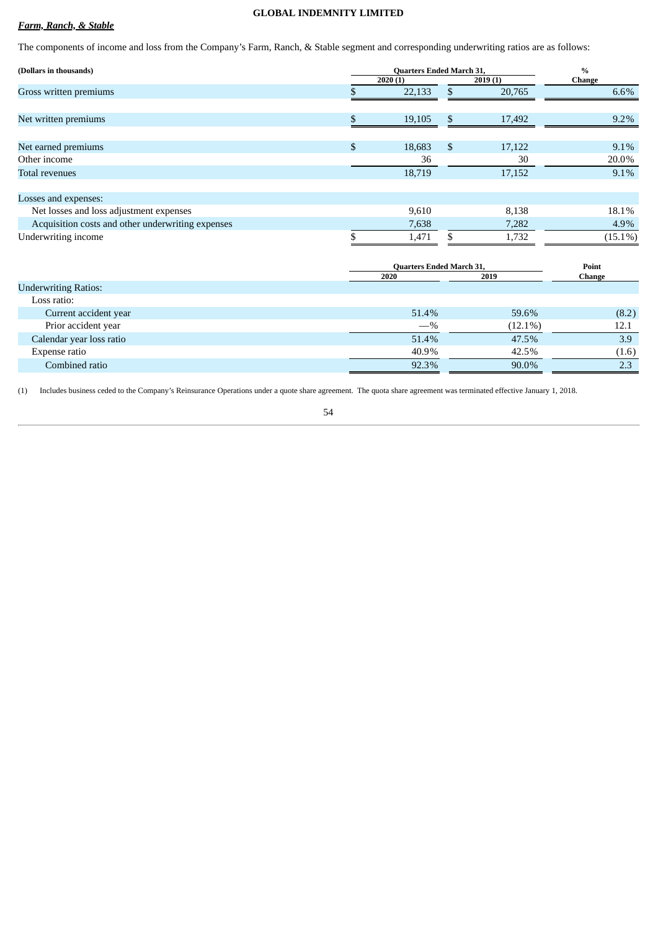# *Farm, Ranch, & Stable*

# **GLOBAL INDEMNITY LIMITED**

The components of income and loss from the Company's Farm, Ranch, & Stable segment and corresponding underwriting ratios are as follows:

| (Dollars in thousands)                            |    | <b>Quarters Ended March 31,</b> | $\%$ |         |            |
|---------------------------------------------------|----|---------------------------------|------|---------|------------|
|                                                   |    | 2020(1)                         |      | 2019(1) | Change     |
| Gross written premiums                            |    | 22,133                          |      | 20,765  | 6.6%       |
|                                                   |    |                                 |      |         |            |
| Net written premiums                              |    | 19,105                          | \$   | 17,492  | $9.2\%$    |
|                                                   |    |                                 |      |         |            |
| Net earned premiums                               | \$ | 18,683                          | - \$ | 17,122  | $9.1\%$    |
| Other income                                      |    | 36                              |      | 30      | 20.0%      |
| Total revenues                                    |    | 18,719                          |      | 17,152  | $9.1\%$    |
|                                                   |    |                                 |      |         |            |
| Losses and expenses:                              |    |                                 |      |         |            |
| Net losses and loss adjustment expenses           |    | 9,610                           |      | 8,138   | 18.1%      |
| Acquisition costs and other underwriting expenses |    | 7,638                           |      | 7,282   | 4.9%       |
| Underwriting income                               |    | 1,471                           |      | 1,732   | $(15.1\%)$ |

|                             | <b>Quarters Ended March 31,</b> | Point      |        |  |
|-----------------------------|---------------------------------|------------|--------|--|
|                             | 2020                            | 2019       | Change |  |
| <b>Underwriting Ratios:</b> |                                 |            |        |  |
| Loss ratio:                 |                                 |            |        |  |
| Current accident year       | 51.4%                           | 59.6%      | (8.2)  |  |
| Prior accident year         | $-$ %                           | $(12.1\%)$ | 12.1   |  |
| Calendar year loss ratio    | 51.4%                           | 47.5%      | 3.9    |  |
| Expense ratio               | 40.9%                           | 42.5%      | (1.6)  |  |
| Combined ratio              | 92.3%                           | 90.0%      | 2.3    |  |

(1) Includes business ceded to the Company's Reinsurance Operations under a quote share agreement. The quota share agreement was terminated effective January 1, 2018.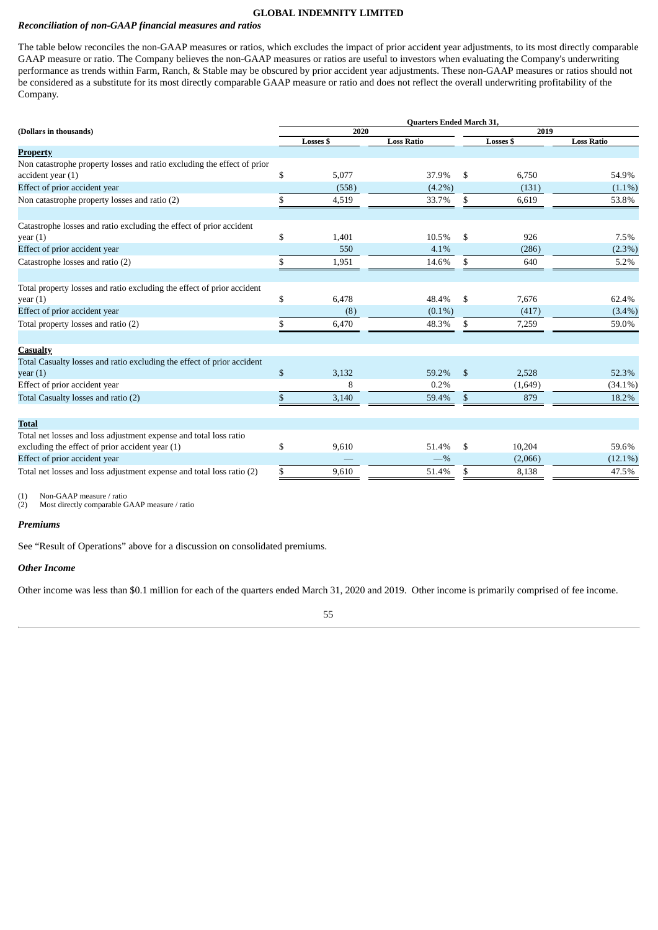## *Reconciliation of non-GAAP financial measures and ratios*

The table below reconciles the non-GAAP measures or ratios, which excludes the impact of prior accident year adjustments, to its most directly comparable GAAP measure or ratio. The Company believes the non-GAAP measures or ratios are useful to investors when evaluating the Company's underwriting performance as trends within Farm, Ranch, & Stable may be obscured by prior accident year adjustments. These non-GAAP measures or ratios should not be considered as a substitute for its most directly comparable GAAP measure or ratio and does not reflect the overall underwriting profitability of the Company.

|                                                                                                                      |              | Quarters Ended March 31, |                   |     |                  |                   |  |  |  |
|----------------------------------------------------------------------------------------------------------------------|--------------|--------------------------|-------------------|-----|------------------|-------------------|--|--|--|
| (Dollars in thousands)                                                                                               | 2020         |                          |                   |     | 2019             |                   |  |  |  |
|                                                                                                                      |              | <b>Losses \$</b>         | <b>Loss Ratio</b> |     | <b>Losses \$</b> | <b>Loss Ratio</b> |  |  |  |
| <b>Property</b>                                                                                                      |              |                          |                   |     |                  |                   |  |  |  |
| Non catastrophe property losses and ratio excluding the effect of prior                                              |              |                          |                   |     |                  |                   |  |  |  |
| accident year (1)                                                                                                    | \$           | 5,077                    | 37.9%             | -\$ | 6,750            | 54.9%             |  |  |  |
| Effect of prior accident year                                                                                        |              | (558)                    | $(4.2\%)$         |     | (131)            | $(1.1\%)$         |  |  |  |
| Non catastrophe property losses and ratio (2)                                                                        | \$           | 4,519                    | 33.7%             | \$  | 6,619            | 53.8%             |  |  |  |
| Catastrophe losses and ratio excluding the effect of prior accident                                                  |              |                          |                   |     |                  |                   |  |  |  |
| year(1)                                                                                                              | \$           | 1,401                    | 10.5%             | \$  | 926              | 7.5%              |  |  |  |
| Effect of prior accident year                                                                                        |              | 550                      | 4.1%              |     | (286)            | $(2.3\%)$         |  |  |  |
| Catastrophe losses and ratio (2)                                                                                     | \$           | 1,951                    | 14.6%             | \$  | 640              | 5.2%              |  |  |  |
| Total property losses and ratio excluding the effect of prior accident                                               |              |                          |                   |     |                  |                   |  |  |  |
| year(1)                                                                                                              | \$           | 6,478                    | 48.4%             | \$  | 7,676            | 62.4%             |  |  |  |
| Effect of prior accident year                                                                                        |              | (8)                      | $(0.1\%)$         |     | (417)            | $(3.4\%)$         |  |  |  |
| Total property losses and ratio (2)                                                                                  | \$           | 6,470                    | 48.3%             | \$  | 7,259            | 59.0%             |  |  |  |
| <b>Casualty</b>                                                                                                      |              |                          |                   |     |                  |                   |  |  |  |
| Total Casualty losses and ratio excluding the effect of prior accident<br>year(1)                                    | $\mathbb{S}$ | 3,132                    | 59.2%             | \$  | 2,528            | 52.3%             |  |  |  |
| Effect of prior accident year                                                                                        |              | 8                        | 0.2%              |     | (1,649)          | $(34.1\%)$        |  |  |  |
|                                                                                                                      |              |                          |                   |     |                  |                   |  |  |  |
| Total Casualty losses and ratio (2)                                                                                  | \$           | 3,140                    | 59.4%             | \$  | 879              | 18.2%             |  |  |  |
| <b>Total</b>                                                                                                         |              |                          |                   |     |                  |                   |  |  |  |
| Total net losses and loss adjustment expense and total loss ratio<br>excluding the effect of prior accident year (1) | \$           | 9,610                    | 51.4%             | \$  | 10,204           | 59.6%             |  |  |  |
| Effect of prior accident year                                                                                        |              |                          | $-$ %             |     | (2,066)          | $(12.1\%)$        |  |  |  |
| Total net losses and loss adjustment expense and total loss ratio (2)                                                | \$           | 9,610                    | 51.4%             | \$  | 8,138            | 47.5%             |  |  |  |
|                                                                                                                      |              |                          |                   |     |                  |                   |  |  |  |

(1) Non-GAAP measure / ratio<br>(2) Most directly comparable G

Most directly comparable GAAP measure / ratio

#### *Premiums*

See "Result of Operations" above for a discussion on consolidated premiums.

### *Other Income*

Other income was less than \$0.1 million for each of the quarters ended March 31, 2020 and 2019. Other income is primarily comprised of fee income.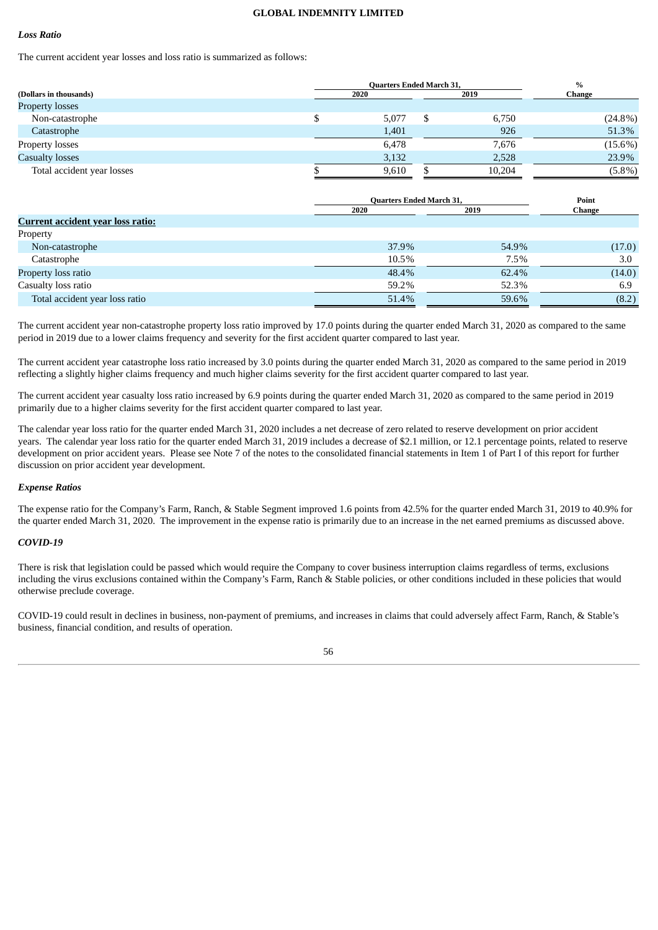# *Loss Ratio*

The current accident year losses and loss ratio is summarized as follows:

|                            | <b>Quarters Ended March 31,</b> | $\frac{9}{6}$ |            |  |
|----------------------------|---------------------------------|---------------|------------|--|
| (Dollars in thousands)     | 2020                            | 2019          | Change     |  |
| <b>Property losses</b>     |                                 |               |            |  |
| Non-catastrophe            | 5,077                           | 6,750         | $(24.8\%)$ |  |
| Catastrophe                | 1,401                           | 926           | 51.3%      |  |
| Property losses            | 6,478                           | 7,676         | $(15.6\%)$ |  |
| <b>Casualty losses</b>     | 3,132                           | 2,528         | 23.9%      |  |
| Total accident year losses | 9,610                           | 10,204        | $(5.8\%)$  |  |

|                                          | <b>Quarters Ended March 31,</b> | Point |        |  |
|------------------------------------------|---------------------------------|-------|--------|--|
|                                          | 2020                            | 2019  | Change |  |
| <u>Current accident year loss ratio:</u> |                                 |       |        |  |
| Property                                 |                                 |       |        |  |
| Non-catastrophe                          | 37.9%                           | 54.9% | (17.0) |  |
| Catastrophe                              | 10.5%                           | 7.5%  | 3.0    |  |
| Property loss ratio                      | 48.4%                           | 62.4% | (14.0) |  |
| Casualty loss ratio                      | 59.2%                           | 52.3% | 6.9    |  |
| Total accident year loss ratio           | 51.4%                           | 59.6% | (8.2)  |  |

The current accident year non-catastrophe property loss ratio improved by 17.0 points during the quarter ended March 31, 2020 as compared to the same period in 2019 due to a lower claims frequency and severity for the first accident quarter compared to last year.

The current accident year catastrophe loss ratio increased by 3.0 points during the quarter ended March 31, 2020 as compared to the same period in 2019 reflecting a slightly higher claims frequency and much higher claims severity for the first accident quarter compared to last year.

The current accident year casualty loss ratio increased by 6.9 points during the quarter ended March 31, 2020 as compared to the same period in 2019 primarily due to a higher claims severity for the first accident quarter compared to last year.

The calendar year loss ratio for the quarter ended March 31, 2020 includes a net decrease of zero related to reserve development on prior accident years. The calendar year loss ratio for the quarter ended March 31, 2019 includes a decrease of \$2.1 million, or 12.1 percentage points, related to reserve development on prior accident years. Please see Note 7 of the notes to the consolidated financial statements in Item 1 of Part I of this report for further discussion on prior accident year development.

# *Expense Ratios*

The expense ratio for the Company's Farm, Ranch, & Stable Segment improved 1.6 points from 42.5% for the quarter ended March 31, 2019 to 40.9% for the quarter ended March 31, 2020. The improvement in the expense ratio is primarily due to an increase in the net earned premiums as discussed above.

#### *COVID-19*

There is risk that legislation could be passed which would require the Company to cover business interruption claims regardless of terms, exclusions including the virus exclusions contained within the Company's Farm, Ranch & Stable policies, or other conditions included in these policies that would otherwise preclude coverage.

COVID-19 could result in declines in business, non-payment of premiums, and increases in claims that could adversely affect Farm, Ranch, & Stable's business, financial condition, and results of operation.

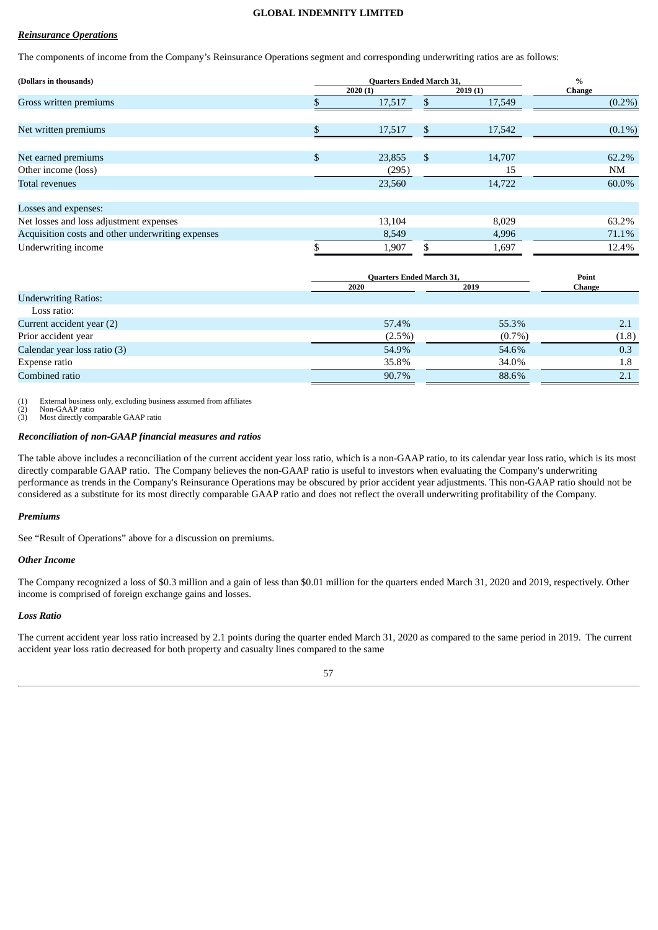## *Reinsurance Operations*

The components of income from the Company's Reinsurance Operations segment and corresponding underwriting ratios are as follows:

| (Dollars in thousands)                            |    | $\frac{0}{0}$ |        |         |           |
|---------------------------------------------------|----|---------------|--------|---------|-----------|
|                                                   |    | 2020(1)       |        | 2019(1) | Change    |
| Gross written premiums                            |    | 17,517        | 17,549 |         | $(0.2\%)$ |
|                                                   |    |               |        |         |           |
| Net written premiums                              |    | 17,517        | \$.    | 17,542  | $(0.1\%)$ |
|                                                   |    |               |        |         |           |
| Net earned premiums                               | \$ | 23,855        | \$     | 14,707  | 62.2%     |
| Other income (loss)                               |    | (295)         |        | 15      | NM        |
| <b>Total revenues</b>                             |    | 23,560        |        | 14,722  | 60.0%     |
|                                                   |    |               |        |         |           |
| Losses and expenses:                              |    |               |        |         |           |
| Net losses and loss adjustment expenses           |    | 13,104        |        | 8,029   | 63.2%     |
| Acquisition costs and other underwriting expenses |    | 8,549         |        | 4,996   | 71.1%     |
| Underwriting income                               |    | 1,907         |        | 1,697   | 12.4%     |

|                              | <b>Quarters Ended March 31,</b> | Point     |        |  |
|------------------------------|---------------------------------|-----------|--------|--|
|                              | 2020                            | 2019      | Change |  |
| <b>Underwriting Ratios:</b>  |                                 |           |        |  |
| Loss ratio:                  |                                 |           |        |  |
| Current accident year (2)    | 57.4%                           | 55.3%     | 2.1    |  |
| Prior accident year          | $(2.5\%)$                       | $(0.7\%)$ | (1.8)  |  |
| Calendar year loss ratio (3) | 54.9%                           | 54.6%     | 0.3    |  |
| Expense ratio                | 35.8%                           | 34.0%     | 1.8    |  |
| Combined ratio               | 90.7%                           | 88.6%     | 2.1    |  |

(1) External business only, excluding business assumed from affiliates<br>
(2) Non-GAAP ratio<br>
(3) Most directly comparable GAAP ratio

Non-GAAP ratio

Most directly comparable GAAP ratio

## *Reconciliation of non-GAAP financial measures and ratios*

The table above includes a reconciliation of the current accident year loss ratio, which is a non-GAAP ratio, to its calendar year loss ratio, which is its most directly comparable GAAP ratio. The Company believes the non-GAAP ratio is useful to investors when evaluating the Company's underwriting performance as trends in the Company's Reinsurance Operations may be obscured by prior accident year adjustments. This non-GAAP ratio should not be considered as a substitute for its most directly comparable GAAP ratio and does not reflect the overall underwriting profitability of the Company.

#### *Premiums*

See "Result of Operations" above for a discussion on premiums.

#### *Other Income*

The Company recognized a loss of \$0.3 million and a gain of less than \$0.01 million for the quarters ended March 31, 2020 and 2019, respectively. Other income is comprised of foreign exchange gains and losses.

## *Loss Ratio*

The current accident year loss ratio increased by 2.1 points during the quarter ended March 31, 2020 as compared to the same period in 2019. The current accident year loss ratio decreased for both property and casualty lines compared to the same

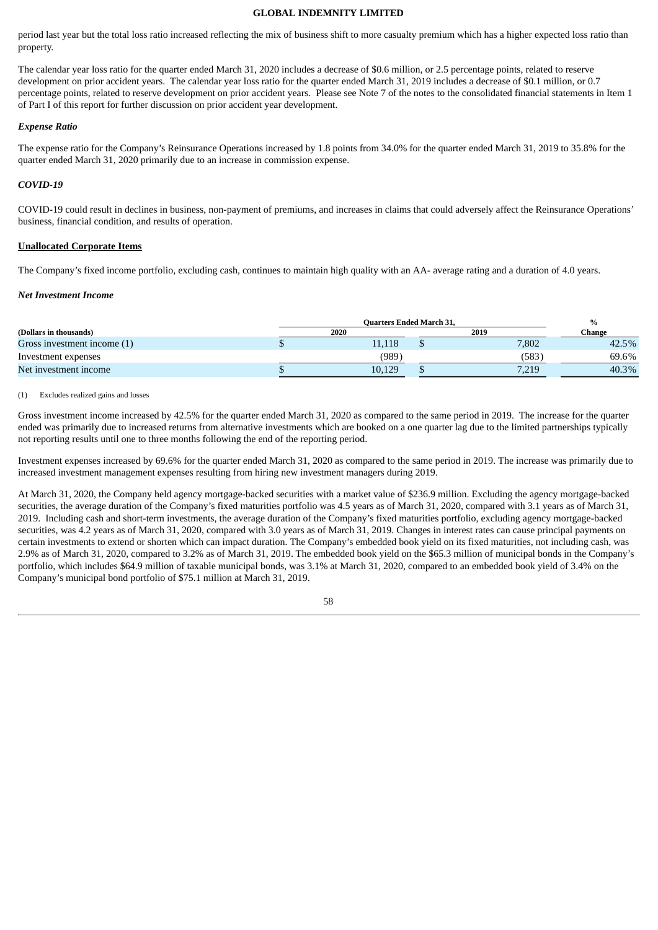period last year but the total loss ratio increased reflecting the mix of business shift to more casualty premium which has a higher expected loss ratio than property.

The calendar year loss ratio for the quarter ended March 31, 2020 includes a decrease of \$0.6 million, or 2.5 percentage points, related to reserve development on prior accident years. The calendar year loss ratio for the quarter ended March 31, 2019 includes a decrease of \$0.1 million, or 0.7 percentage points, related to reserve development on prior accident years. Please see Note 7 of the notes to the consolidated financial statements in Item 1 of Part I of this report for further discussion on prior accident year development.

#### *Expense Ratio*

The expense ratio for the Company's Reinsurance Operations increased by 1.8 points from 34.0% for the quarter ended March 31, 2019 to 35.8% for the quarter ended March 31, 2020 primarily due to an increase in commission expense.

## *COVID-19*

COVID-19 could result in declines in business, non-payment of premiums, and increases in claims that could adversely affect the Reinsurance Operations' business, financial condition, and results of operation.

### **Unallocated Corporate Items**

The Company's fixed income portfolio, excluding cash, continues to maintain high quality with an AA- average rating and a duration of 4.0 years.

## *Net Investment Income*

|                             | <b>Ouarters Ended March 31.</b> |        |  |       | ℅      |
|-----------------------------|---------------------------------|--------|--|-------|--------|
| (Dollars in thousands)      | 2020                            |        |  | 2019  | Change |
| Gross investment income (1) |                                 | 11.118 |  | 7,802 | 42.5%  |
| Investment expenses         |                                 | (989)  |  | (583) | 69.6%  |
| Net investment income       |                                 | 10,129 |  | 7,219 | 40.3%  |

#### (1) Excludes realized gains and losses

Gross investment income increased by 42.5% for the quarter ended March 31, 2020 as compared to the same period in 2019. The increase for the quarter ended was primarily due to increased returns from alternative investments which are booked on a one quarter lag due to the limited partnerships typically not reporting results until one to three months following the end of the reporting period.

Investment expenses increased by 69.6% for the quarter ended March 31, 2020 as compared to the same period in 2019. The increase was primarily due to increased investment management expenses resulting from hiring new investment managers during 2019.

At March 31, 2020, the Company held agency mortgage-backed securities with a market value of \$236.9 million. Excluding the agency mortgage-backed securities, the average duration of the Company's fixed maturities portfolio was 4.5 years as of March 31, 2020, compared with 3.1 years as of March 31, 2019. Including cash and short-term investments, the average duration of the Company's fixed maturities portfolio, excluding agency mortgage-backed securities, was 4.2 years as of March 31, 2020, compared with 3.0 years as of March 31, 2019. Changes in interest rates can cause principal payments on certain investments to extend or shorten which can impact duration. The Company's embedded book yield on its fixed maturities, not including cash, was 2.9% as of March 31, 2020, compared to 3.2% as of March 31, 2019. The embedded book yield on the \$65.3 million of municipal bonds in the Company's portfolio, which includes \$64.9 million of taxable municipal bonds, was 3.1% at March 31, 2020, compared to an embedded book yield of 3.4% on the Company's municipal bond portfolio of \$75.1 million at March 31, 2019.

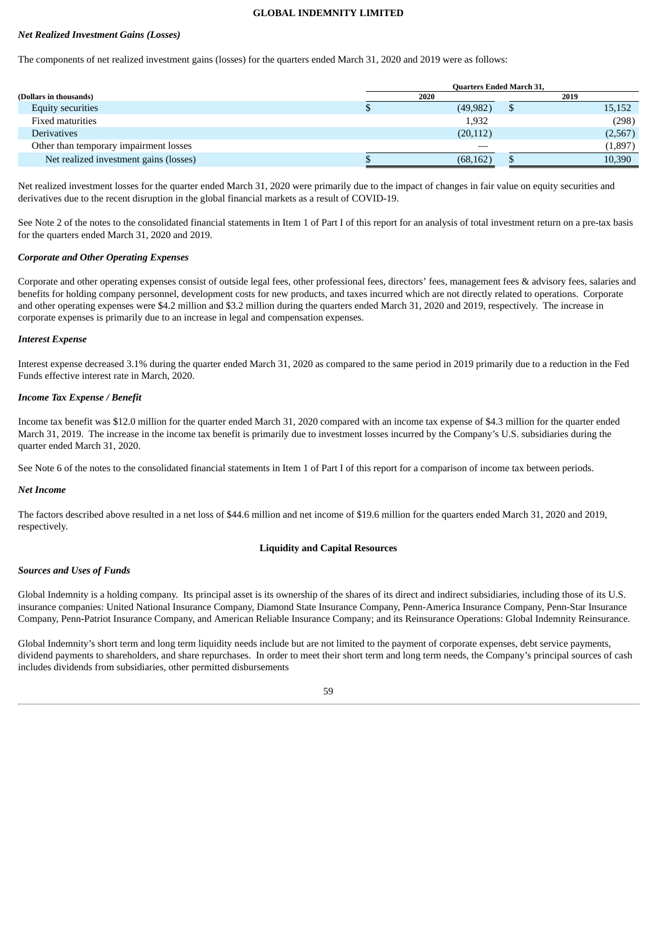## *Net Realized Investment Gains (Losses)*

The components of net realized investment gains (losses) for the quarters ended March 31, 2020 and 2019 were as follows:

|                                        | <b>Quarters Ended March 31,</b> |  |         |  |
|----------------------------------------|---------------------------------|--|---------|--|
| (Dollars in thousands)                 | 2019<br>2020                    |  |         |  |
| Equity securities                      | (49, 982)                       |  | 15,152  |  |
| Fixed maturities                       | 1,932                           |  | (298)   |  |
| <b>Derivatives</b>                     | (20, 112)                       |  | (2,567) |  |
| Other than temporary impairment losses |                                 |  | (1,897) |  |
| Net realized investment gains (losses) | (68, 162)                       |  | 10,390  |  |

Net realized investment losses for the quarter ended March 31, 2020 were primarily due to the impact of changes in fair value on equity securities and derivatives due to the recent disruption in the global financial markets as a result of COVID-19.

See Note 2 of the notes to the consolidated financial statements in Item 1 of Part I of this report for an analysis of total investment return on a pre-tax basis for the quarters ended March 31, 2020 and 2019.

#### *Corporate and Other Operating Expenses*

Corporate and other operating expenses consist of outside legal fees, other professional fees, directors' fees, management fees & advisory fees, salaries and benefits for holding company personnel, development costs for new products, and taxes incurred which are not directly related to operations. Corporate and other operating expenses were \$4.2 million and \$3.2 million during the quarters ended March 31, 2020 and 2019, respectively. The increase in corporate expenses is primarily due to an increase in legal and compensation expenses.

#### *Interest Expense*

Interest expense decreased 3.1% during the quarter ended March 31, 2020 as compared to the same period in 2019 primarily due to a reduction in the Fed Funds effective interest rate in March, 2020.

## *Income Tax Expense / Benefit*

Income tax benefit was \$12.0 million for the quarter ended March 31, 2020 compared with an income tax expense of \$4.3 million for the quarter ended March 31, 2019. The increase in the income tax benefit is primarily due to investment losses incurred by the Company's U.S. subsidiaries during the quarter ended March 31, 2020.

See Note 6 of the notes to the consolidated financial statements in Item 1 of Part I of this report for a comparison of income tax between periods.

## *Net Income*

The factors described above resulted in a net loss of \$44.6 million and net income of \$19.6 million for the quarters ended March 31, 2020 and 2019, respectively.

## **Liquidity and Capital Resources**

#### *Sources and Uses of Funds*

Global Indemnity is a holding company. Its principal asset is its ownership of the shares of its direct and indirect subsidiaries, including those of its U.S. insurance companies: United National Insurance Company, Diamond State Insurance Company, Penn-America Insurance Company, Penn-Star Insurance Company, Penn-Patriot Insurance Company, and American Reliable Insurance Company; and its Reinsurance Operations: Global Indemnity Reinsurance.

Global Indemnity's short term and long term liquidity needs include but are not limited to the payment of corporate expenses, debt service payments, dividend payments to shareholders, and share repurchases. In order to meet their short term and long term needs, the Company's principal sources of cash includes dividends from subsidiaries, other permitted disbursements

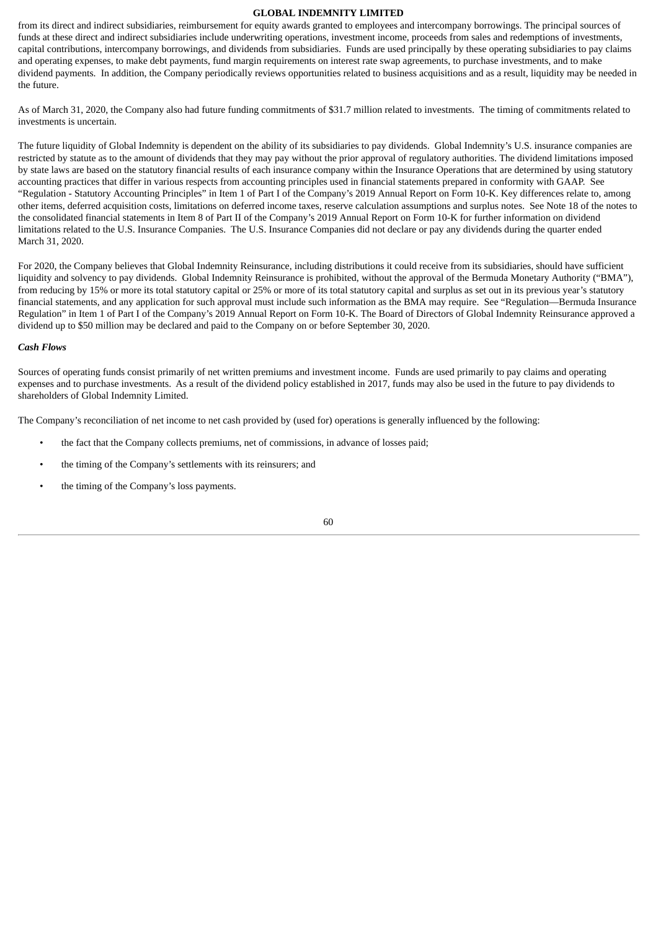from its direct and indirect subsidiaries, reimbursement for equity awards granted to employees and intercompany borrowings. The principal sources of funds at these direct and indirect subsidiaries include underwriting operations, investment income, proceeds from sales and redemptions of investments, capital contributions, intercompany borrowings, and dividends from subsidiaries. Funds are used principally by these operating subsidiaries to pay claims and operating expenses, to make debt payments, fund margin requirements on interest rate swap agreements, to purchase investments, and to make dividend payments. In addition, the Company periodically reviews opportunities related to business acquisitions and as a result, liquidity may be needed in the future.

As of March 31, 2020, the Company also had future funding commitments of \$31.7 million related to investments. The timing of commitments related to investments is uncertain.

The future liquidity of Global Indemnity is dependent on the ability of its subsidiaries to pay dividends. Global Indemnity's U.S. insurance companies are restricted by statute as to the amount of dividends that they may pay without the prior approval of regulatory authorities. The dividend limitations imposed by state laws are based on the statutory financial results of each insurance company within the Insurance Operations that are determined by using statutory accounting practices that differ in various respects from accounting principles used in financial statements prepared in conformity with GAAP. See "Regulation - Statutory Accounting Principles" in Item 1 of Part I of the Company's 2019 Annual Report on Form 10-K. Key differences relate to, among other items, deferred acquisition costs, limitations on deferred income taxes, reserve calculation assumptions and surplus notes. See Note 18 of the notes to the consolidated financial statements in Item 8 of Part II of the Company's 2019 Annual Report on Form 10-K for further information on dividend limitations related to the U.S. Insurance Companies. The U.S. Insurance Companies did not declare or pay any dividends during the quarter ended March 31, 2020.

For 2020, the Company believes that Global Indemnity Reinsurance, including distributions it could receive from its subsidiaries, should have sufficient liquidity and solvency to pay dividends. Global Indemnity Reinsurance is prohibited, without the approval of the Bermuda Monetary Authority ("BMA"), from reducing by 15% or more its total statutory capital or 25% or more of its total statutory capital and surplus as set out in its previous year's statutory financial statements, and any application for such approval must include such information as the BMA may require. See "Regulation—Bermuda Insurance Regulation" in Item 1 of Part I of the Company's 2019 Annual Report on Form 10-K. The Board of Directors of Global Indemnity Reinsurance approved a dividend up to \$50 million may be declared and paid to the Company on or before September 30, 2020.

## *Cash Flows*

Sources of operating funds consist primarily of net written premiums and investment income. Funds are used primarily to pay claims and operating expenses and to purchase investments. As a result of the dividend policy established in 2017, funds may also be used in the future to pay dividends to shareholders of Global Indemnity Limited.

The Company's reconciliation of net income to net cash provided by (used for) operations is generally influenced by the following:

- the fact that the Company collects premiums, net of commissions, in advance of losses paid;
- the timing of the Company's settlements with its reinsurers; and
- the timing of the Company's loss payments.

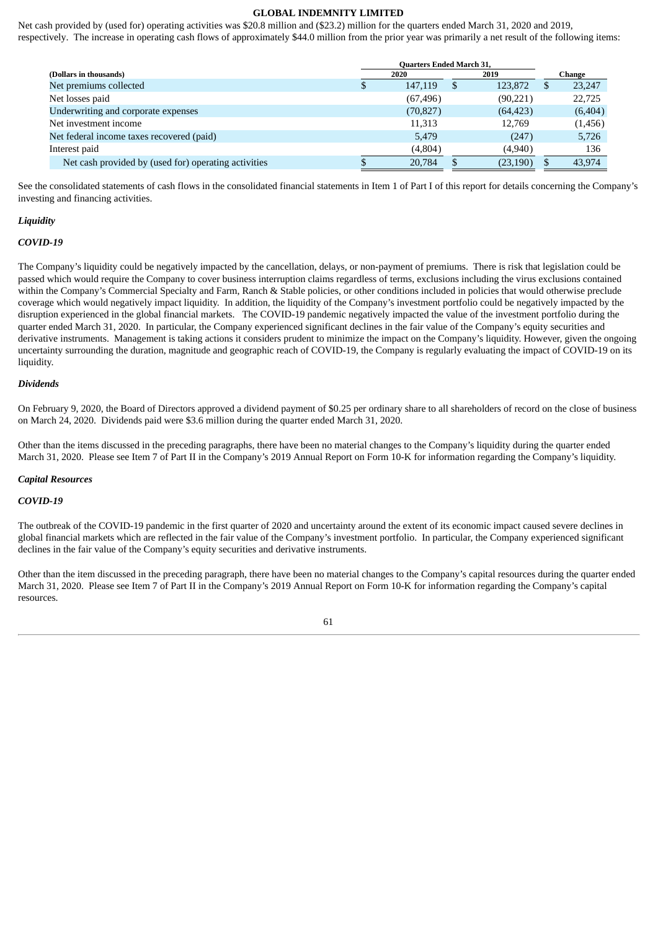Net cash provided by (used for) operating activities was \$20.8 million and (\$23.2) million for the quarters ended March 31, 2020 and 2019, respectively. The increase in operating cash flows of approximately \$44.0 million from the prior year was primarily a net result of the following items:

|                                                      | <b>Quarters Ended March 31,</b> |           |   |           |        |          |
|------------------------------------------------------|---------------------------------|-----------|---|-----------|--------|----------|
| (Dollars in thousands)                               | 2020<br>2019                    |           |   |           | Change |          |
| Net premiums collected                               | J                               | 147.119   | S | 123,872   |        | 23,247   |
| Net losses paid                                      |                                 | (67, 496) |   | (90, 221) |        | 22,725   |
| Underwriting and corporate expenses                  |                                 | (70, 827) |   | (64, 423) |        | (6, 404) |
| Net investment income                                |                                 | 11,313    |   | 12.769    |        | (1, 456) |
| Net federal income taxes recovered (paid)            |                                 | 5,479     |   | (247)     |        | 5,726    |
| Interest paid                                        |                                 | (4,804)   |   | (4,940)   |        | 136      |
| Net cash provided by (used for) operating activities |                                 | 20,784    |   | (23, 190) |        | 43,974   |

See the consolidated statements of cash flows in the consolidated financial statements in Item 1 of Part I of this report for details concerning the Company's investing and financing activities.

#### *Liquidity*

#### *COVID-19*

The Company's liquidity could be negatively impacted by the cancellation, delays, or non-payment of premiums. There is risk that legislation could be passed which would require the Company to cover business interruption claims regardless of terms, exclusions including the virus exclusions contained within the Company's Commercial Specialty and Farm, Ranch & Stable policies, or other conditions included in policies that would otherwise preclude coverage which would negatively impact liquidity. In addition, the liquidity of the Company's investment portfolio could be negatively impacted by the disruption experienced in the global financial markets. The COVID-19 pandemic negatively impacted the value of the investment portfolio during the quarter ended March 31, 2020. In particular, the Company experienced significant declines in the fair value of the Company's equity securities and derivative instruments. Management is taking actions it considers prudent to minimize the impact on the Company's liquidity. However, given the ongoing uncertainty surrounding the duration, magnitude and geographic reach of COVID-19, the Company is regularly evaluating the impact of COVID-19 on its liquidity.

#### *Dividends*

On February 9, 2020, the Board of Directors approved a dividend payment of \$0.25 per ordinary share to all shareholders of record on the close of business on March 24, 2020. Dividends paid were \$3.6 million during the quarter ended March 31, 2020.

Other than the items discussed in the preceding paragraphs, there have been no material changes to the Company's liquidity during the quarter ended March 31, 2020. Please see Item 7 of Part II in the Company's 2019 Annual Report on Form 10-K for information regarding the Company's liquidity.

#### *Capital Resources*

#### *COVID-19*

The outbreak of the COVID-19 pandemic in the first quarter of 2020 and uncertainty around the extent of its economic impact caused severe declines in global financial markets which are reflected in the fair value of the Company's investment portfolio. In particular, the Company experienced significant declines in the fair value of the Company's equity securities and derivative instruments.

Other than the item discussed in the preceding paragraph, there have been no material changes to the Company's capital resources during the quarter ended March 31, 2020. Please see Item 7 of Part II in the Company's 2019 Annual Report on Form 10-K for information regarding the Company's capital resources.

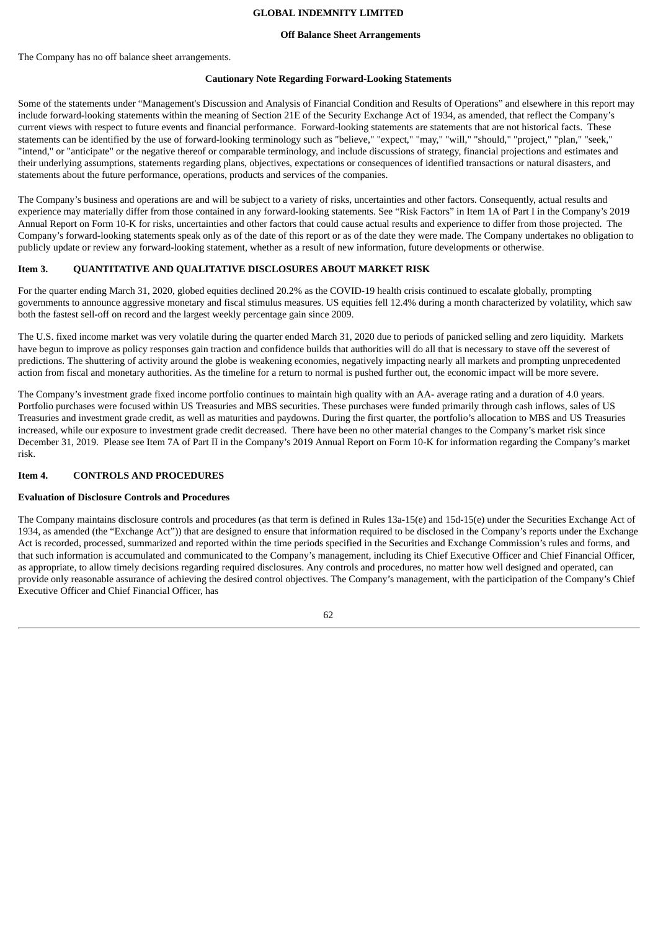#### **Off Balance Sheet Arrangements**

### The Company has no off balance sheet arrangements.

## **Cautionary Note Regarding Forward-Looking Statements**

Some of the statements under "Management's Discussion and Analysis of Financial Condition and Results of Operations" and elsewhere in this report may include forward-looking statements within the meaning of Section 21E of the Security Exchange Act of 1934, as amended, that reflect the Company's current views with respect to future events and financial performance. Forward-looking statements are statements that are not historical facts. These statements can be identified by the use of forward-looking terminology such as "believe," "expect," "may," "will," "should," "project," "plan," "seek," "intend," or "anticipate" or the negative thereof or comparable terminology, and include discussions of strategy, financial projections and estimates and their underlying assumptions, statements regarding plans, objectives, expectations or consequences of identified transactions or natural disasters, and statements about the future performance, operations, products and services of the companies.

The Company's business and operations are and will be subject to a variety of risks, uncertainties and other factors. Consequently, actual results and experience may materially differ from those contained in any forward-looking statements. See "Risk Factors" in Item 1A of Part I in the Company's 2019 Annual Report on Form 10-K for risks, uncertainties and other factors that could cause actual results and experience to differ from those projected. The Company's forward-looking statements speak only as of the date of this report or as of the date they were made. The Company undertakes no obligation to publicly update or review any forward-looking statement, whether as a result of new information, future developments or otherwise.

## **Item 3. QUANTITATIVE AND QUALITATIVE DISCLOSURES ABOUT MARKET RISK**

For the quarter ending March 31, 2020, globed equities declined 20.2% as the COVID-19 health crisis continued to escalate globally, prompting governments to announce aggressive monetary and fiscal stimulus measures. US equities fell 12.4% during a month characterized by volatility, which saw both the fastest sell-off on record and the largest weekly percentage gain since 2009.

The U.S. fixed income market was very volatile during the quarter ended March 31, 2020 due to periods of panicked selling and zero liquidity. Markets have begun to improve as policy responses gain traction and confidence builds that authorities will do all that is necessary to stave off the severest of predictions. The shuttering of activity around the globe is weakening economies, negatively impacting nearly all markets and prompting unprecedented action from fiscal and monetary authorities. As the timeline for a return to normal is pushed further out, the economic impact will be more severe.

The Company's investment grade fixed income portfolio continues to maintain high quality with an AA- average rating and a duration of 4.0 years. Portfolio purchases were focused within US Treasuries and MBS securities. These purchases were funded primarily through cash inflows, sales of US Treasuries and investment grade credit, as well as maturities and paydowns. During the first quarter, the portfolio's allocation to MBS and US Treasuries increased, while our exposure to investment grade credit decreased. There have been no other material changes to the Company's market risk since December 31, 2019. Please see Item 7A of Part II in the Company's 2019 Annual Report on Form 10-K for information regarding the Company's market risk.

## **Item 4. CONTROLS AND PROCEDURES**

## **Evaluation of Disclosure Controls and Procedures**

The Company maintains disclosure controls and procedures (as that term is defined in Rules 13a-15(e) and 15d-15(e) under the Securities Exchange Act of 1934, as amended (the "Exchange Act")) that are designed to ensure that information required to be disclosed in the Company's reports under the Exchange Act is recorded, processed, summarized and reported within the time periods specified in the Securities and Exchange Commission's rules and forms, and that such information is accumulated and communicated to the Company's management, including its Chief Executive Officer and Chief Financial Officer, as appropriate, to allow timely decisions regarding required disclosures. Any controls and procedures, no matter how well designed and operated, can provide only reasonable assurance of achieving the desired control objectives. The Company's management, with the participation of the Company's Chief Executive Officer and Chief Financial Officer, has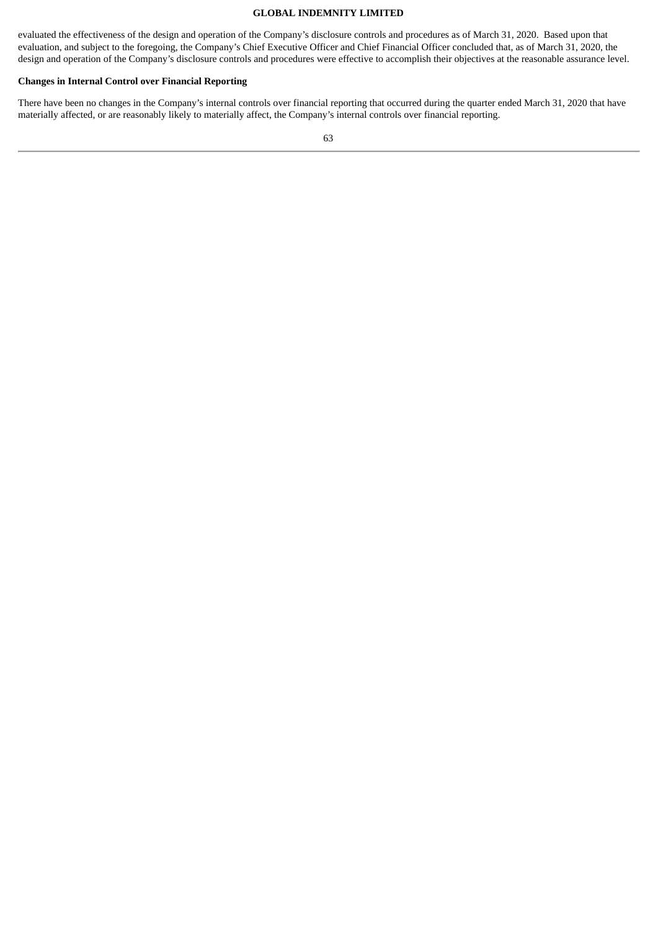evaluated the effectiveness of the design and operation of the Company's disclosure controls and procedures as of March 31, 2020. Based upon that evaluation, and subject to the foregoing, the Company's Chief Executive Officer and Chief Financial Officer concluded that, as of March 31, 2020, the design and operation of the Company's disclosure controls and procedures were effective to accomplish their objectives at the reasonable assurance level.

# **Changes in Internal Control over Financial Reporting**

There have been no changes in the Company's internal controls over financial reporting that occurred during the quarter ended March 31, 2020 that have materially affected, or are reasonably likely to materially affect, the Company's internal controls over financial reporting.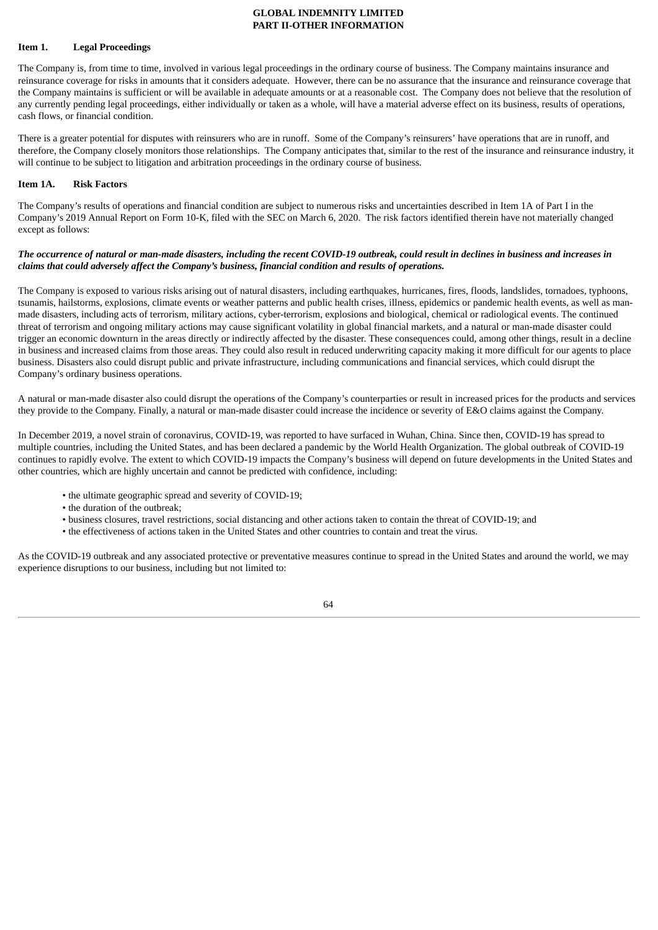# **GLOBAL INDEMNITY LIMITED PART II-OTHER INFORMATION**

# **Item 1. Legal Proceedings**

The Company is, from time to time, involved in various legal proceedings in the ordinary course of business. The Company maintains insurance and reinsurance coverage for risks in amounts that it considers adequate. However, there can be no assurance that the insurance and reinsurance coverage that the Company maintains is sufficient or will be available in adequate amounts or at a reasonable cost. The Company does not believe that the resolution of any currently pending legal proceedings, either individually or taken as a whole, will have a material adverse effect on its business, results of operations, cash flows, or financial condition.

There is a greater potential for disputes with reinsurers who are in runoff. Some of the Company's reinsurers' have operations that are in runoff, and therefore, the Company closely monitors those relationships. The Company anticipates that, similar to the rest of the insurance and reinsurance industry, it will continue to be subject to litigation and arbitration proceedings in the ordinary course of business.

# **Item 1A. Risk Factors**

The Company's results of operations and financial condition are subject to numerous risks and uncertainties described in Item 1A of Part I in the Company's 2019 Annual Report on Form 10-K, filed with the SEC on March 6, 2020. The risk factors identified therein have not materially changed except as follows:

## The occurrence of natural or man-made disasters, including the recent COVID-19 outbreak, could result in declines in business and increases in *claims that could adversely affect the Company's business, financial condition and results of operations.*

The Company is exposed to various risks arising out of natural disasters, including earthquakes, hurricanes, fires, floods, landslides, tornadoes, typhoons, tsunamis, hailstorms, explosions, climate events or weather patterns and public health crises, illness, epidemics or pandemic health events, as well as manmade disasters, including acts of terrorism, military actions, cyber-terrorism, explosions and biological, chemical or radiological events. The continued threat of terrorism and ongoing military actions may cause significant volatility in global financial markets, and a natural or man-made disaster could trigger an economic downturn in the areas directly or indirectly affected by the disaster. These consequences could, among other things, result in a decline in business and increased claims from those areas. They could also result in reduced underwriting capacity making it more difficult for our agents to place business. Disasters also could disrupt public and private infrastructure, including communications and financial services, which could disrupt the Company's ordinary business operations.

A natural or man-made disaster also could disrupt the operations of the Company's counterparties or result in increased prices for the products and services they provide to the Company. Finally, a natural or man-made disaster could increase the incidence or severity of E&O claims against the Company.

In December 2019, a novel strain of coronavirus, COVID-19, was reported to have surfaced in Wuhan, China. Since then, COVID-19 has spread to multiple countries, including the United States, and has been declared a pandemic by the World Health Organization. The global outbreak of COVID-19 continues to rapidly evolve. The extent to which COVID-19 impacts the Company's business will depend on future developments in the United States and other countries, which are highly uncertain and cannot be predicted with confidence, including:

- the ultimate geographic spread and severity of COVID-19;
- the duration of the outbreak;
- business closures, travel restrictions, social distancing and other actions taken to contain the threat of COVID-19; and
- the effectiveness of actions taken in the United States and other countries to contain and treat the virus.

As the COVID-19 outbreak and any associated protective or preventative measures continue to spread in the United States and around the world, we may experience disruptions to our business, including but not limited to:

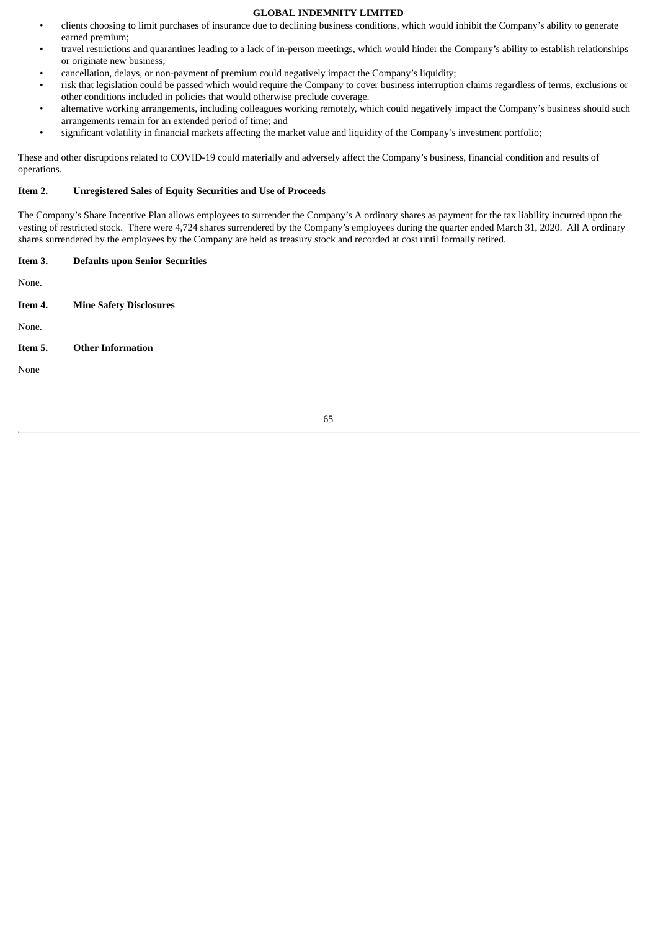- clients choosing to limit purchases of insurance due to declining business conditions, which would inhibit the Company's ability to generate earned premium;
- travel restrictions and quarantines leading to a lack of in-person meetings, which would hinder the Company's ability to establish relationships or originate new business;
- cancellation, delays, or non-payment of premium could negatively impact the Company's liquidity;
- risk that legislation could be passed which would require the Company to cover business interruption claims regardless of terms, exclusions or other conditions included in policies that would otherwise preclude coverage.
- alternative working arrangements, including colleagues working remotely, which could negatively impact the Company's business should such arrangements remain for an extended period of time; and
- significant volatility in financial markets affecting the market value and liquidity of the Company's investment portfolio;

These and other disruptions related to COVID-19 could materially and adversely affect the Company's business, financial condition and results of operations.

# **Item 2. Unregistered Sales of Equity Securities and Use of Proceeds**

The Company's Share Incentive Plan allows employees to surrender the Company's A ordinary shares as payment for the tax liability incurred upon the vesting of restricted stock. There were 4,724 shares surrendered by the Company's employees during the quarter ended March 31, 2020. All A ordinary shares surrendered by the employees by the Company are held as treasury stock and recorded at cost until formally retired.

## **Item 3. Defaults upon Senior Securities**

None.

**Item 4. Mine Safety Disclosures**

None.

**Item 5. Other Information**

None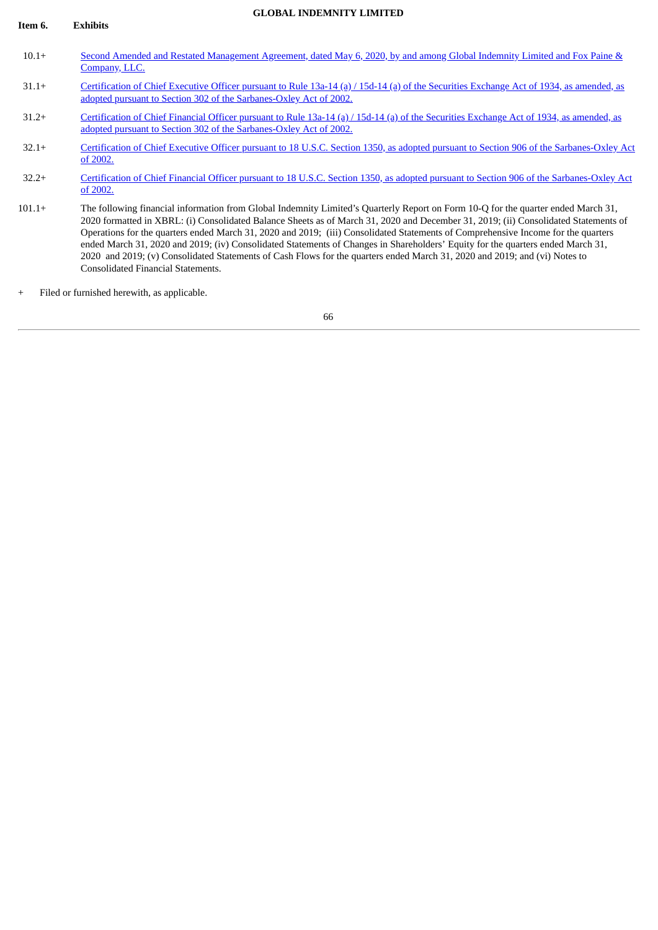| $10.1+$  | Second Amended and Restated Management Agreement, dated May 6, 2020, by and among Global Indemnity Limited and Fox Paine &<br>Company, LLC.                                                                                                                                                                                                                                                                   |
|----------|---------------------------------------------------------------------------------------------------------------------------------------------------------------------------------------------------------------------------------------------------------------------------------------------------------------------------------------------------------------------------------------------------------------|
| $31.1+$  | Certification of Chief Executive Officer pursuant to Rule 13a-14 (a) / 15d-14 (a) of the Securities Exchange Act of 1934, as amended, as<br>adopted pursuant to Section 302 of the Sarbanes-Oxley Act of 2002.                                                                                                                                                                                                |
| $31.2+$  | Certification of Chief Financial Officer pursuant to Rule 13a-14 (a) / 15d-14 (a) of the Securities Exchange Act of 1934, as amended, as<br>adopted pursuant to Section 302 of the Sarbanes-Oxley Act of 2002.                                                                                                                                                                                                |
| $32.1+$  | Certification of Chief Executive Officer pursuant to 18 U.S.C. Section 1350, as adopted pursuant to Section 906 of the Sarbanes-Oxley Act<br>of 2002.                                                                                                                                                                                                                                                         |
| $32.2+$  | Certification of Chief Financial Officer pursuant to 18 U.S.C. Section 1350, as adopted pursuant to Section 906 of the Sarbanes-Oxley Act<br>of 2002.                                                                                                                                                                                                                                                         |
| $101.1+$ | The following financial information from Global Indemnity Limited's Quarterly Report on Form 10-Q for the quarter ended March 31,<br>2020 formatted in XBRL: (i) Consolidated Balance Sheets as of March 31, 2020 and December 31, 2019; (ii) Consolidated Statements of<br>Operations for the quarters ended March 31, 2020 and 2019; (iii) Consolidated Statements of Comprehensive Income for the quarters |

+ Filed or furnished herewith, as applicable.

Consolidated Financial Statements.

**Item 6. Exhibits**

66

ended March 31, 2020 and 2019; (iv) Consolidated Statements of Changes in Shareholders' Equity for the quarters ended March 31, 2020 and 2019; (v) Consolidated Statements of Cash Flows for the quarters ended March 31, 2020 and 2019; and (vi) Notes to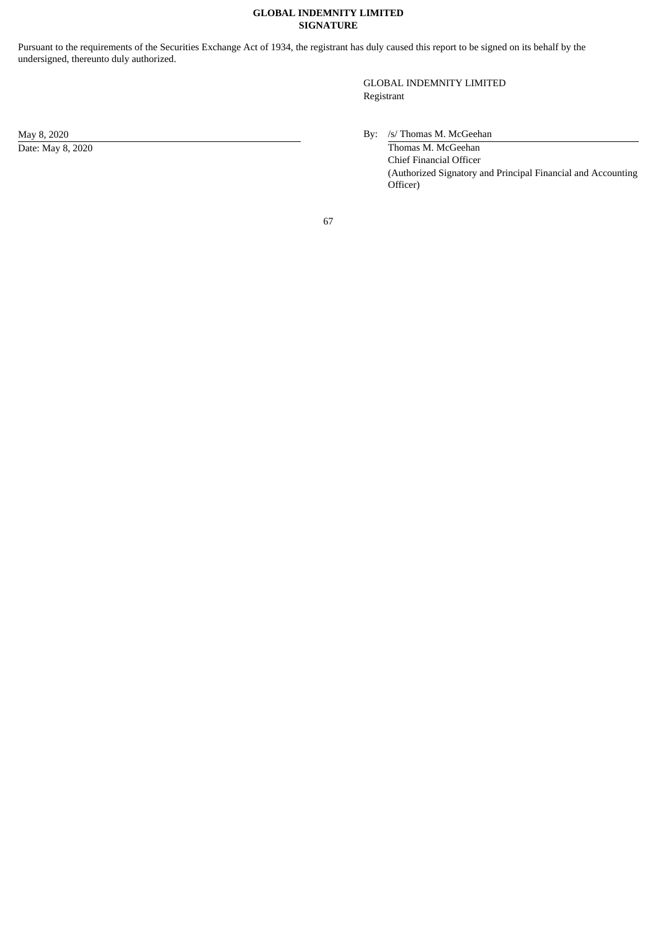# **GLOBAL INDEMNITY LIMITED SIGNATURE**

Pursuant to the requirements of the Securities Exchange Act of 1934, the registrant has duly caused this report to be signed on its behalf by the undersigned, thereunto duly authorized.

> GLOBAL INDEMNITY LIMITED Registrant

May 8, 2020 By: /s/ Thomas M. McGeehan

Date: May 8, 2020 Thomas M. McGeehan Chief Financial Officer (Authorized Signatory and Principal Financial and Accounting Officer)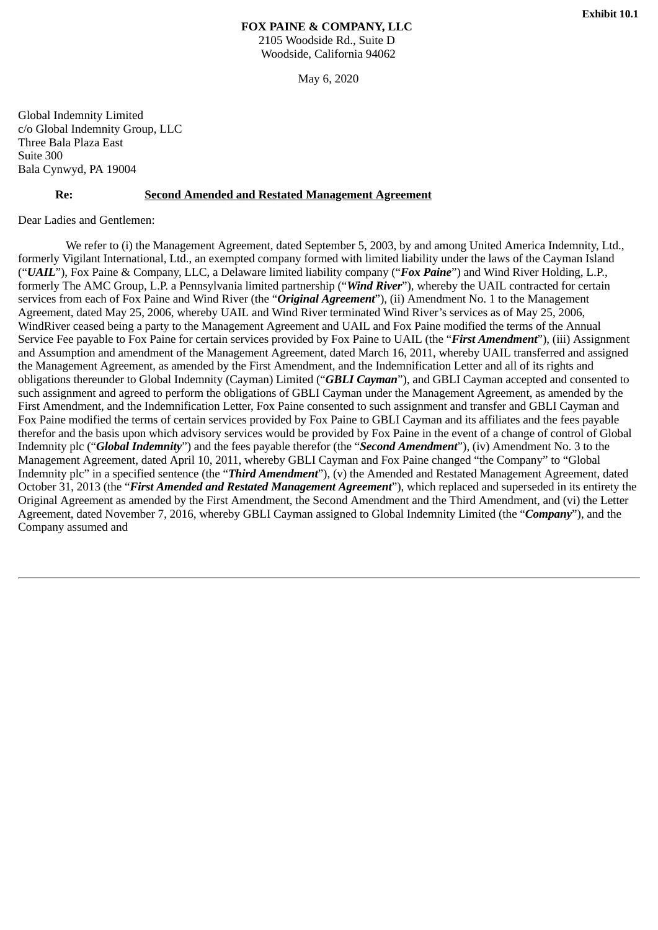# **FOX PAINE & COMPANY, LLC**  2105 Woodside Rd., Suite D

Woodside, California 94062

May 6, 2020

<span id="page-67-0"></span>Global Indemnity Limited c/o Global Indemnity Group, LLC Three Bala Plaza East Suite 300 Bala Cynwyd, PA 19004

# **Re: Second Amended and Restated Management Agreement**

Dear Ladies and Gentlemen:

We refer to (i) the Management Agreement, dated September 5, 2003, by and among United America Indemnity, Ltd., formerly Vigilant International, Ltd., an exempted company formed with limited liability under the laws of the Cayman Island ("*UAIL*"), Fox Paine & Company, LLC, a Delaware limited liability company ("*Fox Paine*") and Wind River Holding, L.P., formerly The AMC Group, L.P. a Pennsylvania limited partnership ("*Wind River*"), whereby the UAIL contracted for certain services from each of Fox Paine and Wind River (the "*Original Agreement*"), (ii) Amendment No. 1 to the Management Agreement, dated May 25, 2006, whereby UAIL and Wind River terminated Wind River's services as of May 25, 2006, WindRiver ceased being a party to the Management Agreement and UAIL and Fox Paine modified the terms of the Annual Service Fee payable to Fox Paine for certain services provided by Fox Paine to UAIL (the "*First Amendment*"), (iii) Assignment and Assumption and amendment of the Management Agreement, dated March 16, 2011, whereby UAIL transferred and assigned the Management Agreement, as amended by the First Amendment, and the Indemnification Letter and all of its rights and obligations thereunder to Global Indemnity (Cayman) Limited ("*GBLI Cayman*"), and GBLI Cayman accepted and consented to such assignment and agreed to perform the obligations of GBLI Cayman under the Management Agreement, as amended by the First Amendment, and the Indemnification Letter, Fox Paine consented to such assignment and transfer and GBLI Cayman and Fox Paine modified the terms of certain services provided by Fox Paine to GBLI Cayman and its affiliates and the fees payable therefor and the basis upon which advisory services would be provided by Fox Paine in the event of a change of control of Global Indemnity plc ("*Global Indemnity*") and the fees payable therefor (the "*Second Amendment*"), (iv) Amendment No. 3 to the Management Agreement, dated April 10, 2011, whereby GBLI Cayman and Fox Paine changed "the Company" to "Global Indemnity plc" in a specified sentence (the "*Third Amendment*"), (v) the Amended and Restated Management Agreement, dated October 31, 2013 (the "*First Amended and Restated Management Agreement*"), which replaced and superseded in its entirety the Original Agreement as amended by the First Amendment, the Second Amendment and the Third Amendment, and (vi) the Letter Agreement, dated November 7, 2016, whereby GBLI Cayman assigned to Global Indemnity Limited (the "*Company*"), and the Company assumed and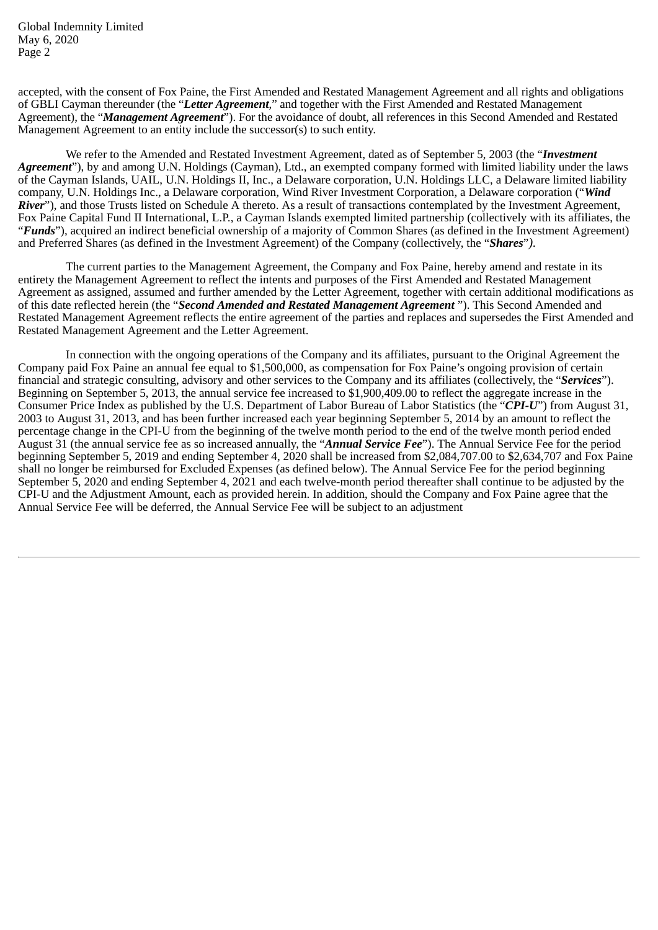accepted, with the consent of Fox Paine, the First Amended and Restated Management Agreement and all rights and obligations of GBLI Cayman thereunder (the "*Letter Agreement*," and together with the First Amended and Restated Management Agreement), the "*Management Agreement*"). For the avoidance of doubt, all references in this Second Amended and Restated Management Agreement to an entity include the successor(s) to such entity.

We refer to the Amended and Restated Investment Agreement, dated as of September 5, 2003 (the "*Investment Agreement*"), by and among U.N. Holdings (Cayman), Ltd., an exempted company formed with limited liability under the laws of the Cayman Islands, UAIL, U.N. Holdings II, Inc., a Delaware corporation, U.N. Holdings LLC, a Delaware limited liability company, U.N. Holdings Inc., a Delaware corporation, Wind River Investment Corporation, a Delaware corporation ("*Wind River*"), and those Trusts listed on Schedule A thereto. As a result of transactions contemplated by the Investment Agreement, Fox Paine Capital Fund II International, L.P., a Cayman Islands exempted limited partnership (collectively with its affiliates, the "*Funds*"), acquired an indirect beneficial ownership of a majority of Common Shares (as defined in the Investment Agreement) and Preferred Shares (as defined in the Investment Agreement) of the Company (collectively, the "*Shares*"*).*

The current parties to the Management Agreement, the Company and Fox Paine, hereby amend and restate in its entirety the Management Agreement to reflect the intents and purposes of the First Amended and Restated Management Agreement as assigned, assumed and further amended by the Letter Agreement, together with certain additional modifications as of this date reflected herein (the "*Second Amended and Restated Management Agreement* "). This Second Amended and Restated Management Agreement reflects the entire agreement of the parties and replaces and supersedes the First Amended and Restated Management Agreement and the Letter Agreement.

In connection with the ongoing operations of the Company and its affiliates, pursuant to the Original Agreement the Company paid Fox Paine an annual fee equal to \$1,500,000, as compensation for Fox Paine's ongoing provision of certain financial and strategic consulting, advisory and other services to the Company and its affiliates (collectively, the "*Services*"). Beginning on September 5, 2013, the annual service fee increased to \$1,900,409.00 to reflect the aggregate increase in the Consumer Price Index as published by the U.S. Department of Labor Bureau of Labor Statistics (the "*CPI-U*") from August 31, 2003 to August 31, 2013, and has been further increased each year beginning September 5, 2014 by an amount to reflect the percentage change in the CPI-U from the beginning of the twelve month period to the end of the twelve month period ended August 31 (the annual service fee as so increased annually, the "*Annual Service Fee*"). The Annual Service Fee for the period beginning September 5, 2019 and ending September 4, 2020 shall be increased from \$2,084,707.00 to \$2,634,707 and Fox Paine shall no longer be reimbursed for Excluded Expenses (as defined below). The Annual Service Fee for the period beginning September 5, 2020 and ending September 4, 2021 and each twelve-month period thereafter shall continue to be adjusted by the CPI-U and the Adjustment Amount, each as provided herein. In addition, should the Company and Fox Paine agree that the Annual Service Fee will be deferred, the Annual Service Fee will be subject to an adjustment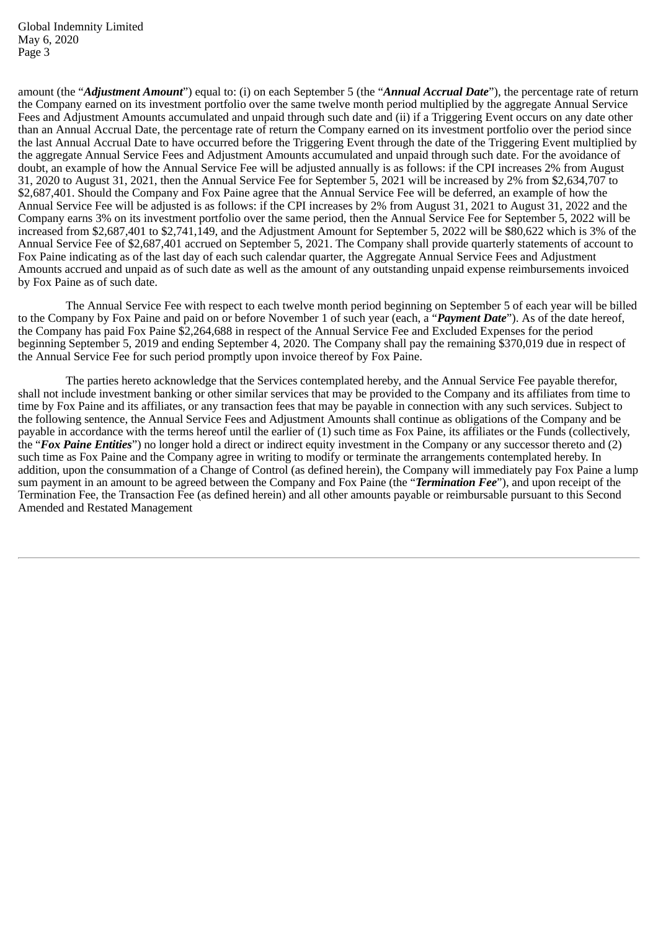amount (the "*Adjustment Amount*") equal to: (i) on each September 5 (the "*Annual Accrual Date*"), the percentage rate of return the Company earned on its investment portfolio over the same twelve month period multiplied by the aggregate Annual Service Fees and Adjustment Amounts accumulated and unpaid through such date and (ii) if a Triggering Event occurs on any date other than an Annual Accrual Date, the percentage rate of return the Company earned on its investment portfolio over the period since the last Annual Accrual Date to have occurred before the Triggering Event through the date of the Triggering Event multiplied by the aggregate Annual Service Fees and Adjustment Amounts accumulated and unpaid through such date. For the avoidance of doubt, an example of how the Annual Service Fee will be adjusted annually is as follows: if the CPI increases 2% from August 31, 2020 to August 31, 2021, then the Annual Service Fee for September 5, 2021 will be increased by 2% from \$2,634,707 to \$2,687,401. Should the Company and Fox Paine agree that the Annual Service Fee will be deferred, an example of how the Annual Service Fee will be adjusted is as follows: if the CPI increases by 2% from August 31, 2021 to August 31, 2022 and the Company earns 3% on its investment portfolio over the same period, then the Annual Service Fee for September 5, 2022 will be increased from \$2,687,401 to \$2,741,149, and the Adjustment Amount for September 5, 2022 will be \$80,622 which is 3% of the Annual Service Fee of \$2,687,401 accrued on September 5, 2021. The Company shall provide quarterly statements of account to Fox Paine indicating as of the last day of each such calendar quarter, the Aggregate Annual Service Fees and Adjustment Amounts accrued and unpaid as of such date as well as the amount of any outstanding unpaid expense reimbursements invoiced by Fox Paine as of such date.

The Annual Service Fee with respect to each twelve month period beginning on September 5 of each year will be billed to the Company by Fox Paine and paid on or before November 1 of such year (each, a "*Payment Date*"). As of the date hereof, the Company has paid Fox Paine \$2,264,688 in respect of the Annual Service Fee and Excluded Expenses for the period beginning September 5, 2019 and ending September 4, 2020. The Company shall pay the remaining \$370,019 due in respect of the Annual Service Fee for such period promptly upon invoice thereof by Fox Paine.

The parties hereto acknowledge that the Services contemplated hereby, and the Annual Service Fee payable therefor, shall not include investment banking or other similar services that may be provided to the Company and its affiliates from time to time by Fox Paine and its affiliates, or any transaction fees that may be payable in connection with any such services. Subject to the following sentence, the Annual Service Fees and Adjustment Amounts shall continue as obligations of the Company and be payable in accordance with the terms hereof until the earlier of (1) such time as Fox Paine, its affiliates or the Funds (collectively, the "*Fox Paine Entities*") no longer hold a direct or indirect equity investment in the Company or any successor thereto and (2) such time as Fox Paine and the Company agree in writing to modify or terminate the arrangements contemplated hereby. In addition, upon the consummation of a Change of Control (as defined herein), the Company will immediately pay Fox Paine a lump sum payment in an amount to be agreed between the Company and Fox Paine (the "*Termination Fee*"), and upon receipt of the Termination Fee, the Transaction Fee (as defined herein) and all other amounts payable or reimbursable pursuant to this Second Amended and Restated Management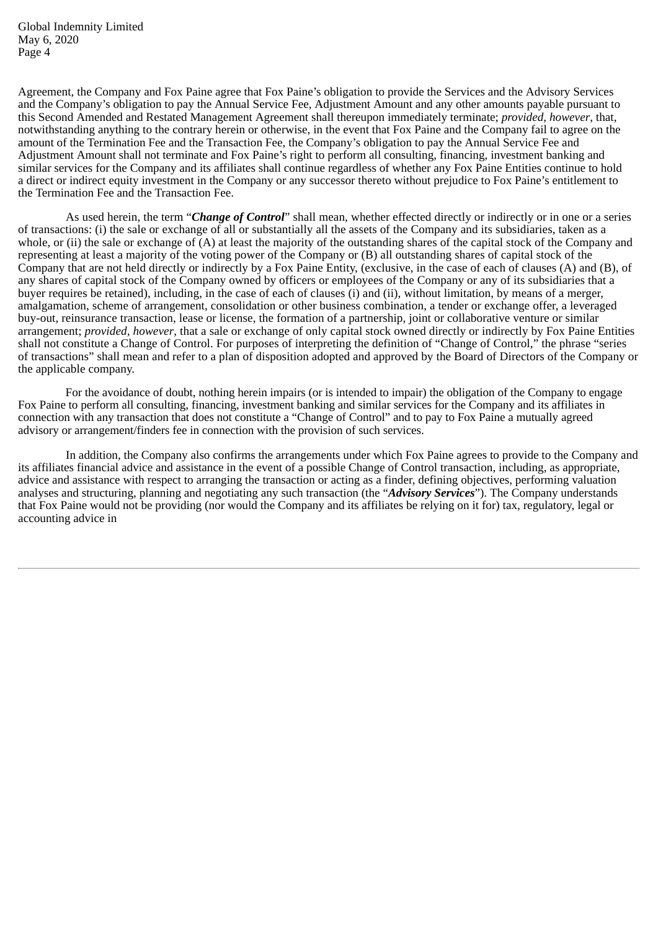Agreement, the Company and Fox Paine agree that Fox Paine's obligation to provide the Services and the Advisory Services and the Company's obligation to pay the Annual Service Fee, Adjustment Amount and any other amounts payable pursuant to this Second Amended and Restated Management Agreement shall thereupon immediately terminate; *provided, however*, that, notwithstanding anything to the contrary herein or otherwise, in the event that Fox Paine and the Company fail to agree on the amount of the Termination Fee and the Transaction Fee, the Company's obligation to pay the Annual Service Fee and Adjustment Amount shall not terminate and Fox Paine's right to perform all consulting, financing, investment banking and similar services for the Company and its affiliates shall continue regardless of whether any Fox Paine Entities continue to hold a direct or indirect equity investment in the Company or any successor thereto without prejudice to Fox Paine's entitlement to the Termination Fee and the Transaction Fee.

As used herein, the term "*Change of Control*" shall mean, whether effected directly or indirectly or in one or a series of transactions: (i) the sale or exchange of all or substantially all the assets of the Company and its subsidiaries, taken as a whole, or (ii) the sale or exchange of (A) at least the majority of the outstanding shares of the capital stock of the Company and representing at least a majority of the voting power of the Company or (B) all outstanding shares of capital stock of the Company that are not held directly or indirectly by a Fox Paine Entity, (exclusive, in the case of each of clauses (A) and (B), of any shares of capital stock of the Company owned by officers or employees of the Company or any of its subsidiaries that a buyer requires be retained), including, in the case of each of clauses (i) and (ii), without limitation, by means of a merger, amalgamation, scheme of arrangement, consolidation or other business combination, a tender or exchange offer, a leveraged buy-out, reinsurance transaction, lease or license, the formation of a partnership, joint or collaborative venture or similar arrangement; *provided, however*, that a sale or exchange of only capital stock owned directly or indirectly by Fox Paine Entities shall not constitute a Change of Control. For purposes of interpreting the definition of "Change of Control," the phrase "series of transactions" shall mean and refer to a plan of disposition adopted and approved by the Board of Directors of the Company or the applicable company.

For the avoidance of doubt, nothing herein impairs (or is intended to impair) the obligation of the Company to engage Fox Paine to perform all consulting, financing, investment banking and similar services for the Company and its affiliates in connection with any transaction that does not constitute a "Change of Control" and to pay to Fox Paine a mutually agreed advisory or arrangement/finders fee in connection with the provision of such services.

In addition, the Company also confirms the arrangements under which Fox Paine agrees to provide to the Company and its affiliates financial advice and assistance in the event of a possible Change of Control transaction, including, as appropriate, advice and assistance with respect to arranging the transaction or acting as a finder, defining objectives, performing valuation analyses and structuring, planning and negotiating any such transaction (the "*Advisory Services*"). The Company understands that Fox Paine would not be providing (nor would the Company and its affiliates be relying on it for) tax, regulatory, legal or accounting advice in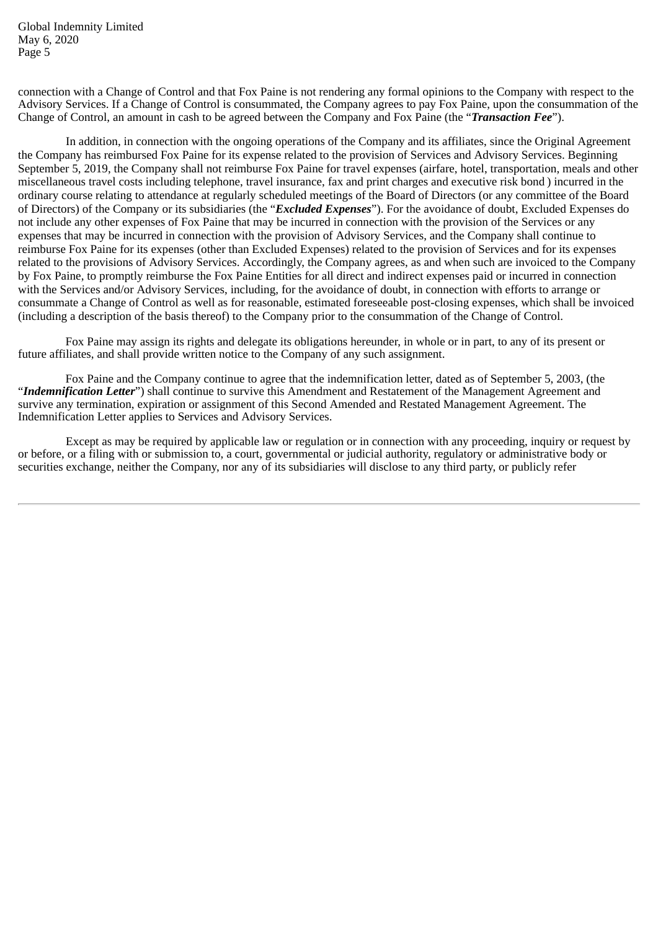connection with a Change of Control and that Fox Paine is not rendering any formal opinions to the Company with respect to the Advisory Services. If a Change of Control is consummated, the Company agrees to pay Fox Paine, upon the consummation of the Change of Control, an amount in cash to be agreed between the Company and Fox Paine (the "*Transaction Fee*").

In addition, in connection with the ongoing operations of the Company and its affiliates, since the Original Agreement the Company has reimbursed Fox Paine for its expense related to the provision of Services and Advisory Services. Beginning September 5, 2019, the Company shall not reimburse Fox Paine for travel expenses (airfare, hotel, transportation, meals and other miscellaneous travel costs including telephone, travel insurance, fax and print charges and executive risk bond ) incurred in the ordinary course relating to attendance at regularly scheduled meetings of the Board of Directors (or any committee of the Board of Directors) of the Company or its subsidiaries (the "*Excluded Expenses*"). For the avoidance of doubt, Excluded Expenses do not include any other expenses of Fox Paine that may be incurred in connection with the provision of the Services or any expenses that may be incurred in connection with the provision of Advisory Services, and the Company shall continue to reimburse Fox Paine for its expenses (other than Excluded Expenses) related to the provision of Services and for its expenses related to the provisions of Advisory Services. Accordingly, the Company agrees, as and when such are invoiced to the Company by Fox Paine, to promptly reimburse the Fox Paine Entities for all direct and indirect expenses paid or incurred in connection with the Services and/or Advisory Services, including, for the avoidance of doubt, in connection with efforts to arrange or consummate a Change of Control as well as for reasonable, estimated foreseeable post-closing expenses, which shall be invoiced (including a description of the basis thereof) to the Company prior to the consummation of the Change of Control.

Fox Paine may assign its rights and delegate its obligations hereunder, in whole or in part, to any of its present or future affiliates, and shall provide written notice to the Company of any such assignment.

Fox Paine and the Company continue to agree that the indemnification letter, dated as of September 5, 2003, (the "*Indemnification Letter*") shall continue to survive this Amendment and Restatement of the Management Agreement and survive any termination, expiration or assignment of this Second Amended and Restated Management Agreement. The Indemnification Letter applies to Services and Advisory Services.

Except as may be required by applicable law or regulation or in connection with any proceeding, inquiry or request by or before, or a filing with or submission to, a court, governmental or judicial authority, regulatory or administrative body or securities exchange, neither the Company, nor any of its subsidiaries will disclose to any third party, or publicly refer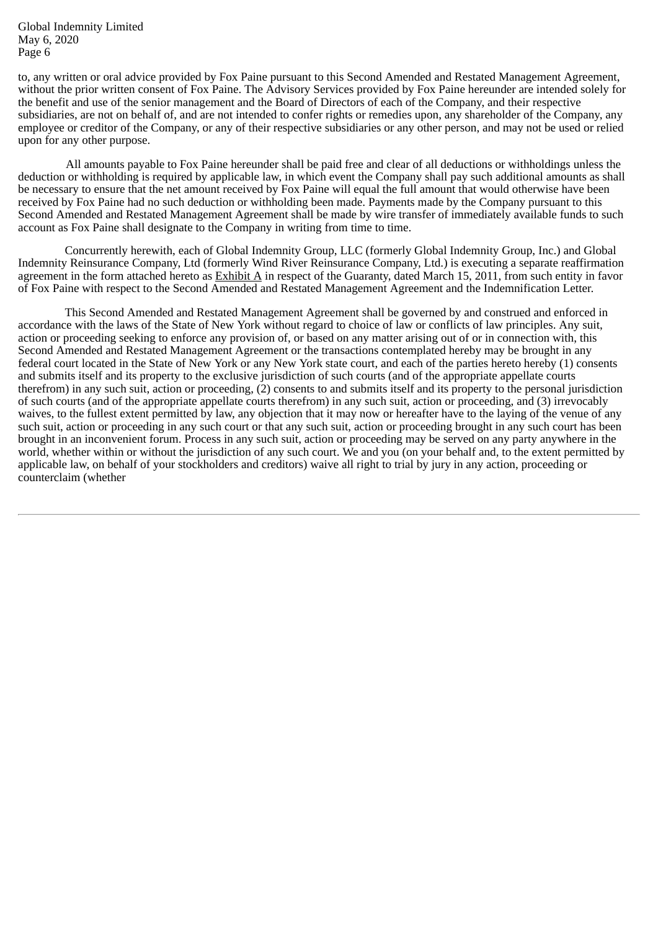Global Indemnity Limited May 6, 2020 Page 6

to, any written or oral advice provided by Fox Paine pursuant to this Second Amended and Restated Management Agreement, without the prior written consent of Fox Paine. The Advisory Services provided by Fox Paine hereunder are intended solely for the benefit and use of the senior management and the Board of Directors of each of the Company, and their respective subsidiaries, are not on behalf of, and are not intended to confer rights or remedies upon, any shareholder of the Company, any employee or creditor of the Company, or any of their respective subsidiaries or any other person, and may not be used or relied upon for any other purpose.

All amounts payable to Fox Paine hereunder shall be paid free and clear of all deductions or withholdings unless the deduction or withholding is required by applicable law, in which event the Company shall pay such additional amounts as shall be necessary to ensure that the net amount received by Fox Paine will equal the full amount that would otherwise have been received by Fox Paine had no such deduction or withholding been made. Payments made by the Company pursuant to this Second Amended and Restated Management Agreement shall be made by wire transfer of immediately available funds to such account as Fox Paine shall designate to the Company in writing from time to time.

Concurrently herewith, each of Global Indemnity Group, LLC (formerly Global Indemnity Group, Inc.) and Global Indemnity Reinsurance Company, Ltd (formerly Wind River Reinsurance Company, Ltd.) is executing a separate reaffirmation agreement in the form attached hereto as Exhibit A in respect of the Guaranty, dated March 15, 2011, from such entity in favor of Fox Paine with respect to the Second Amended and Restated Management Agreement and the Indemnification Letter.

This Second Amended and Restated Management Agreement shall be governed by and construed and enforced in accordance with the laws of the State of New York without regard to choice of law or conflicts of law principles. Any suit, action or proceeding seeking to enforce any provision of, or based on any matter arising out of or in connection with, this Second Amended and Restated Management Agreement or the transactions contemplated hereby may be brought in any federal court located in the State of New York or any New York state court, and each of the parties hereto hereby (1) consents and submits itself and its property to the exclusive jurisdiction of such courts (and of the appropriate appellate courts therefrom) in any such suit, action or proceeding, (2) consents to and submits itself and its property to the personal jurisdiction of such courts (and of the appropriate appellate courts therefrom) in any such suit, action or proceeding, and (3) irrevocably waives, to the fullest extent permitted by law, any objection that it may now or hereafter have to the laying of the venue of any such suit, action or proceeding in any such court or that any such suit, action or proceeding brought in any such court has been brought in an inconvenient forum. Process in any such suit, action or proceeding may be served on any party anywhere in the world, whether within or without the jurisdiction of any such court. We and you (on your behalf and, to the extent permitted by applicable law, on behalf of your stockholders and creditors) waive all right to trial by jury in any action, proceeding or counterclaim (whether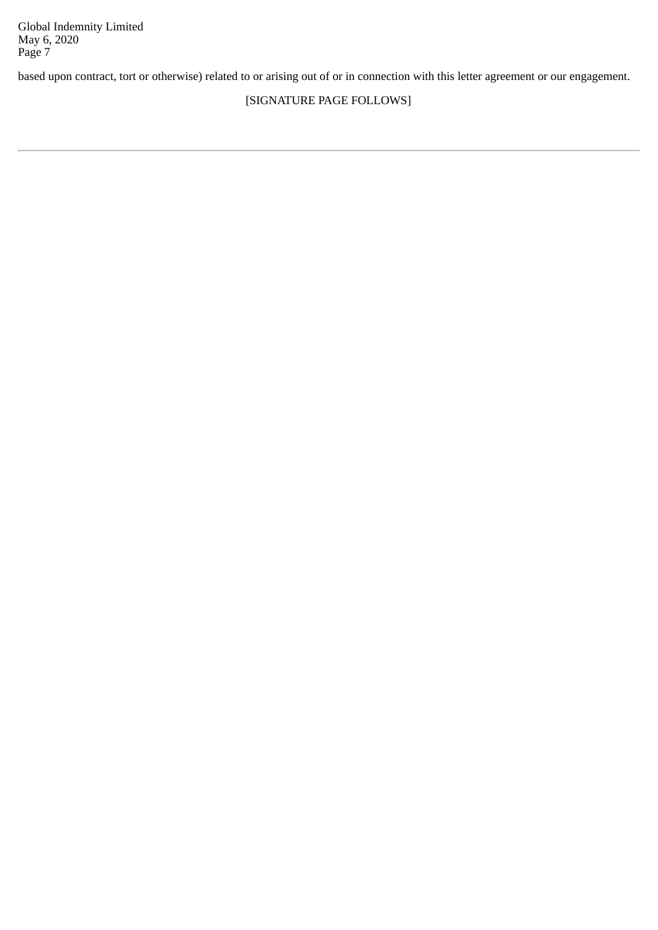based upon contract, tort or otherwise) related to or arising out of or in connection with this letter agreement or our engagement.

[SIGNATURE PAGE FOLLOWS]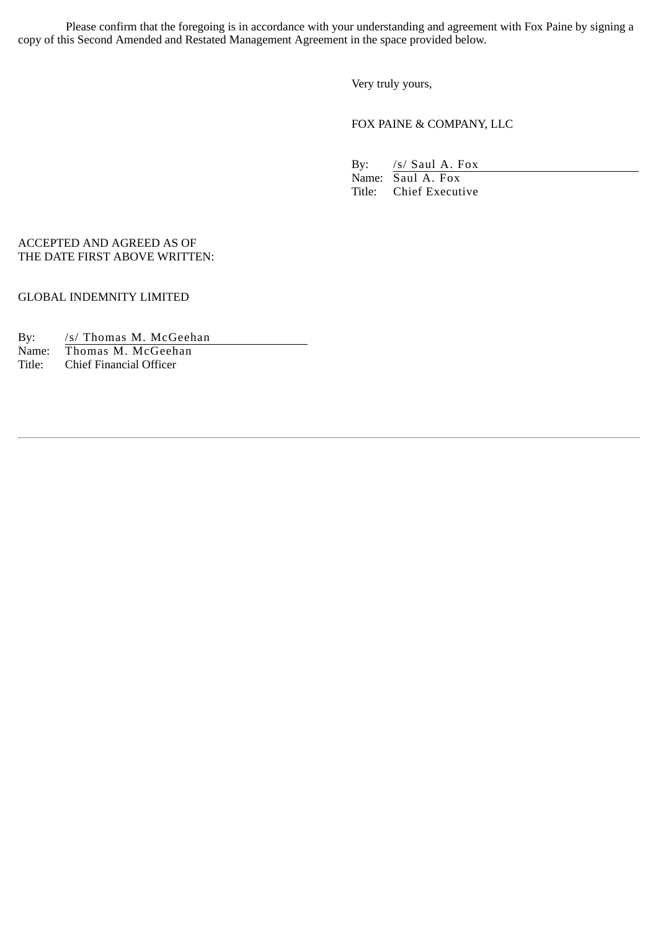Please confirm that the foregoing is in accordance with your understanding and agreement with Fox Paine by signing a copy of this Second Amended and Restated Management Agreement in the space provided below.

Very truly yours,

FOX PAINE & COMPANY, LLC

By: /s/ Saul A. Fox

Name: Saul A. Fox<br>Title: Chief Execut Chief Executive

# ACCEPTED AND AGREED AS OF THE DATE FIRST ABOVE WRITTEN:

GLOBAL INDEMNITY LIMITED

By: /s/ Thomas M. McGeehan

Name: Thomas M. McGeehan

Title: Chief Financial Officer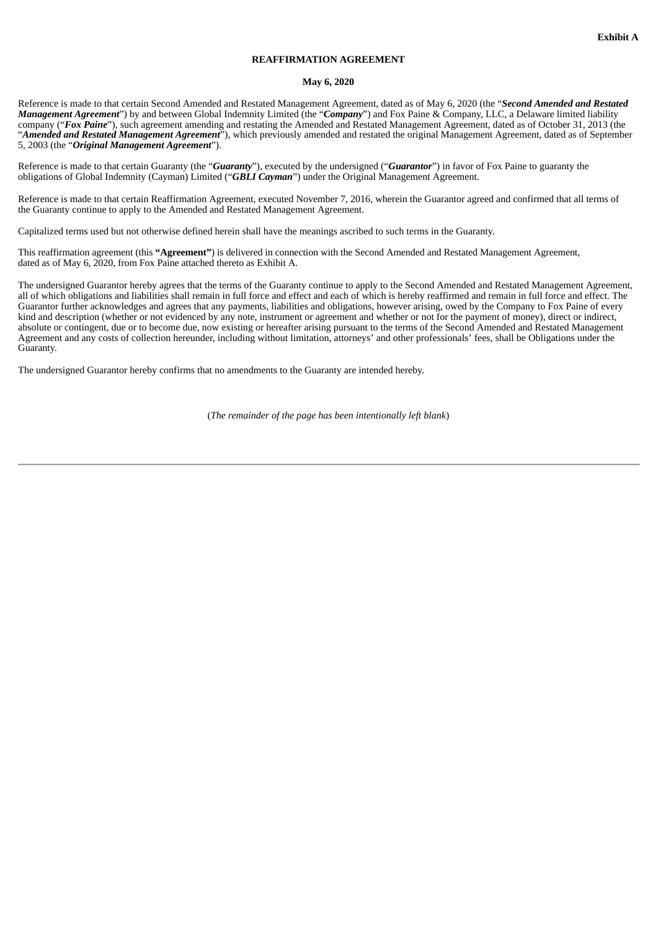### **Exhibit A**

#### **REAFFIRMATION AGREEMENT**

#### **May 6, 2020**

Reference is made to that certain Second Amended and Restated Management Agreement, dated as of May 6, 2020 (the "*Second Amended and Restated Management Agreement*") by and between Global Indemnity Limited (the "*Company*") and Fox Paine & Company, LLC, a Delaware limited liability company ("*Fox Paine*"), such agreement amending and restating the Amended and Restated Management Agreement, dated as of October 31, 2013 (the "*Amended and Restated Management Agreement*"), which previously amended and restated the original Management Agreement, dated as of September 5, 2003 (the "*Original Management Agreement*").

Reference is made to that certain Guaranty (the "*Guaranty*"), executed by the undersigned ("*Guarantor*") in favor of Fox Paine to guaranty the obligations of Global Indemnity (Cayman) Limited ("*GBLI Cayman*") under the Original Management Agreement.

Reference is made to that certain Reaffirmation Agreement, executed November 7, 2016, wherein the Guarantor agreed and confirmed that all terms of the Guaranty continue to apply to the Amended and Restated Management Agreement.

Capitalized terms used but not otherwise defined herein shall have the meanings ascribed to such terms in the Guaranty.

This reaffirmation agreement (this **"Agreement"**) is delivered in connection with the Second Amended and Restated Management Agreement, dated as of May 6, 2020, from Fox Paine attached thereto as Exhibit A.

The undersigned Guarantor hereby agrees that the terms of the Guaranty continue to apply to the Second Amended and Restated Management Agreement, all of which obligations and liabilities shall remain in full force and effect and each of which is hereby reaffirmed and remain in full force and effect. The Guarantor further acknowledges and agrees that any payments, liabilities and obligations, however arising, owed by the Company to Fox Paine of every kind and description (whether or not evidenced by any note, instrument or agreement and whether or not for the payment of money), direct or indirect, absolute or contingent, due or to become due, now existing or hereafter arising pursuant to the terms of the Second Amended and Restated Management Agreement and any costs of collection hereunder, including without limitation, attorneys' and other professionals' fees, shall be Obligations under the Guaranty.

The undersigned Guarantor hereby confirms that no amendments to the Guaranty are intended hereby.

(*The remainder of the page has been intentionally left blank*)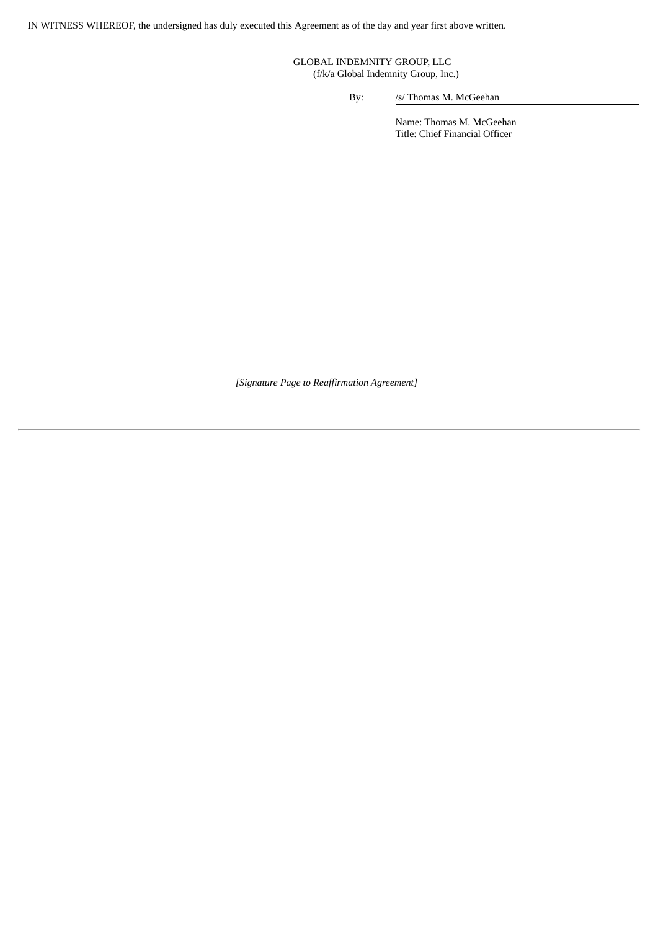IN WITNESS WHEREOF, the undersigned has duly executed this Agreement as of the day and year first above written.

GLOBAL INDEMNITY GROUP, LLC (f/k/a Global Indemnity Group, Inc.)

By: /s/ Thomas M. McGeehan

Name: Thomas M. McGeehan Title: Chief Financial Officer

*[Signature Page to Reaffirmation Agreement]*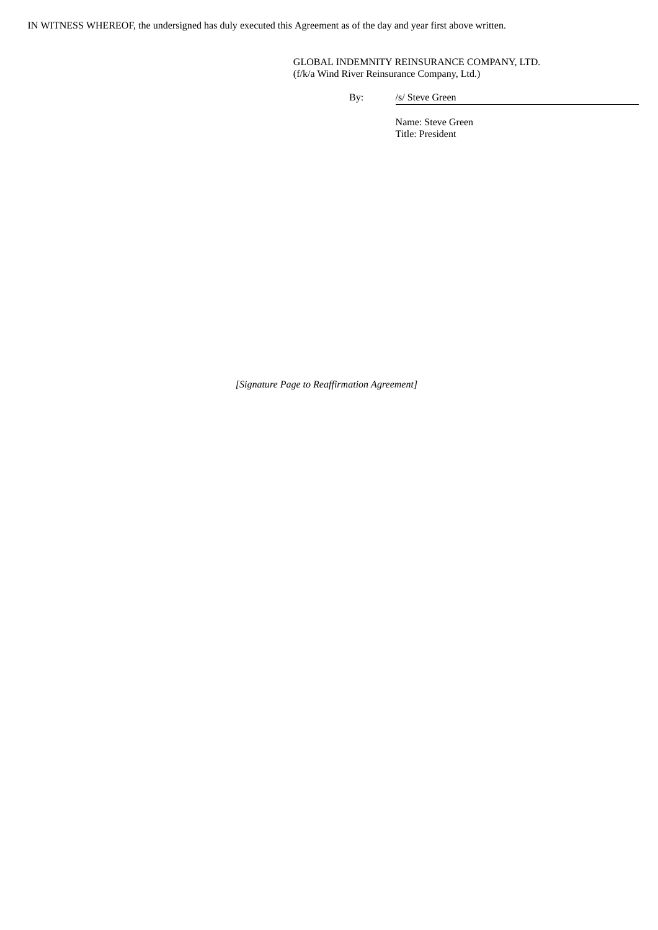IN WITNESS WHEREOF, the undersigned has duly executed this Agreement as of the day and year first above written.

GLOBAL INDEMNITY REINSURANCE COMPANY, LTD. (f/k/a Wind River Reinsurance Company, Ltd.)

By: /s/ Steve Green

Name: Steve Green Title: President

*[Signature Page to Reaffirmation Agreement]*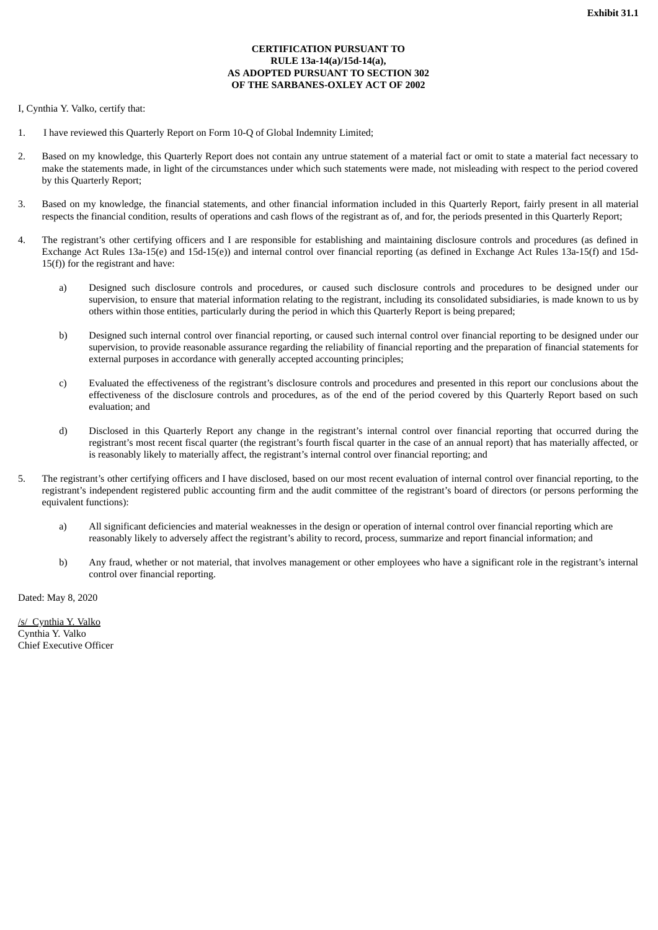# **CERTIFICATION PURSUANT TO RULE 13a-14(a)/15d-14(a), AS ADOPTED PURSUANT TO SECTION 302 OF THE SARBANES-OXLEY ACT OF 2002**

### I, Cynthia Y. Valko, certify that:

- 1. I have reviewed this Quarterly Report on Form 10-Q of Global Indemnity Limited;
- 2. Based on my knowledge, this Quarterly Report does not contain any untrue statement of a material fact or omit to state a material fact necessary to make the statements made, in light of the circumstances under which such statements were made, not misleading with respect to the period covered by this Quarterly Report;
- 3. Based on my knowledge, the financial statements, and other financial information included in this Quarterly Report, fairly present in all material respects the financial condition, results of operations and cash flows of the registrant as of, and for, the periods presented in this Quarterly Report;
- 4. The registrant's other certifying officers and I are responsible for establishing and maintaining disclosure controls and procedures (as defined in Exchange Act Rules 13a-15(e) and 15d-15(e)) and internal control over financial reporting (as defined in Exchange Act Rules 13a-15(f) and 15d-15(f)) for the registrant and have:
	- a) Designed such disclosure controls and procedures, or caused such disclosure controls and procedures to be designed under our supervision, to ensure that material information relating to the registrant, including its consolidated subsidiaries, is made known to us by others within those entities, particularly during the period in which this Quarterly Report is being prepared;
	- b) Designed such internal control over financial reporting, or caused such internal control over financial reporting to be designed under our supervision, to provide reasonable assurance regarding the reliability of financial reporting and the preparation of financial statements for external purposes in accordance with generally accepted accounting principles;
	- c) Evaluated the effectiveness of the registrant's disclosure controls and procedures and presented in this report our conclusions about the effectiveness of the disclosure controls and procedures, as of the end of the period covered by this Quarterly Report based on such evaluation; and
	- d) Disclosed in this Quarterly Report any change in the registrant's internal control over financial reporting that occurred during the registrant's most recent fiscal quarter (the registrant's fourth fiscal quarter in the case of an annual report) that has materially affected, or is reasonably likely to materially affect, the registrant's internal control over financial reporting; and
- 5. The registrant's other certifying officers and I have disclosed, based on our most recent evaluation of internal control over financial reporting, to the registrant's independent registered public accounting firm and the audit committee of the registrant's board of directors (or persons performing the equivalent functions):
	- a) All significant deficiencies and material weaknesses in the design or operation of internal control over financial reporting which are reasonably likely to adversely affect the registrant's ability to record, process, summarize and report financial information; and
	- b) Any fraud, whether or not material, that involves management or other employees who have a significant role in the registrant's internal control over financial reporting.

Dated: May 8, 2020

/s/ Cynthia Y. Valko Cynthia Y. Valko Chief Executive Officer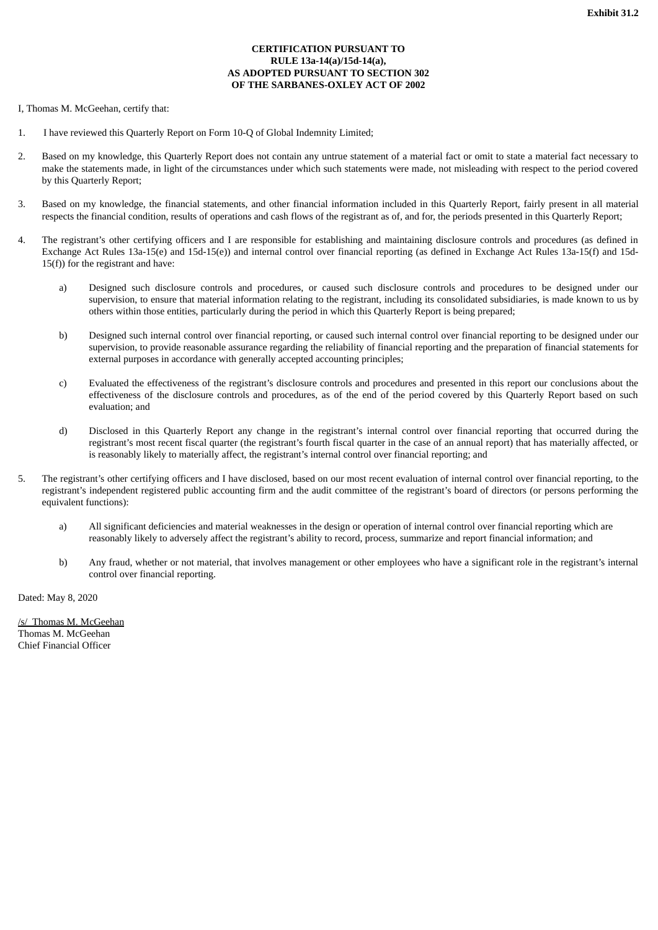# **CERTIFICATION PURSUANT TO RULE 13a-14(a)/15d-14(a), AS ADOPTED PURSUANT TO SECTION 302 OF THE SARBANES-OXLEY ACT OF 2002**

I, Thomas M. McGeehan, certify that:

- 1. I have reviewed this Quarterly Report on Form 10-Q of Global Indemnity Limited;
- 2. Based on my knowledge, this Quarterly Report does not contain any untrue statement of a material fact or omit to state a material fact necessary to make the statements made, in light of the circumstances under which such statements were made, not misleading with respect to the period covered by this Quarterly Report;
- 3. Based on my knowledge, the financial statements, and other financial information included in this Quarterly Report, fairly present in all material respects the financial condition, results of operations and cash flows of the registrant as of, and for, the periods presented in this Quarterly Report;
- 4. The registrant's other certifying officers and I are responsible for establishing and maintaining disclosure controls and procedures (as defined in Exchange Act Rules 13a-15(e) and 15d-15(e)) and internal control over financial reporting (as defined in Exchange Act Rules 13a-15(f) and 15d-15(f)) for the registrant and have:
	- a) Designed such disclosure controls and procedures, or caused such disclosure controls and procedures to be designed under our supervision, to ensure that material information relating to the registrant, including its consolidated subsidiaries, is made known to us by others within those entities, particularly during the period in which this Quarterly Report is being prepared;
	- b) Designed such internal control over financial reporting, or caused such internal control over financial reporting to be designed under our supervision, to provide reasonable assurance regarding the reliability of financial reporting and the preparation of financial statements for external purposes in accordance with generally accepted accounting principles;
	- c) Evaluated the effectiveness of the registrant's disclosure controls and procedures and presented in this report our conclusions about the effectiveness of the disclosure controls and procedures, as of the end of the period covered by this Quarterly Report based on such evaluation; and
	- d) Disclosed in this Quarterly Report any change in the registrant's internal control over financial reporting that occurred during the registrant's most recent fiscal quarter (the registrant's fourth fiscal quarter in the case of an annual report) that has materially affected, or is reasonably likely to materially affect, the registrant's internal control over financial reporting; and
- 5. The registrant's other certifying officers and I have disclosed, based on our most recent evaluation of internal control over financial reporting, to the registrant's independent registered public accounting firm and the audit committee of the registrant's board of directors (or persons performing the equivalent functions):
	- a) All significant deficiencies and material weaknesses in the design or operation of internal control over financial reporting which are reasonably likely to adversely affect the registrant's ability to record, process, summarize and report financial information; and
	- b) Any fraud, whether or not material, that involves management or other employees who have a significant role in the registrant's internal control over financial reporting.

Dated: May 8, 2020

/s/ Thomas M. McGeehan Thomas M. McGeehan Chief Financial Officer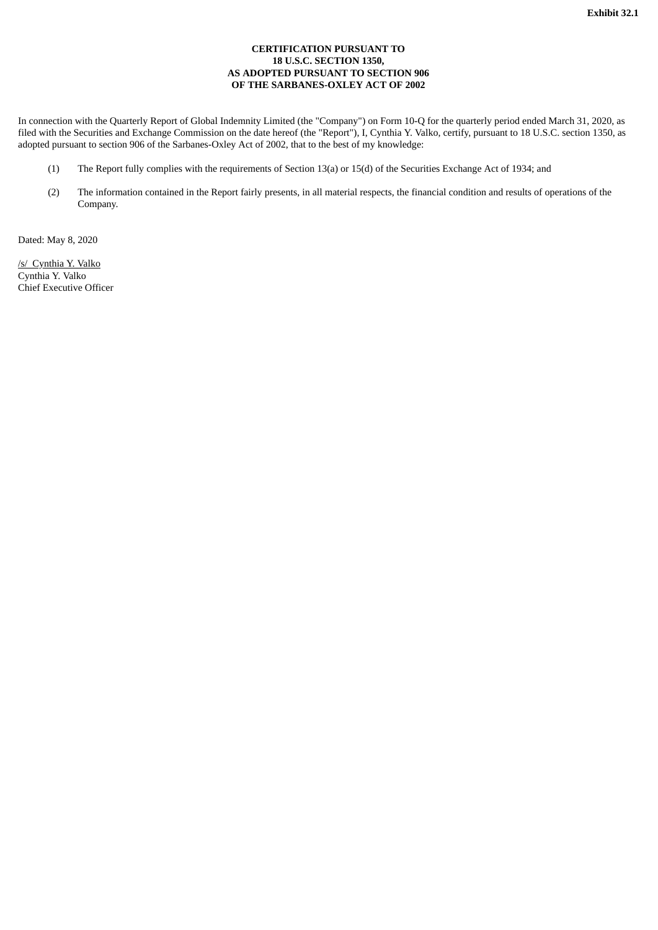## **CERTIFICATION PURSUANT TO 18 U.S.C. SECTION 1350, AS ADOPTED PURSUANT TO SECTION 906 OF THE SARBANES-OXLEY ACT OF 2002**

In connection with the Quarterly Report of Global Indemnity Limited (the "Company") on Form 10-Q for the quarterly period ended March 31, 2020, as filed with the Securities and Exchange Commission on the date hereof (the "Report"), I, Cynthia Y. Valko, certify, pursuant to 18 U.S.C. section 1350, as adopted pursuant to section 906 of the Sarbanes-Oxley Act of 2002, that to the best of my knowledge:

- (1) The Report fully complies with the requirements of Section 13(a) or 15(d) of the Securities Exchange Act of 1934; and
- (2) The information contained in the Report fairly presents, in all material respects, the financial condition and results of operations of the Company.

Dated: May 8, 2020

/s/ Cynthia Y. Valko Cynthia Y. Valko Chief Executive Officer